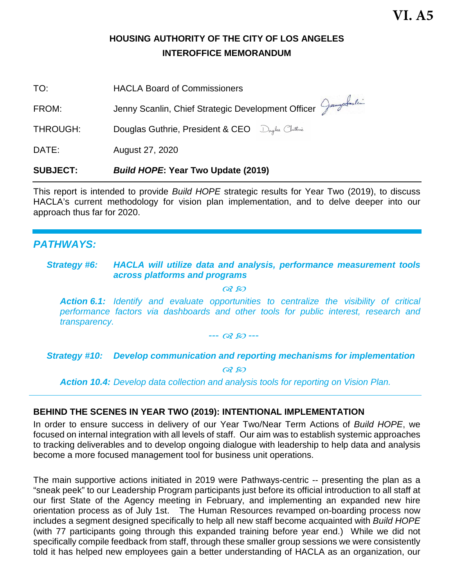# **HOUSING AUTHORITY OF THE CITY OF LOS ANGELES INTEROFFICE MEMORANDUM**

| <b>SUBJECT:</b> | <b>Build HOPE: Year Two Update (2019)</b>          |
|-----------------|----------------------------------------------------|
| DATE:           | August 27, 2020                                    |
| THROUGH:        | Douglas Guthrie, President & CEO Dryles Cluthrie   |
| FROM:           | Jenny Scanlin, Chief Strategic Development Officer |
| TO:             | <b>HACLA Board of Commissioners</b>                |

This report is intended to provide *Build HOPE* strategic results for Year Two (2019), to discuss HACLA's current methodology for vision plan implementation, and to delve deeper into our approach thus far for 2020.

# *PATHWAYS:*

## *Strategy #6: HACLA will utilize data and analysis, performance measurement tools across platforms and programs*

 $OR$   $RO$ 

*Action 6.1: Identify and evaluate opportunities to centralize the visibility of critical performance factors via dashboards and other tools for public interest, research and transparency.*

*--- ---* 

*Strategy #10: Develop communication and reporting mechanisms for implementation*

 $0850$ 

*Action 10.4: Develop data collection and analysis tools for reporting on Vision Plan.*

# **BEHIND THE SCENES IN YEAR TWO (2019): INTENTIONAL IMPLEMENTATION**

In order to ensure success in delivery of our Year Two/Near Term Actions of *Build HOPE*, we focused on internal integration with all levels of staff. Our aim was to establish systemic approaches to tracking deliverables and to develop ongoing dialogue with leadership to help data and analysis become a more focused management tool for business unit operations.

The main supportive actions initiated in 2019 were Pathways-centric -- presenting the plan as a "sneak peek" to our Leadership Program participants just before its official introduction to all staff at our first State of the Agency meeting in February, and implementing an expanded new hire orientation process as of July 1st. The Human Resources revamped on-boarding process now includes a segment designed specifically to help all new staff become acquainted with *Build HOPE* (with 77 participants going through this expanded training before year end.) While we did not specifically compile feedback from staff, through these smaller group sessions we were consistently told it has helped new employees gain a better understanding of HACLA as an organization, our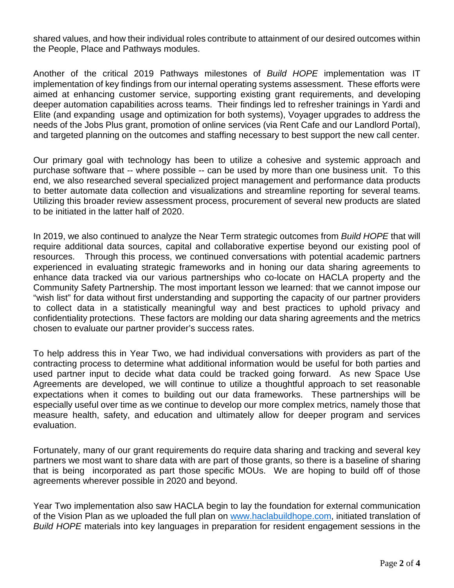shared values, and how their individual roles contribute to attainment of our desired outcomes within the People, Place and Pathways modules.

Another of the critical 2019 Pathways milestones of *Build HOPE* implementation was IT implementation of key findings from our internal operating systems assessment. These efforts were aimed at enhancing customer service, supporting existing grant requirements, and developing deeper automation capabilities across teams. Their findings led to refresher trainings in Yardi and Elite (and expanding usage and optimization for both systems), Voyager upgrades to address the needs of the Jobs Plus grant, promotion of online services (via Rent Cafe and our Landlord Portal), and targeted planning on the outcomes and staffing necessary to best support the new call center.

Our primary goal with technology has been to utilize a cohesive and systemic approach and purchase software that -- where possible -- can be used by more than one business unit. To this end, we also researched several specialized project management and performance data products to better automate data collection and visualizations and streamline reporting for several teams. Utilizing this broader review assessment process, procurement of several new products are slated to be initiated in the latter half of 2020.

In 2019, we also continued to analyze the Near Term strategic outcomes from *Build HOPE* that will require additional data sources, capital and collaborative expertise beyond our existing pool of resources. Through this process, we continued conversations with potential academic partners experienced in evaluating strategic frameworks and in honing our data sharing agreements to enhance data tracked via our various partnerships who co-locate on HACLA property and the Community Safety Partnership. The most important lesson we learned: that we cannot impose our "wish list" for data without first understanding and supporting the capacity of our partner providers to collect data in a statistically meaningful way and best practices to uphold privacy and confidentiality protections. These factors are molding our data sharing agreements and the metrics chosen to evaluate our partner provider's success rates.

To help address this in Year Two, we had individual conversations with providers as part of the contracting process to determine what additional information would be useful for both parties and used partner input to decide what data could be tracked going forward. As new Space Use Agreements are developed, we will continue to utilize a thoughtful approach to set reasonable expectations when it comes to building out our data frameworks. These partnerships will be especially useful over time as we continue to develop our more complex metrics, namely those that measure health, safety, and education and ultimately allow for deeper program and services evaluation.

Fortunately, many of our grant requirements do require data sharing and tracking and several key partners we most want to share data with are part of those grants, so there is a baseline of sharing that is being incorporated as part those specific MOUs. We are hoping to build off of those agreements wherever possible in 2020 and beyond.

Year Two implementation also saw HACLA begin to lay the foundation for external communication of the Vision Plan as we uploaded the full plan on [www.haclabuildhope.com,](http://www.haclabuildhope.com/) initiated translation of *Build HOPE* materials into key languages in preparation for resident engagement sessions in the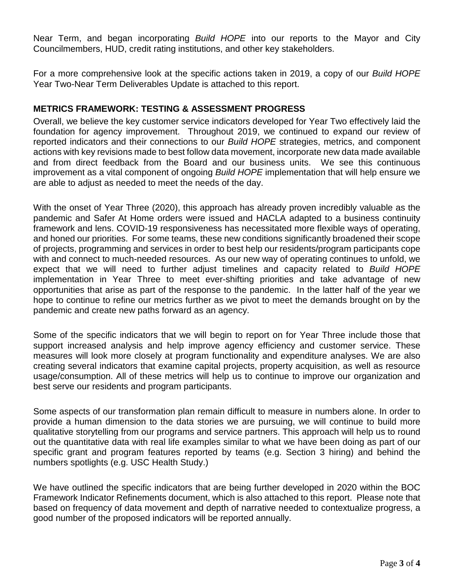Near Term, and began incorporating *Build HOPE* into our reports to the Mayor and City Councilmembers, HUD, credit rating institutions, and other key stakeholders.

For a more comprehensive look at the specific actions taken in 2019, a copy of our *Build HOPE* Year Two-Near Term Deliverables Update is attached to this report.

# **METRICS FRAMEWORK: TESTING & ASSESSMENT PROGRESS**

Overall, we believe the key customer service indicators developed for Year Two effectively laid the foundation for agency improvement. Throughout 2019, we continued to expand our review of reported indicators and their connections to our *Build HOPE* strategies, metrics, and component actions with key revisions made to best follow data movement, incorporate new data made available and from direct feedback from the Board and our business units. We see this continuous improvement as a vital component of ongoing *Build HOPE* implementation that will help ensure we are able to adjust as needed to meet the needs of the day.

With the onset of Year Three (2020), this approach has already proven incredibly valuable as the pandemic and Safer At Home orders were issued and HACLA adapted to a business continuity framework and lens. COVID-19 responsiveness has necessitated more flexible ways of operating, and honed our priorities. For some teams, these new conditions significantly broadened their scope of projects, programming and services in order to best help our residents/program participants cope with and connect to much-needed resources. As our new way of operating continues to unfold, we expect that we will need to further adjust timelines and capacity related to *Build HOPE* implementation in Year Three to meet ever-shifting priorities and take advantage of new opportunities that arise as part of the response to the pandemic. In the latter half of the year we hope to continue to refine our metrics further as we pivot to meet the demands brought on by the pandemic and create new paths forward as an agency.

Some of the specific indicators that we will begin to report on for Year Three include those that support increased analysis and help improve agency efficiency and customer service. These measures will look more closely at program functionality and expenditure analyses. We are also creating several indicators that examine capital projects, property acquisition, as well as resource usage/consumption. All of these metrics will help us to continue to improve our organization and best serve our residents and program participants.

Some aspects of our transformation plan remain difficult to measure in numbers alone. In order to provide a human dimension to the data stories we are pursuing, we will continue to build more qualitative storytelling from our programs and service partners. This approach will help us to round out the quantitative data with real life examples similar to what we have been doing as part of our specific grant and program features reported by teams (e.g. Section 3 hiring) and behind the numbers spotlights (e.g. USC Health Study.)

We have outlined the specific indicators that are being further developed in 2020 within the BOC Framework Indicator Refinements document, which is also attached to this report. Please note that based on frequency of data movement and depth of narrative needed to contextualize progress, a good number of the proposed indicators will be reported annually.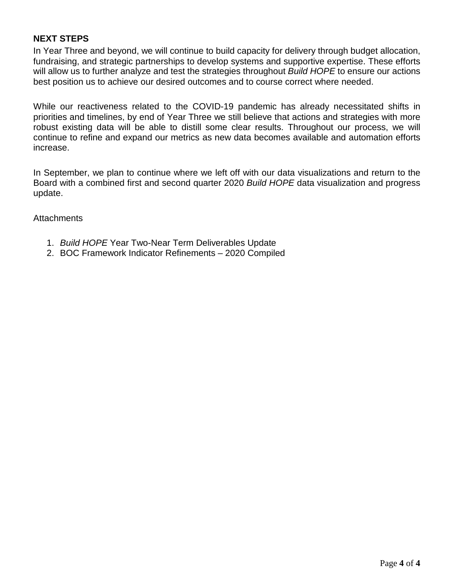# **NEXT STEPS**

In Year Three and beyond, we will continue to build capacity for delivery through budget allocation, fundraising, and strategic partnerships to develop systems and supportive expertise. These efforts will allow us to further analyze and test the strategies throughout *Build HOPE* to ensure our actions best position us to achieve our desired outcomes and to course correct where needed.

While our reactiveness related to the COVID-19 pandemic has already necessitated shifts in priorities and timelines, by end of Year Three we still believe that actions and strategies with more robust existing data will be able to distill some clear results. Throughout our process, we will continue to refine and expand our metrics as new data becomes available and automation efforts increase.

In September, we plan to continue where we left off with our data visualizations and return to the Board with a combined first and second quarter 2020 *Build HOPE* data visualization and progress update.

**Attachments** 

- 1. *Build HOPE* Year Two-Near Term Deliverables Update
- 2. BOC Framework Indicator Refinements 2020 Compiled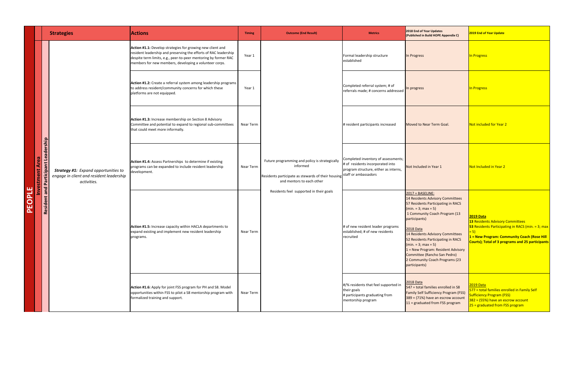|        |                                                              | <b>Strategies</b>                                                                                      | <b>Actions</b>                                                                                                                                                                                                                                                     | <b>Timing</b>                                                                                                                                                                                                        | <b>Outcome (End Result)</b>                                                                                                                                                                                                                                                                                  | <b>Metrics</b>                                                                                                                                   | 2018 End of Year Updates<br>(Published in Build HOPE Appendix C)                                                                                                                       | <b>2019 End of Year Update</b>                                                                                                         |
|--------|--------------------------------------------------------------|--------------------------------------------------------------------------------------------------------|--------------------------------------------------------------------------------------------------------------------------------------------------------------------------------------------------------------------------------------------------------------------|----------------------------------------------------------------------------------------------------------------------------------------------------------------------------------------------------------------------|--------------------------------------------------------------------------------------------------------------------------------------------------------------------------------------------------------------------------------------------------------------------------------------------------------------|--------------------------------------------------------------------------------------------------------------------------------------------------|----------------------------------------------------------------------------------------------------------------------------------------------------------------------------------------|----------------------------------------------------------------------------------------------------------------------------------------|
|        |                                                              |                                                                                                        | <b>Action #1.1:</b> Develop strategies for growing new client and<br>resident leadership and preserving the efforts of RAC leadership<br>despite term limits, e.g., peer-to-peer mentoring by former RAC<br>members for new members, developing a volunteer corps. | Year 1                                                                                                                                                                                                               |                                                                                                                                                                                                                                                                                                              | Formal leadership structure<br>established                                                                                                       | In Progress                                                                                                                                                                            | In Progress                                                                                                                            |
|        |                                                              |                                                                                                        | <b>Action #1.2:</b> Create a referral system among leadership programs<br>to address resident/community concerns for which these<br>platforms are not equipped.                                                                                                    | Year 1                                                                                                                                                                                                               |                                                                                                                                                                                                                                                                                                              | Completed referral system; # of<br>referrals made; # concerns addressed                                                                          | In progress                                                                                                                                                                            | In Progress                                                                                                                            |
|        |                                                              |                                                                                                        | <b>Action #1.3:</b> Increase membership on Section 8 Advisory<br>Committee and potential to expand to regional sub-committees<br>that could meet more informally.                                                                                                  | Near Term                                                                                                                                                                                                            |                                                                                                                                                                                                                                                                                                              | # resident participants increased                                                                                                                | Moved to Near Term Goal.                                                                                                                                                               | Not included for Year 2                                                                                                                |
|        | ership<br><b>Lead</b><br>Area<br>Investment<br>and Participa | <b>Strategy #1:</b> Expand opportunities to<br>engage in client and resident leadership<br>activities. | <b>Action #1.4:</b> Assess Partnerships to determine if existing<br>programs can be expanded to include resident leadership<br>development.                                                                                                                        | Near Term                                                                                                                                                                                                            | Future programming and policy is strategically<br>informed<br>Residents participate as stewards of their housing staff or ambassadors<br>and mentors to each other<br>Residents feel supported in their goals                                                                                                | Completed inventory of assessments;<br>$\#$ of residents incorporated into<br>program structure, either as interns,                              | Not Included in Year 1                                                                                                                                                                 | Not Included in Year 2                                                                                                                 |
| PEOPLE | Resident a                                                   |                                                                                                        | <b>Action #1.5:</b> Increase capacity within HACLA departments to<br>expand existing and implement new resident leadership<br>programs.                                                                                                                            | $2017 = BASELINE:$<br>$\frac{1}{\text{min.}}$ = 3; max = 5)<br>participants)<br># of new resident leader programs<br>2018 Data<br>established; # of new residents<br>Near Term<br>recruited<br>$(min. = 3; max = 5)$ | 14 Residents Advisory Committees<br>57 Residents Participating in RACS<br>1 Community Coach Program (13<br>14 Residents Advisory Committees<br>52 Residents Participating in RACS<br>$1 =$ New Program: Resident Advisory<br>Committee (Rancho San Pedro)<br>2 Community Coach Programs (23<br>participants) | $2019$ Data<br>13 Residents Advisory Co<br><b>53 Residents Participating</b><br><mark>1 = New Program: Comm</mark><br>Courts); Total of 3 progra |                                                                                                                                                                                        |                                                                                                                                        |
|        |                                                              |                                                                                                        | <b>Action #1.6:</b> Apply for joint FSS program for PH and S8. Model<br>opportunities within FSS to pilot a S8 mentorship program with<br>formalized training and support.                                                                                         | Near Term                                                                                                                                                                                                            |                                                                                                                                                                                                                                                                                                              | #/% residents that feel supported in<br>their goals<br># participants graduating from<br>mentorship program                                      | <b>2018 Data</b><br>$547$ = total families enrolled in S8<br><b>Family Self Sufficiency Program (FSS)</b><br>$389 = (71%)$ have an escrow account<br>$11 =$ graduated from FSS program | 2019 Data<br>577 = total families enrol<br><b>Sufficiency Program (FSS)</b><br>$382 = (55%)$ have an escr<br>$25 =$ graduated from FSS |

<mark>illed in Family Self</mark> row account  $\overline{\delta}$  program

**1 <mark>munity Coach (Rose Hill )</mark> rams and 25 participants** |

<mark>ommittees</mark> I  $\overline{\log}$  in RACS (min. = 3; max  $\overline{\log}$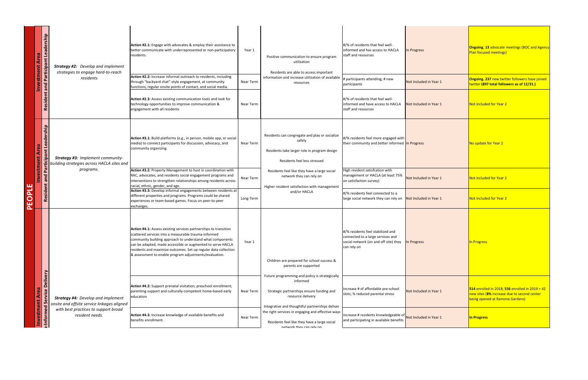| $\lhd$                                                                                                                                                                                                                                                                                                           |                                                                                                                                                                                                                                                                                                                                                                                          | <u>Inve</u><br>PEOPLE                                                                                                                                                                                                                                                                                                                                                                                                                                   | $\bar{\mathbf{z}}$<br>E<br>tme                                                                                                                                |                                                                                                                                                                                                                                | $\mathbf \sigma$<br>tment                                                                                                                                                                                                                                                          |
|------------------------------------------------------------------------------------------------------------------------------------------------------------------------------------------------------------------------------------------------------------------------------------------------------------------|------------------------------------------------------------------------------------------------------------------------------------------------------------------------------------------------------------------------------------------------------------------------------------------------------------------------------------------------------------------------------------------|---------------------------------------------------------------------------------------------------------------------------------------------------------------------------------------------------------------------------------------------------------------------------------------------------------------------------------------------------------------------------------------------------------------------------------------------------------|---------------------------------------------------------------------------------------------------------------------------------------------------------------|--------------------------------------------------------------------------------------------------------------------------------------------------------------------------------------------------------------------------------|------------------------------------------------------------------------------------------------------------------------------------------------------------------------------------------------------------------------------------------------------------------------------------|
| $\omega$<br>Deliy<br>vice<br>់ច<br>stment<br><b>Investm</b><br><b>Informe</b>                                                                                                                                                                                                                                    |                                                                                                                                                                                                                                                                                                                                                                                          | $\Delta$<br><b>bue</b><br>$\mathbf{r}$<br>$\omega$<br><b>bis</b>                                                                                                                                                                                                                                                                                                                                                                                        | Q<br>$\boldsymbol{\omega}$<br><b>PP</b><br>$\mathbf{\omega}$<br>$\overline{\phantom{0}}$<br>ant<br>articipa                                                   | $\overline{P}$<br>σ<br>$\mathbf{t}$<br>$\overline{\mathbf{C}}$<br>$\overline{5}$<br>$\alpha$                                                                                                                                   | ship<br>ω<br>$\overline{\mathbf{c}}$<br>$\overline{c}$<br>$\boldsymbol{\omega}$<br>ant<br>articipa                                                                                                                                                                                 |
| <b>Strategy #4:</b> Develop and implement<br>onsite and offsite service linkages aligned<br>with best practices to support broad<br>resident needs.                                                                                                                                                              |                                                                                                                                                                                                                                                                                                                                                                                          |                                                                                                                                                                                                                                                                                                                                                                                                                                                         | <b>Strategy #3: Implement community-</b><br>building strategies across HACLA sites and $\mid$<br>programs.                                                    |                                                                                                                                                                                                                                | <b>Strategy #2:</b> Develop and implement<br>strategies to engage hard-to-reach<br>residents                                                                                                                                                                                       |
| Action #4.2: Support prenatal visitation; preschool enrollment;<br>parenting support and culturally-competent home-based early<br>education<br>Action #4.3: Increase knowledge of available benefits and<br>benefits enrollment.                                                                                 | <b>Action #4.1:</b> Assess existing services partnerships to transition<br>scattered services into a measurable trauma-informed<br>community building approach to understand what components<br>can be adapted, made accessible or augmented to serve HACLA<br>residents and maximize outcomes. Set up regular data collection<br>8 assessment to enable program adjustments/evaluation. | <b>Action #3.2: Property Management to host in coordination with</b><br>RAC, advocates, and residents social engagement programs and<br>interventions to strengthen relationships among residents across<br>racial, ethnic, gender, and age.<br>Action #3.3: Develop informal engagements between residents at  <br>different properties and programs. Programs could be shared<br>experiences or team-based games. Focus on peer-to-peer<br>exchanges. | Action #3.1: Build platforms (e.g., in person, mobile app, or social<br>media) to connect participants for discussion, advocacy, and<br>community organizing. | functions, regular onsite points of contact, and social media.<br><b>Action #2.3:</b> Assess existing communication tools and look for<br>technology opportunities to improve communication &<br>engagement with all residents | <b>Action #2.1:</b> Engage with advocates & employ their assistance to<br>better communicate with underrepresented or non-participatory<br>residents.<br>Action #2.2: Increase informal outreach to residents, including<br>through "backyard chat"-style engagement, at community |
| Near Term<br>Near Term                                                                                                                                                                                                                                                                                           | Year 1                                                                                                                                                                                                                                                                                                                                                                                   | Near Term<br>Long-Term                                                                                                                                                                                                                                                                                                                                                                                                                                  | Near Term                                                                                                                                                     | Near Term                                                                                                                                                                                                                      | Year 1<br>Near Term                                                                                                                                                                                                                                                                |
| Future programming and policy is strategically<br>informed<br>Strategic partnerships ensure funding and<br>resource delivery<br>Integrative and thoughtful partnerships deliver<br>the right services in engaging and effective ways<br>Residents feel like they have a large social<br>network they can rely on | Children are prepared for school success &<br>parents are supported                                                                                                                                                                                                                                                                                                                      | Residents feel like they have a large social<br>network they can rely on<br>Higher resident satisfaction with management<br>and/or HACLA                                                                                                                                                                                                                                                                                                                | Residents can congregate and play or socialize<br>safely<br>Residents take larger role in program design<br>Residents feel less stressed                      |                                                                                                                                                                                                                                | Positive communication to ensure program<br>utilization<br>Residents are able to access important<br>information and increase utilization of available<br>resources                                                                                                                |
| Increase # of affordable pre-school<br>slots; % reduced parental stress<br> increase # residents knowledgeable of Not Included in Year 1<br>and participating in available benefits                                                                                                                              | $\left  \frac{\text{#}}{\text{%}} \right $ residents feel stabilized and<br>connected to a large services and<br>social network (on and off site) they<br>can rely on                                                                                                                                                                                                                    | High resident satisfcation with<br>management or HACLA (at least 75%<br>on satisfaction survey)<br>$\mu$ /% residents feel connected to a<br>large social network they can rely on   Not Included in Year 1                                                                                                                                                                                                                                             | $\frac{4}{3}$ residents feel more engaged with<br>their community and better informed In Progress                                                             | participants<br>#/% of residents that feel well-<br>informed and have access to HACLA<br>staff and resources                                                                                                                   | #/% of residents that feel well-<br>informed and has access to HACLA<br>staff and resources<br># participants attending; # new                                                                                                                                                     |
| Not Included in Year 1                                                                                                                                                                                                                                                                                           | In Progress                                                                                                                                                                                                                                                                                                                                                                              | Not Included in Year 1                                                                                                                                                                                                                                                                                                                                                                                                                                  |                                                                                                                                                               | Not Included in Year 1                                                                                                                                                                                                         | In Progress<br>Not Included in Year 1                                                                                                                                                                                                                                              |
| <b>514</b> enrolled in 2018; 556 enrolled in 2019 = 42<br>new sites (8% increase due to second center<br>being opened at Ramona Gardens)<br><b>In Progress</b>                                                                                                                                                   | In Progress                                                                                                                                                                                                                                                                                                                                                                              | Not included for Year 2<br>Not included for Year 2                                                                                                                                                                                                                                                                                                                                                                                                      | No update for Year 2                                                                                                                                          | twitter (897 total followers as of 12/31.)<br>Not included for Year 2                                                                                                                                                          | <b>Ongoing. 13 advocate meetings (BOC and Agend</b><br><b>Plan focused meetings)</b><br>Ongoing. 237 new twitter followers have joined                                                                                                                                             |

# **neetings (BOC and Agency**

# <mark>lue to second center</mark> a Gardens)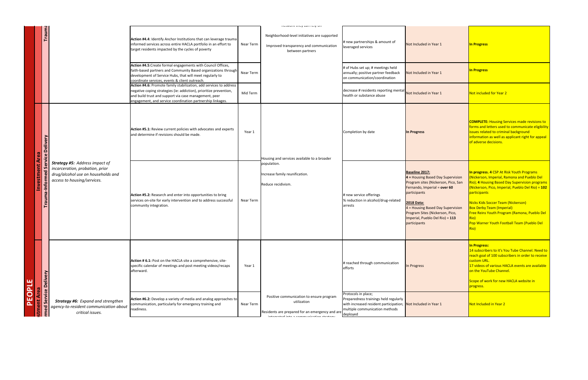| PEOPL                                                                                                                                           | 띡                                                                                                                                                |                                                                                                                                                            |                                                                                                                      |                                                                                                                                                                                                                                                                                                                                                                                                                                                 |                                                                                                                                                                                                                                                             |  |
|-------------------------------------------------------------------------------------------------------------------------------------------------|--------------------------------------------------------------------------------------------------------------------------------------------------|------------------------------------------------------------------------------------------------------------------------------------------------------------|----------------------------------------------------------------------------------------------------------------------|-------------------------------------------------------------------------------------------------------------------------------------------------------------------------------------------------------------------------------------------------------------------------------------------------------------------------------------------------------------------------------------------------------------------------------------------------|-------------------------------------------------------------------------------------------------------------------------------------------------------------------------------------------------------------------------------------------------------------|--|
| stment Area                                                                                                                                     |                                                                                                                                                  | Investment Area                                                                                                                                            |                                                                                                                      |                                                                                                                                                                                                                                                                                                                                                                                                                                                 |                                                                                                                                                                                                                                                             |  |
| rvice<br><u>ဖ</u><br>$\overline{c}$                                                                                                             | <b>Delivery</b>                                                                                                                                  | $\mathbf{\omega}$<br>$\overline{v}$<br>formed<br>Trauma-In                                                                                                 | <b>Delivery</b><br>$\mathbf{\omega}$<br>rvic                                                                         |                                                                                                                                                                                                                                                                                                                                                                                                                                                 | Trauma                                                                                                                                                                                                                                                      |  |
| <b>Strategy #6:</b> Expand and strengthen<br>agency-to-resident communication about<br>critical issues.                                         |                                                                                                                                                  | <b>Strategy #5: Address impact of</b><br>incarceration, probation, prior<br>drug/alcohol use on households and<br>access to housing/services.              |                                                                                                                      |                                                                                                                                                                                                                                                                                                                                                                                                                                                 |                                                                                                                                                                                                                                                             |  |
| <b>Action #6.2:</b> Develop a variety of media and analog approaches to<br>communication, particularly for emergency training and<br>readiness. | <b>Action # 6.1:</b> Post on the HACLA site a comprehensive, site-<br>specific calendar of meetings and post meeting videos/recaps<br>afterward. | Action #5.2: Research and enter into opportunities to bring<br>services on-site for early intervention and to address successful<br>community integration. | <b>Action #5.1:</b> Review current policies with advocates and experts<br>and determine if revisions should be made. | faith-based partners and Community Based organizations through<br>development of Service Hubs, that will meet regularly to<br>coordinate services, events & client outreach.<br>Action #4.6: Promote family stabilization, add services to address<br>negative coping strategies (ie: addiction), prioritize prevention,<br>and build trust and support via case management, peer<br>engagement, and service coordination partnership linkages. | Action #4.4: Identify Anchor Institutions that can leverage trauma<br>informed services across entire HACLA portfolio in an effort to<br>target residents impacted by the cycles of poverty<br>Action #4.5: Create formal engagements with Council Offices, |  |
| <b>Near Term</b>                                                                                                                                | Year 1                                                                                                                                           | <b>Near Term</b>                                                                                                                                           | Year 1                                                                                                               | <b>Near Term</b><br>Mid Term                                                                                                                                                                                                                                                                                                                                                                                                                    | <b>Near Term</b>                                                                                                                                                                                                                                            |  |

|                                                                                                                                                                                                                                                                 |                  | HULWUIN LIIUY UMITTUIY UM                                                                                                                                      |                                                                                                                                                                             |                                                                                                                                                                                                                                                                                                             |                                                                                                                                                                                                                                                                                                                                                                                                                             |
|-----------------------------------------------------------------------------------------------------------------------------------------------------------------------------------------------------------------------------------------------------------------|------------------|----------------------------------------------------------------------------------------------------------------------------------------------------------------|-----------------------------------------------------------------------------------------------------------------------------------------------------------------------------|-------------------------------------------------------------------------------------------------------------------------------------------------------------------------------------------------------------------------------------------------------------------------------------------------------------|-----------------------------------------------------------------------------------------------------------------------------------------------------------------------------------------------------------------------------------------------------------------------------------------------------------------------------------------------------------------------------------------------------------------------------|
| Action #4.4: Identify Anchor Institutions that can leverage trauma<br>informed services across entire HACLA portfolio in an effort to<br>target residents impacted by the cycles of poverty                                                                     | Near Term        | Neighborhood-level initiatives are supported<br>Improved transparency and communication<br>between partners                                                    | # new partnerships & amount of<br>leveraged services                                                                                                                        | Not Included in Year 1                                                                                                                                                                                                                                                                                      | In Progress                                                                                                                                                                                                                                                                                                                                                                                                                 |
| Action #4.5: Create formal engagements with Council Offices,<br>faith-based partners and Community Based organizations through<br>development of Service Hubs, that will meet regularly to<br>coordinate services, events & client outreach.                    | Near Term        |                                                                                                                                                                | # of Hubs set up; # meetings held<br>annually; positive partner feedback<br>on communication/coordination                                                                   | Not Included in Year 1                                                                                                                                                                                                                                                                                      | In Progress                                                                                                                                                                                                                                                                                                                                                                                                                 |
| Action #4.6: Promote family stabilization, add services to address<br>negative coping strategies (ie: addiction), prioritize prevention,<br>and build trust and support via case management, peer<br>engagement, and service coordination partnership linkages. | Mid Term         |                                                                                                                                                                | decrease # residents reporting mental Not Included in Year 1<br>health or substance abuse                                                                                   |                                                                                                                                                                                                                                                                                                             | Not included for Year 2                                                                                                                                                                                                                                                                                                                                                                                                     |
| Action #5.1: Review current policies with advocates and experts<br>and determine if revisions should be made.                                                                                                                                                   | Year 1           | Housing and services available to a broader                                                                                                                    | Completion by date                                                                                                                                                          | In Progress                                                                                                                                                                                                                                                                                                 | <b>COMPLETE: Housing Services made revisions to</b><br>forms and letters used to communicate eligibility<br>issues related to criminal background<br>information as well as applicant right for appeal<br>of adverse decisions.                                                                                                                                                                                             |
| Action #5.2: Research and enter into opportunities to bring<br>services on-site for early intervention and to address successful<br>community integration.                                                                                                      | <b>Near Term</b> | population.<br>Increase family reunification.<br>Reduce recidivism.                                                                                            | # new service offerings<br>% reduction in alcohol/drug-related<br>arrests                                                                                                   | <b>Baseline 2017:</b><br>$\vert$ 4 = Housing Based Day Supervision<br>Program sites (Nickerson, Pico, San<br>Fernando, Imperial = over 60<br>participants<br><b>2018 Data:</b><br>$4$ = Housing Based Day Supervision<br>Program Sites (Nickerson, Pico,<br>Imperial, Pueblo Del Rio) = 113<br>participants | In progress. 4 CSP At Risk Youth Programs<br>(Nickerson, Imperial, Ramona and Pueblo Del<br>Rio); 4 Housing Based Day Supervision programs<br>$($ Nickerson, Pico, Imperial, Pueblo Del Rio $)$ = 102<br>participants<br>Nicks Kids Soccer Team (Nickerson)<br><b>Box Derby Team (Imperial)</b><br><b>Free Reins Youth Program (Ramona, Pueblo Del</b><br><b>Rio)</b><br>Pop Warner Youth Football Team (Pueblo Del<br>Rio) |
| Action # 6.1: Post on the HACLA site a comprehensive, site-<br>specific calendar of meetings and post meeting videos/recaps<br>afterward.                                                                                                                       | Year 1           |                                                                                                                                                                | # reached through communication<br>efforts                                                                                                                                  | In Progress                                                                                                                                                                                                                                                                                                 | In Progress:<br>14 subscribers to it's You Tube Channel. Need to<br>reach goal of 100 subscribers in order to receive<br><b>custom URL.</b><br>17 videos of various HACLA events are available<br>on the YouTube Channel.<br>Scope of work for new HACLA website in<br>progress.                                                                                                                                            |
| <b>Action #6.2:</b> Develop a variety of media and analog approaches to<br>communication, particularly for emergency training and<br>readiness.                                                                                                                 | Near Term        | Positive communication to ensure program<br>utilization<br>Residents are prepared for an emergency and are<br>akanakantan'ina ao ao amin'indra dia mandratan'i | Protocols in place;<br>Preparedness trainings held regularly<br>with increased resident participation; Not Included in Year 1<br>multiple communication methods<br>deployed |                                                                                                                                                                                                                                                                                                             | Not Included in Year 2                                                                                                                                                                                                                                                                                                                                                                                                      |
|                                                                                                                                                                                                                                                                 |                  |                                                                                                                                                                |                                                                                                                                                                             |                                                                                                                                                                                                                                                                                                             |                                                                                                                                                                                                                                                                                                                                                                                                                             |

# $\sf{u}$  Tube Channel. Need to  $\mid$ ribers in order to receive  $\overline{\phantom{a}}$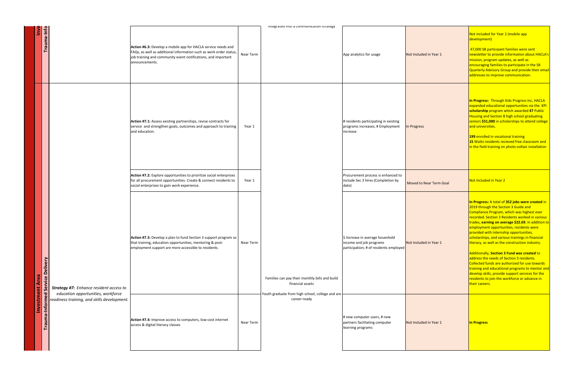| <u>Inve</u>                 | Trauma-Info                                                                                                                                                                       |                                                                                                                                                                                       | Action #6.3: Develop a mobile app for HACLA service needs and<br>FAQs, as well as additional information such as work order status,<br>job training and community event notifications, and important<br>announcements. | <b>Near Term</b> |
|-----------------------------|-----------------------------------------------------------------------------------------------------------------------------------------------------------------------------------|---------------------------------------------------------------------------------------------------------------------------------------------------------------------------------------|------------------------------------------------------------------------------------------------------------------------------------------------------------------------------------------------------------------------|------------------|
|                             |                                                                                                                                                                                   |                                                                                                                                                                                       | Action #7.1: Assess existing partnerships, revise contracts for<br>service and strengthen goals, outcomes and approach to training<br>and education.                                                                   | Year 1           |
|                             |                                                                                                                                                                                   |                                                                                                                                                                                       | <b>Action #7.2:</b> Explore opportunities to prioritize social enterprises<br>for all procurement opportunities. Create & connect residents to<br>social enterprises to gain work experience.                          | Year 1           |
| rea<br>$\blacktriangleleft$ | <b>Deliv</b><br>Service<br><b>Strategy #7:</b> Enhance resident access to<br>Trauma-Informed<br>education opportunities, workforce<br>readiness training, and skills development. | Action #7.3: Develop a plan to fund Section 3 support program so<br>that training, education opportunities, mentoring & post-<br>employment support are more accessible to residents. | <b>Near Term</b>                                                                                                                                                                                                       |                  |
| Investment                  |                                                                                                                                                                                   | Action #7.4: Improve access to computers, low-cost internet<br>access & digital literacy classes                                                                                      | <b>Near Term</b>                                                                                                                                                                                                       |                  |

|           | integrated into a communication strategy                           |                                                                                                       |                                |                                                                                                                                                                                                                                                                                                                                                                                                                                                                                                                                                                                                                                                                                                                                                                     |
|-----------|--------------------------------------------------------------------|-------------------------------------------------------------------------------------------------------|--------------------------------|---------------------------------------------------------------------------------------------------------------------------------------------------------------------------------------------------------------------------------------------------------------------------------------------------------------------------------------------------------------------------------------------------------------------------------------------------------------------------------------------------------------------------------------------------------------------------------------------------------------------------------------------------------------------------------------------------------------------------------------------------------------------|
| Near Term |                                                                    | App analytics for usage                                                                               | Not Included in Year 1         | Not included for Year 2 (mobile app<br>development)<br>47,000 S8 participant families were sent<br>newsletter to provide information about HACLA<br>mission, program updates, as well as<br>encouraging families to participate in the S8<br>Quarterly Advisory Group and provide their ema<br>addresses to improve communication.                                                                                                                                                                                                                                                                                                                                                                                                                                  |
| Year 1    |                                                                    | # residents participating in existing<br>programs increases; # Employment<br>lincrease                | In Progress                    | In Progress: Through Kids Progress Inc, HACLA<br>expanded educational opportunities via the KPI<br>scholarship program which awarded 47 Public<br>Housing and Section 8 high school graduating<br>seniors \$51,000 in scholarships to attend college<br>and universities.<br>199 enrolled in vocational training<br>15 Watts residents recieved free classroom and<br>in the field training on photo-voltaic installation                                                                                                                                                                                                                                                                                                                                           |
| Year 1    |                                                                    | Procurement process is enhanced to<br>include Sec 3 hires (Completion by<br>date)                     | <b>Moved to Near Term Goal</b> | Not Included in Year 2                                                                                                                                                                                                                                                                                                                                                                                                                                                                                                                                                                                                                                                                                                                                              |
| Near Term | Families can pay their monthly bills and build<br>financial assets | \$ Increase in average houeshold<br>income and job programs<br>participation; # of residents employed | Not Included in Year 1         | In Progress: A total of 352 jobs were created in<br>2019 through the Section 3 Guide and<br>Compliance Program, which was highest ever<br>recorded. Section 3 Residents worked in various<br>trades, earning on average \$22.69. In addition t<br>employment opportunities, residents were<br>provided with internship opportunities,<br>scholarships, and various trainings in financial<br>literacy, as well as the construction industry.<br>Additionally, Section 3 Fund was created to<br>address the needs of Section 3 residents.<br>Collected funds are authorized for use towards<br>training and educational programs to mentor ar<br>develop skills, provide support services for the<br>residents to join the workforce or advance in<br>their careers. |
| Near Term | Youth graduate from high school, college and are<br>career-ready   | # new computer users, # new<br>partners facilitating computer<br>learning programs                    | Not Included in Year 1         | In Progress                                                                                                                                                                                                                                                                                                                                                                                                                                                                                                                                                                                                                                                                                                                                                         |
|           |                                                                    |                                                                                                       |                                |                                                                                                                                                                                                                                                                                                                                                                                                                                                                                                                                                                                                                                                                                                                                                                     |

# mobile app

milies were sent formation about HACLA's <mark>es, as well as</mark>  $\blacksquare$ participate in the S8  $\frac{1}{p}$  and provide their email mmunication.

# **ds Progress Inc, HACLA** pportunities via the KPI **scholarship** program which awarded **47** Public igh school graduating **Solution** in September 1

**52 jobs were created in**  $\overline{\phantom{a}}$  3 Guide and hich was highest ever dents worked in various age \$22.69. In addition to ies, residents were <mark>opportunities,</mark> s trainings in financial onstruction industry.

**und was created** to <mark>ction 3 residents.</mark> orized for use towards programs to mentor and upport services for the kforce or advance in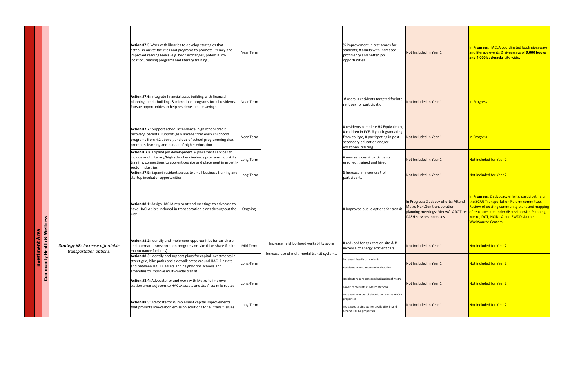|                      |                                                                                                                                        | Action #7.5 Work with libraries to develop strategies that<br>establish onsite facilities and programs to promote literacy and<br>improved reading levels (e.g. book exchanges, potential co-<br>location, reading programs and literacy training.) | Near Term |                                                                                         | % improvement in test scores for<br>students; # adults with increased<br>proficiency and better job<br>opportunities                                                        | Not Included in Year 1                                                                                        | In Progress: HACLA coordinated book giveaways<br>and literacy events & giveaways of 9,000 books<br>and 4,000 backpacks city-wide.                                                                                                                                                                             |
|----------------------|----------------------------------------------------------------------------------------------------------------------------------------|-----------------------------------------------------------------------------------------------------------------------------------------------------------------------------------------------------------------------------------------------------|-----------|-----------------------------------------------------------------------------------------|-----------------------------------------------------------------------------------------------------------------------------------------------------------------------------|---------------------------------------------------------------------------------------------------------------|---------------------------------------------------------------------------------------------------------------------------------------------------------------------------------------------------------------------------------------------------------------------------------------------------------------|
|                      |                                                                                                                                        | Action #7.6: Integrate financial asset building with financial<br>planning, credit building, & micro-loan programs for all residents.<br>Pursue opportunities to help residents create savings.                                                     | Near Term |                                                                                         | # users, # residents targeted for late<br>rent pay for participation                                                                                                        | Not Included in Year 1                                                                                        | In Progress                                                                                                                                                                                                                                                                                                   |
|                      |                                                                                                                                        | Action #7.7: Support school attendance, high school credit<br>recovery, parental support (as a linkage from early childhood<br>programs from 4.2 above), and out-of-school programming that<br>promotes learning and pursuit of higher education    | Near Term |                                                                                         | # residents complete HS Equivalency,<br># children in ECE, # youth graduating<br>from college, # particpating in post-<br>secondary education and/or<br>vocational training | Not Included in Year 1                                                                                        | In Progress                                                                                                                                                                                                                                                                                                   |
|                      |                                                                                                                                        | Action # 7.8: Expand job development & placement services to<br>include adult literacy/high school equivalency programs, job skills<br>training, connections to apprenticeships and placement in growth-<br>sector industries.                      | Long-Term |                                                                                         | # new services, # participants<br>enrolled, trained and hired                                                                                                               | Not Included in Year 1                                                                                        | Not included for Year 2                                                                                                                                                                                                                                                                                       |
|                      |                                                                                                                                        | Action #7.9: Expand resident access to small business training and<br>startup incubator opportunities                                                                                                                                               | Long-Term |                                                                                         | \$ Increase in incomes; # of<br>participants                                                                                                                                | Not Included in Year 1                                                                                        | Not included for Year 2                                                                                                                                                                                                                                                                                       |
|                      | <b>Investment Area</b><br><b>Dramunity Health &amp; Wellness</b><br><b>Strategy #8: Increase affordable</b><br>transportation options. | Action #8.1: Assign HACLA rep to attend meetings to advocate to<br>have HACLA sites included in transportation plans throughout the<br>City                                                                                                         | Ongoing   | Increase neighborhood walkability score<br>Increase use of multi-modal transit systems. | # Improved public options for transit                                                                                                                                       | In Progress: 2 advocy efforts: Attend<br><b>Metro NextGen transporation</b><br><b>DASH services increases</b> | In Progress: 2 advocacy efforts: participating on<br>the SCAG Transportation Reform committee.<br>Review of exisitng community plans and mapping<br>planning meetings; Met w/ LADOT re: of re-routes are under discussion with Planning,<br>Metro, DOT, HCID-LA and EWDD via the<br><b>WorkSource Centers</b> |
|                      |                                                                                                                                        | Action #8.2: Identify and implement opportunities for car-share<br>and alternate transportation programs on-site (bike-share & bike<br>maintenance facilities)                                                                                      | Mid Term  |                                                                                         | # reduced for gas cars on site & #<br>increase of energy efficient cars                                                                                                     | Not Included in Year 1                                                                                        | Not included for Year 2                                                                                                                                                                                                                                                                                       |
|                      |                                                                                                                                        | Action #8.3: Identify and support plans for capital investments in<br>street grid, bike paths and sidewalk areas around HACLA assets<br>and between HACLA assets and neighboring schools and<br>amenities to improve multi-modal transit            | Long-Term |                                                                                         | Increased health of residents<br>Residents report improved walkability                                                                                                      | Not Included in Year 1                                                                                        | Not included for Year 2                                                                                                                                                                                                                                                                                       |
| $\breve{\mathbf{C}}$ |                                                                                                                                        | Action #8.4: Advocate for and work with Metro to improve<br>station areas adjacent to HACLA assets and 1st / last mile routes                                                                                                                       | Long-Term |                                                                                         | Residents report increased utilization of Metro<br>Lower crime stats at Metro stations                                                                                      | Not Included in Year 1                                                                                        | Not included for Year 2                                                                                                                                                                                                                                                                                       |
|                      |                                                                                                                                        | Action #8.5: Advocate for & implement capital improvements<br>that promote low-carbon emission solutions for all transit issues                                                                                                                     | Long-Term |                                                                                         | Increased number of electric vehicles at HACLA<br>properties<br>Increase charging station availability in and<br>around HACLA properties                                    | Not Included in Year 1                                                                                        | Not included for Year 2                                                                                                                                                                                                                                                                                       |

<mark>n Reform committee.</mark>  $n$ unity plans and mapping iscussion with Planning, d EWDD via the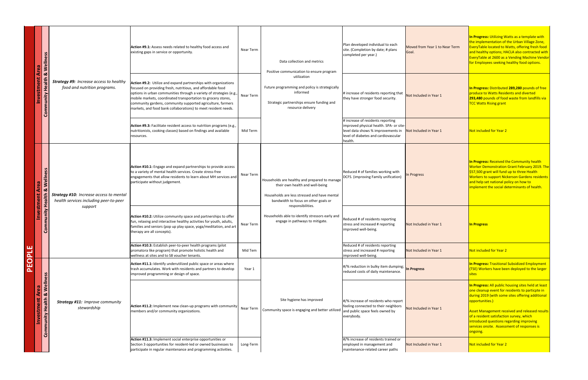|                              | <b>Are</b>                                                        |                                                                                          | Action #9.1: Assess needs related to healthy food access and<br>Near Term<br>existing gaps in service or opportunity.                                                                                                                                                                                                                                                                                                  |           | Data collection and metrics<br>Positive communication to ensure program                                                                                                                                                                                                             | Plan developed individual to each<br>site. (Completion by date; # plans<br>completed per year.)            | Moved from Year 1 to Near Term<br>Goal                                                       | <b>In Progress: Utilizing Wat</b><br>the implementation of th<br><b>EveryTable located to Wa</b><br>and healthy options; HAC<br>EveryTable at 2600 as a \<br>for Employees seeking he                                                     |
|------------------------------|-------------------------------------------------------------------|------------------------------------------------------------------------------------------|------------------------------------------------------------------------------------------------------------------------------------------------------------------------------------------------------------------------------------------------------------------------------------------------------------------------------------------------------------------------------------------------------------------------|-----------|-------------------------------------------------------------------------------------------------------------------------------------------------------------------------------------------------------------------------------------------------------------------------------------|------------------------------------------------------------------------------------------------------------|----------------------------------------------------------------------------------------------|-------------------------------------------------------------------------------------------------------------------------------------------------------------------------------------------------------------------------------------------|
|                              | <b>Community Health &amp; Wellness</b><br>estment<br>9            | <b>Strategy #9:</b> Increase access to healthy<br>food and nutrition programs.           | Action #9.2: Utilize and expand partnerships with organizations<br>focused on providing fresh, nutritious, and affordable food<br>options in urban communities through a variety of strategies (e.g.,  <br>Near Term<br>mobile markets, coordinated transportation to grocery stores,<br>community gardens, community supported agriculture, farmers<br>markets, and food bank collaborations) to meet resident needs. |           | utilization<br>Future programming and policy is strategically<br>informed<br>Strategic partnerships ensure funding and<br>resource delivery                                                                                                                                         | # increase of residents reporting that<br>they have stronger food security.                                | Not Included in Year 1                                                                       | <b>In Progress: Distributed:</b><br>produce to Watts Reside<br>293,480 pounds of food<br><b>TCC Watts Rising grant</b>                                                                                                                    |
|                              |                                                                   |                                                                                          | Action #9.3: Facilitate resident access to nutrition programs (e.g.,  <br>nutritionists, cooking classes) based on findings and available<br>Mid Term<br>resources.                                                                                                                                                                                                                                                    |           | # increase of residents reporting<br>improved physical health. SPA- or site-<br>level data shows % improvements in<br>level of diabetes and cardiovascular<br>health.                                                                                                               | Not Included in Year 1                                                                                     | Not included for Year 2                                                                      |                                                                                                                                                                                                                                           |
|                              | <b>&amp; Wellness</b><br>Area<br>estment<br>alth                  | <b>Strategy #10:</b> Increase access to mental<br>health services including peer-to-peer | Action #10.1: Engage and expand partnerships to provide access<br>to a variety of mental health services. Create stress-free<br>Near Term<br>engagements that allow residents to learn about MH services and<br>participate without judgement.                                                                                                                                                                         |           | Households are healthy and prepared to manage<br>their own health and well-being<br>Households are less stressed and have mental<br>bandwidth to focus on other goals or<br>responsibilities.<br>Households able to identify stressors early and<br>engage in pathways to mitigate. | Reduced # of families working with<br>DCFS. (improving Family unification)                                 | In Progress                                                                                  | In Progress: Received the<br><b>Worker Demonstration G</b><br>\$57,500 grant will fund u<br><b>Workers to support Nick</b><br>and help set national pol<br>implement the social det                                                       |
|                              | Community He<br>Ň                                                 | support                                                                                  | Action #10.2: Utilize community space and partnerships to offer<br>fun, relaxing and interactive healthy activities for youth, adults,<br>families and seniors (pop up play space, yoga/meditation, and art<br>therapy are all concepts).                                                                                                                                                                              | Near Term |                                                                                                                                                                                                                                                                                     |                                                                                                            | Reduced # of residents reporting<br>stress and increased # reporting<br>improved well-being. | Not Included in Year 1                                                                                                                                                                                                                    |
| щ<br>$\overline{\mathbf{a}}$ |                                                                   |                                                                                          | Action #10.3: Establish peer-to-peer health programs (pilot<br>promatora like program) that promote holistic health and<br>Mid Tem<br>wellness at sites and to S8 voucher tenants.                                                                                                                                                                                                                                     |           |                                                                                                                                                                                                                                                                                     | Reduced # of residents reporting<br>stress and increased # reporting<br>improved well-being.               | Not Included in Year 1                                                                       | Not included for Year 2                                                                                                                                                                                                                   |
| PEO                          | ပ္တ                                                               |                                                                                          | Action #11.1: Identify underutilized public space or areas where<br>trash accumulates. Work with residents and partners to develop<br>Year 1<br>improved programming or design of space.                                                                                                                                                                                                                               |           |                                                                                                                                                                                                                                                                                     | $ #$ /% reduction in bulky item dumping; $\ln$ Progress<br>reduced costs of daily maintenance.             |                                                                                              | <b>In Progress: Trasitional S</b><br>(TSE) Workers have been<br><b>sites</b>                                                                                                                                                              |
|                              | <b>Community Health &amp; Wellne</b><br><b>Are:</b><br>Investment | <b>Strategy #11: Improve community</b><br>stewardship                                    | Action #11.2: Implement new clean-up programs with community   Near Term<br>members and/or community organizations.                                                                                                                                                                                                                                                                                                    |           | Site hygiene has improved<br>Community space is engaging and better utilized and public space feels owned by                                                                                                                                                                        | $\mid \frac{4}{\%}$ increase of residents who report<br>feeling connected to their neighbors<br>everybody. | Not Included in Year 1                                                                       | In Progress: All public ho<br>one cleanup event for res<br>during 2019 (with some s<br>opportunities.)<br><b>Asset Management recei</b><br>of a resident satisfaction<br>introduced questions reg<br>services onsite. Assessm<br>ongoing. |
|                              |                                                                   |                                                                                          | Action #11.3: Implement social enterprise opportunities or<br>Section 3 opportunities for resident-led or owned businesses to<br>Long-Term<br>participate in regular maintenance and programming activities.                                                                                                                                                                                                           |           |                                                                                                                                                                                                                                                                                     | #/% increase of residents trained or<br>employed in management and<br>maintenance-related career paths     | Not Included in Year 1                                                                       | Not included for Year 2                                                                                                                                                                                                                   |

**In Exercise: 15 Arries: 15 Arries: 15 Arries: 15 Arries: 15 Arries: 15 Arries: 15 Arries: 15 Arries: 15 Arries: 15 Arries: 15 Arries: 15 Arries: 15 Arries: 15 Arries: 15 Arries: 15 Arries: 15 Arries: 15 Arries: 15 Arries:** he Urban Village Zone,  $\sqrt{\frac{2}{10}}$  atts, offering fresh food  $ACLA$  also contracted with Vending Machine Vendor ealthy food options.

**289,280** pounds of free ents and diverted **293** waste from landfills via

**In Progretive Community health** Grant February 2019. The up to three Health  $\overline{\text{Kerson}}$  Gardens residents licy on how to  $\overline{\text{terminants of health.}}$ 

**Subsidized Employment** n deployed to the larger

**Dusing sites held at least** esidents to particpte in sites offering additional

 $\frac{1}{2}$ ived and released results <mark>) survey, which</mark> **introduced** questions regarding in **Services** on the services is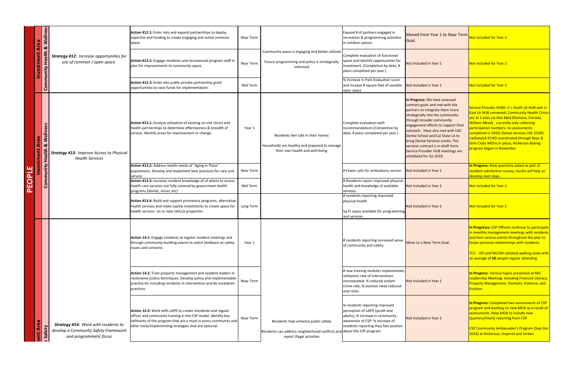|        | S<br>Area<br>Area                                                                               |                                                                                     | <b>Action #12.1:</b> Enter into and expand partnerships to deploy<br>expertise and funding to create engaging and active common<br>space.                                                                                                                        | <b>Near Term</b> |                                                                                                                        | Expand # of partners engaged in<br>recreation & programming activities<br>in outdoor spaces.                                                                                     | Moved from Year 1 to Near Term<br>Goal                                                                                                                                                                                                                                                                                                                                                                                                 | Not included for Year 2                                                                                                                                                                                                                                                                                                                                                                                                             |
|--------|-------------------------------------------------------------------------------------------------|-------------------------------------------------------------------------------------|------------------------------------------------------------------------------------------------------------------------------------------------------------------------------------------------------------------------------------------------------------------|------------------|------------------------------------------------------------------------------------------------------------------------|----------------------------------------------------------------------------------------------------------------------------------------------------------------------------------|----------------------------------------------------------------------------------------------------------------------------------------------------------------------------------------------------------------------------------------------------------------------------------------------------------------------------------------------------------------------------------------------------------------------------------------|-------------------------------------------------------------------------------------------------------------------------------------------------------------------------------------------------------------------------------------------------------------------------------------------------------------------------------------------------------------------------------------------------------------------------------------|
|        | <b>Investment Are<br/>munity Health &amp; \</b><br>Inity He                                     | <b>Strategy #12: Increase opportunities for</b><br>use of common / open space.      | <b>Action #12.2:</b> Engage residents and recreational program staff in<br>plan for improvements to community space.                                                                                                                                             | Near Term        | Community space is engaging and better utilized<br>Future programming and policy is strategically<br>informed          | Complete evaluation of functional<br>space and identify opportunities for<br>investment. (Completion by date; #<br>plans completed per year.)                                    | Not Included in Year 1                                                                                                                                                                                                                                                                                                                                                                                                                 | Not included for Year 2                                                                                                                                                                                                                                                                                                                                                                                                             |
|        | $\overline{c}$                                                                                  |                                                                                     | <b>Action #12.3:</b> Enter into public-private partnership grant<br>opportunities to raise funds for implementation.                                                                                                                                             | Mid Term         |                                                                                                                        | % Increase in Park Evaluation score<br>and incease # square feet of useable<br>open space                                                                                        | Not Included in Year 1                                                                                                                                                                                                                                                                                                                                                                                                                 | Not included for Year 2                                                                                                                                                                                                                                                                                                                                                                                                             |
|        | ്ധ<br><b>Welln</b><br>$\overline{\bullet}$<br><b>Investment A</b><br><b>Nunity Health &amp;</b> | <b>Strategy #13: Improve Access to Physical</b><br><b>Health Services</b>           | <b>Action #13.1:</b> Analyze utilization of existing on-site clinics and<br>health partnerships to determine effectiveness & breadth of<br>service. Identify areas for improvement or change.                                                                    | Year 1           | Residents feel safe in their homes<br>Households are healthy and prepared to manage<br>their own health and well-being | Complete evaluation with<br>recommendations (Completion by<br>date; # plans completed per year.)                                                                                 | In Progress: We have assessed<br>contract goals and met with the<br>partners to integrate them more<br>strategically into the community<br>through broader community<br>engagement efforts to support their<br>outreach. Have also met with USC<br>Dental School and Cal State LA to<br><b>bring Dental Services onsite. The</b><br>services contract is in draft form;<br>Service Provider HUB meetings are<br>scheduled for Q1 2019. | Service Provider HUBS: 2 = South LA HUB and 1<br><b>East LA HUB convened; Community Health Clin</b><br>are at 3 sites via Alta Med (Ramona, Estrada,<br><b>William Mead) - currently only collecting</b><br>participation numbers; no assessments<br>completed in 2019; Dental services USC ECHO;<br>CalStateLA ECHO coordinated through Boys &<br><b>Girls Clubs MOUs in place; Nickerson Boxing</b><br>program began in November. |
|        |                                                                                                 |                                                                                     | <b>Action #13.2:</b> Address health needs of "Aging In Place"<br>populations. Develop and implement best practices for care and<br>service.                                                                                                                      | Near Term        |                                                                                                                        | # Fewer calls for ambulatory service                                                                                                                                             | Not Included in Year 1                                                                                                                                                                                                                                                                                                                                                                                                                 | In Progress: New questions asked as part of<br>resident satisfaction survey; results will help us<br>develop next steps                                                                                                                                                                                                                                                                                                             |
| PEOPLE | .<br>S                                                                                          |                                                                                     | Action #13.3: increase resident knowledge of of where to access<br>health care services not fully covered by government health<br>programs (dental, vision, etc)                                                                                                 | Mid Term         |                                                                                                                        | # Residents report improved physical<br>health and knowledge of available<br>services.                                                                                           | Not Included in Year 1                                                                                                                                                                                                                                                                                                                                                                                                                 | Not included for Year 2                                                                                                                                                                                                                                                                                                                                                                                                             |
|        |                                                                                                 |                                                                                     | <b>Action #13.4:</b> Build and support promatora programs, alternative  <br>health services and make capital investments to create space for<br>health services on or near HACLA properties                                                                      | Long-Term        |                                                                                                                        | # residents reporting improved<br>physical health<br>Sq Ft space available for programming<br>and services                                                                       | Not Included in Year 1                                                                                                                                                                                                                                                                                                                                                                                                                 | Not included for Year 2                                                                                                                                                                                                                                                                                                                                                                                                             |
|        |                                                                                                 |                                                                                     | <b>Action 14.1:</b> Engage residents at regular resident meetings and<br>through community-building events to solicit feedback on safety<br>lissues and concerns                                                                                                 | Year 1           |                                                                                                                        | # residents reporting increased sense<br>of community and safety.                                                                                                                | Move to a Near Term Goal.                                                                                                                                                                                                                                                                                                                                                                                                              | In Progresss: CSP Officers continue to participa<br>in monthly management meetings with resider<br>and host various events throughout the year to<br>foster personal relationships with residents.<br>TCC - UPI and WCOM initiated walking clubs w<br>an average of 50 people regular attending                                                                                                                                     |
|        |                                                                                                 | <b>Strategy #14: Work with residents to</b><br>develop a Community Safety Framework | <b>Action 14.2:</b> Train property management and resident leaders in<br>restorative justice techniques. Develop policy and implementable<br>practice for including residents in intervention and de-escalation<br>practices.                                    | Near Term        |                                                                                                                        | # new training modules implemented;<br>utilization rate of interventions<br>incorporated; % reduced violent<br>crime rate; % eviction rates reduced<br>over time.                | Not Included in Year 1                                                                                                                                                                                                                                                                                                                                                                                                                 | In Progress: Various topics presented at RAC<br>Leadership Meetings including Financial Literac<br><b>Property Management, Domestic Violence, and</b><br>Eviction.                                                                                                                                                                                                                                                                  |
|        | lent Area                                                                                       |                                                                                     | <b>Action 14.3:</b> Work with LAPD to create standards and regular<br>officer and community training in the CSP model. Identify key<br>hallmarks of the program that are a must in every community and<br>other tools/implementing strategies that are optional. | Near Term        | Residents help enhance public safety<br>Residents can address neighborhood conflicts and about the CSP program.        | % residents reporting improved<br>perception of LAPD (youth and<br>adults); % increase in community<br>awareness of CSP; % increase of<br>residents reporting they feel positive | Not Included in Year 1                                                                                                                                                                                                                                                                                                                                                                                                                 | In Progress: Completed two assessments of CS<br>program and working on new MOA as a result<br>assessments. New MOA to include new<br>Quartery/Yearly reporting from CSP.<br><b>CSP Community Ambassador's Program (Sep-D</b>                                                                                                                                                                                                        |
|        |                                                                                                 | and programmatic focus                                                              |                                                                                                                                                                                                                                                                  |                  | report illegal activities                                                                                              |                                                                                                                                                                                  |                                                                                                                                                                                                                                                                                                                                                                                                                                        | 2019) at Nickerson, Imperial and Jordan.                                                                                                                                                                                                                                                                                                                                                                                            |

 $\overline{2}$  = South LA HUB and 1= Community Health Clinics ad (Ramona, Estrada, I

**In Exerc** continue to participate t meetings with residents  $\overline{\phantom{a}}$ throughout the year to  $\frac{1}{\pi}$ ships with residents.

itiated walking clubs with  $\vert$ regular attending

**In Progress in Progress** luding Financial Literacy, Domestic Violence, and

**Itwo assessments of CSP**  $\overline{\mathsf{p}}$  new MOA as a result of  $\overline{\mathsf{p}}$ to include new <mark>ng from CSP.</mark>

 $\overline{\mathsf{c}}$ ador's Program (Sep-Dec $\overline{\phantom{a}}$ erial and Jordan.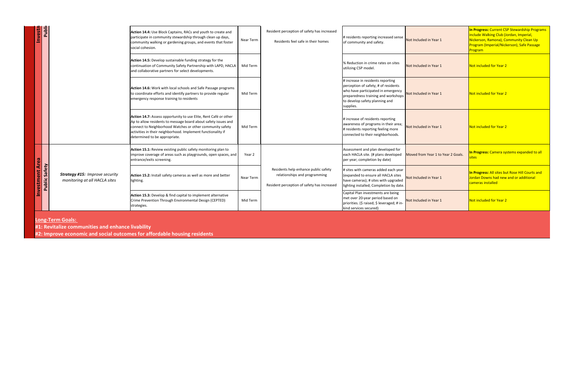| Investn     | Publio           |                                                                        | <b>Action 14.4:</b> Use Block Captains, RACs and youth to create and<br>participate in community stewardship through clean up days,<br>community walking or gardening groups, and events that foster<br>social cohesion.                                                                                | <b>Near Term</b> |
|-------------|------------------|------------------------------------------------------------------------|---------------------------------------------------------------------------------------------------------------------------------------------------------------------------------------------------------------------------------------------------------------------------------------------------------|------------------|
|             |                  |                                                                        | <b>Action 14.5:</b> Develop sustainable funding strategy for the<br>continuation of Community Safety Partnership with LAPD, HACLA<br>and collaborative partners for select developments.                                                                                                                | Mid Term         |
|             |                  |                                                                        | <b>Action 14.6:</b> Work with local schools and Safe Passage programs<br>to coordinate efforts and identify partners to provide regular<br>emergency response training to residents                                                                                                                     | Mid Term         |
|             |                  |                                                                        | <b>Action 14.7:</b> Assess opportunity to use Elite, Rent Café or other<br>Ap to allow residents to message board about safety issues and<br>connect to Neighborhood Watches or other community safety<br>activities in their neighborhood. Implement functionality if<br>determined to be appropriate. | Mid Term         |
| <b>Area</b> | Safety<br>Public |                                                                        | Action 15.1: Review existing public safety monitoring plan to<br>improve coverage of areas such as playgrounds, open spaces, and<br>entrance/exits screening.                                                                                                                                           | Year 2           |
| Investment  |                  | <b>Strategy #15: Improve security</b><br>monitoring at all HACLA sites | Action 15.2: Install safety cameras as well as more and better<br>lighting.                                                                                                                                                                                                                             |                  |
|             |                  |                                                                        | Action 15.3: Develop & find capital to implement alternative<br>Crime Prevention Through Environmental Design (CEPTED)<br>strategies.                                                                                                                                                                   | Mid Term         |

| Near Term | Resident perception of safety has increased<br>Residents feel safe in their homes                                    | # residents reporting increased sense<br>of community and safety.                                                                                                                                     | Not Included in Year 1             | In Progress: Current CSP Stewardship Programs<br>include Walking Club (Jordan, Imperial,<br>Nickerson, Ramona), Community Clean Up<br>Program (Imperial/Nickerson), Safe Passage<br><b>Program</b> |
|-----------|----------------------------------------------------------------------------------------------------------------------|-------------------------------------------------------------------------------------------------------------------------------------------------------------------------------------------------------|------------------------------------|----------------------------------------------------------------------------------------------------------------------------------------------------------------------------------------------------|
| Mid Term  |                                                                                                                      | % Reduction in crime rates on sites<br>utilizing CSP model.                                                                                                                                           | Not Included in Year 1             | Not included for Year 2                                                                                                                                                                            |
| Mid Term  |                                                                                                                      | # increase in residents reporting<br>perception of safety; # of residents<br>who have participated in emergency<br>preparedness training and workshops<br>to develop safety planning and<br>supplies. | Not Included in Year 1             | Not included for Year 2                                                                                                                                                                            |
| Mid Term  |                                                                                                                      | # increase of residents reporting<br>awareness of programs in their area;<br># residents reporting feeling more<br>connected to their neighborhoods.                                                  | Not Included in Year 1             | Not included for Year 2                                                                                                                                                                            |
| Year 2    |                                                                                                                      | Assessment and plan developed for<br>each HACLA site. (# plans developed<br>per year; completion by date)                                                                                             | Moved from Year 1 to Year 2 Goals. | <b>In Progress:</b> Camera systems expanded to all<br><b>sites</b>                                                                                                                                 |
| Near Term | Residents help enhance public safety<br>relationships and programming<br>Resident perception of safety has increased | # sites with cameras added each year<br>(expanded to ensure all HACLA sites<br>have cameras); # sites with upgraded<br>lighting installed; Completion by date.                                        | Not Included in Year 1             | In Progress: All sites but Rose Hill Courts and<br>Jordan Downs had new and or additional<br>cameras installed                                                                                     |
| Mid Term  |                                                                                                                      | Capital Plan investments are being<br>met over 20-year period based on<br>priorities. (\$ raised; \$ leveraged; # in-<br>kind services secured)                                                       | Not Included in Year 1             | Not included for Year 2                                                                                                                                                                            |

# **Long-Term Goals:**

**#1: Revitalize communities and enhance livability**

**#2: Improve economic and social outcomes for affordable housing residents**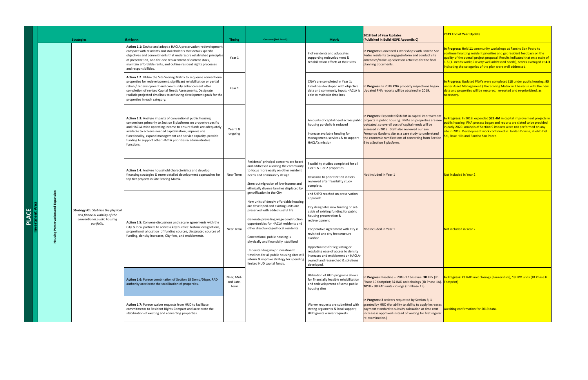|     |   |                                                         | <b>Strategies</b>                                                                                                         | <b>Actions</b><br>Action 1.1: Devise and adopt a HACLA preservation-redevelopment<br>compact with residents and stakeholders that details specific<br>objectives and commitments that underscore established principles<br>of preservation, one-for-one replacement of current stock,<br>maintain affordable rents, and outline resident rights processes<br>and responsibilities.                                 |
|-----|---|---------------------------------------------------------|---------------------------------------------------------------------------------------------------------------------------|--------------------------------------------------------------------------------------------------------------------------------------------------------------------------------------------------------------------------------------------------------------------------------------------------------------------------------------------------------------------------------------------------------------------|
|     |   |                                                         |                                                                                                                           | <b>Action 1.2:</b> Utilize the Site Scoring Matrix to sequence conventional<br>properties for redevelopment, significant rehabilitation or partial<br>rehab / redevelopment and community enhancement after<br>completion of revised Capital Needs Assessments. Designate<br>realistic projected timelines to achieving development goals for the<br>properties in each category.                                  |
|     |   |                                                         |                                                                                                                           | <b>Action 1.3:</b> Analyze impacts of conventional public housing<br>conversions primarily to Section 8 platforms on property-specific<br>and HACLA-wide operating income to ensure funds are adequately<br>available to achieve needed capitalization, improve site<br>functionality, expand management and service capacity, provide<br>funding to support other HACLA priorities & administrative<br>functions. |
|     |   |                                                         |                                                                                                                           | Action 1.4: Analyze household characteristics and develop<br>financing strategies & more detailed development approaches for<br>top tier projects in Site Scoring Matrix.                                                                                                                                                                                                                                          |
| ACE | œ | Expansion<br>rvation and<br>$\omega$<br>Pres<br>Housing | <b>Strategy #1:</b> Stabilize the physical<br>and financial viability of the<br>conventional public housing<br>portfolio. | <b>Action 1.5:</b> Convene discussions and secure agreements with the<br>City & local partners to address key hurdles: historic designations,<br>proportional allocation of funding sources, designated sources of<br>funding, density increases, City fees, and entitlements.                                                                                                                                     |
|     |   |                                                         |                                                                                                                           | Action 1.6: Pursue combination of Section 18 Demo/Dispo, RAD<br>authority accelerate the stabilization of properties.                                                                                                                                                                                                                                                                                              |
|     |   |                                                         |                                                                                                                           | <b>Action 1.7:</b> Pursue waiver requests from HUD to facilitate<br>commitments to Resident Rights Compact and accelerate the<br>stabilization of existing and converting properties.                                                                                                                                                                                                                              |

| <b>Strategies</b>                                                                                                         | <b>Actions</b>                                                                                                                                                                                                                                                                                                                                                                                                     | <b>Timing</b>                   | <b>Outcome (End Result)</b>                                                                                                                                                                                                                                                                                                                                                                                                                                                                                   | <b>Metric</b>                                                                                                                                                                                                                                                                                                                                                                                                                         | 2018 End of Year Updates<br>(Published in Build HOPE Appendix C)                                                                                                                                                                                                                                                                                                                                          | <b>2019 End of Year Update</b>                                                                                                                                                                                                                                                                                                                                             |
|---------------------------------------------------------------------------------------------------------------------------|--------------------------------------------------------------------------------------------------------------------------------------------------------------------------------------------------------------------------------------------------------------------------------------------------------------------------------------------------------------------------------------------------------------------|---------------------------------|---------------------------------------------------------------------------------------------------------------------------------------------------------------------------------------------------------------------------------------------------------------------------------------------------------------------------------------------------------------------------------------------------------------------------------------------------------------------------------------------------------------|---------------------------------------------------------------------------------------------------------------------------------------------------------------------------------------------------------------------------------------------------------------------------------------------------------------------------------------------------------------------------------------------------------------------------------------|-----------------------------------------------------------------------------------------------------------------------------------------------------------------------------------------------------------------------------------------------------------------------------------------------------------------------------------------------------------------------------------------------------------|----------------------------------------------------------------------------------------------------------------------------------------------------------------------------------------------------------------------------------------------------------------------------------------------------------------------------------------------------------------------------|
|                                                                                                                           | Action 1.1: Devise and adopt a HACLA preservation-redevelopment<br>compact with residents and stakeholders that details specific<br>objectives and commitments that underscore established principles<br>of preservation, one-for-one replacement of current stock,<br>maintain affordable rents, and outline resident rights processes<br>and responsibilities.                                                   | Year 1                          |                                                                                                                                                                                                                                                                                                                                                                                                                                                                                                               | # of residents and advocates<br>supporting redevelopment &<br>rehabilitation efforts at their sites                                                                                                                                                                                                                                                                                                                                   | In Progress: Convened 7 workshops with Rancho San<br>Pedro residents to engage/inform and conduct site<br>amenities/make-up selection activities for the final<br>planning documents.                                                                                                                                                                                                                     | In Progress: Held 11 community workshops at Rancho San Pedro to<br>continue finalizing resident priorities and get resident feedback on the<br>quality of the overall project proposal. Results indicated that on a scale of<br>$1-5$ (1- needs work; 5 = very well addressed needs), scores averaged at 4.3<br>indicating the categories of the plan were well addressed. |
|                                                                                                                           | <b>Action 1.2:</b> Utilize the Site Scoring Matrix to sequence conventional<br>properties for redevelopment, significant rehabilitation or partial<br>rehab / redevelopment and community enhancement after<br>completion of revised Capital Needs Assessments. Designate<br>realistic projected timelines to achieving development goals for the<br>properties in each category.                                  | Year 1                          |                                                                                                                                                                                                                                                                                                                                                                                                                                                                                                               | CNA's are completed in Year 1;<br>Timelines developed with objective<br>data and community input; HACLA is<br>able to maintain timelines                                                                                                                                                                                                                                                                                              | In Progress: In 2018 PNA property inspections began.<br>Updated PNA reports will be obtained in 2019.                                                                                                                                                                                                                                                                                                     | In Progress: Updated PNA's were completed (18 under public housing; 95<br>Inder Asset Management.) The Scoring Matrix will be rerun with the new<br>data and properties will be rescored, re-sorted and re-prioritized, as<br>necessary.                                                                                                                                   |
|                                                                                                                           | <b>Action 1.3:</b> Analyze impacts of conventional public housing<br>conversions primarily to Section 8 platforms on property-specific<br>and HACLA-wide operating income to ensure funds are adequately<br>available to achieve needed capitalization, improve site<br>functionality, expand management and service capacity, provide<br>funding to support other HACLA priorities & administrative<br>functions. | Year 1 &<br>ongoing             |                                                                                                                                                                                                                                                                                                                                                                                                                                                                                                               | housing portfolio is reduced<br>Increase available funding for<br>management, services & to support<br><b>HACLA's mission</b>                                                                                                                                                                                                                                                                                                         | In Progress: Expended \$18.5M in capital improvement<br>Amounts of capital need across public projects in public housing. PNAs on properties are now<br>outdated, so overall cost of capital needs will be<br>assessed in 2019. Staff also reviewed our San<br>Fernando Gardens site as a case study to understand<br>the economic ramifications of converting from Section<br>9 to a Section 8 platform. | In Progress: In 2019, expended \$22.4M in capital improvement projects in<br>public housing. PNA process began and reports are slated to be provided<br>in early 2020. Analysis of Section 9 impacts were not performed on any<br>site in 2019. Development work continued in: Jordan Downs, Pueblo Del<br><b>Sol, Rose Hills and Rancho San Pedro.</b>                    |
|                                                                                                                           | <b>Action 1.4:</b> Analyze household characteristics and develop<br>financing strategies & more detailed development approaches for<br>top tier projects in Site Scoring Matrix.                                                                                                                                                                                                                                   | Near Term                       | Residents' principal concerns are heard<br>and addressed allowing the community<br>to focus more easily on other resident<br>needs and community design<br>Stem outmigration of low-income and<br>ethnically diverse families displaced by                                                                                                                                                                                                                                                                    | Feasibility studies completed for all<br>Tier 1 & Tier 2 properties.<br>Revisions to prioritization in tiers<br>reviewed after feasibility study<br>complete.                                                                                                                                                                                                                                                                         | Not Included in Year 1                                                                                                                                                                                                                                                                                                                                                                                    | Not included in Year 2                                                                                                                                                                                                                                                                                                                                                     |
| <b>Strategy #1:</b> Stabilize the physical<br>and financial viability of the<br>conventional public housing<br>portfolio. | <b>Action 1.5:</b> Convene discussions and secure agreements with the<br>City & local partners to address key hurdles: historic designations,<br>proportional allocation of funding sources, designated sources of<br>funding, density increases, City fees, and entitlements.                                                                                                                                     | Near Term                       | gentrification in the City<br>New units of deeply affordable housing<br>are developed and existing units are<br>preserved with added useful life<br>Generate prevailing wage construction<br>opportunities for HACLA residents and<br>other disadvantaged local residents<br>Conventional public housing is<br>physically and financially stabilized<br>Understanding major investment<br>timelines for all public housing sites will<br>inform & improve strategy for spending<br>limited HUD capital funds. | and SHPO reached on preservation<br>approach.<br>City designates new funding or set-<br>aside of existing funding for public<br>housing preservation &<br>redevelopment<br>Cooperative Agreement with City is<br>revisited and city fee structure<br>clarified.<br>Opportunities for legislating or<br>regulating ease of access to density<br>increases and entitlement on HACLA-<br>owned land researched & solutions<br>developed. | Not Included in Year 1                                                                                                                                                                                                                                                                                                                                                                                    | Not included in Year 2                                                                                                                                                                                                                                                                                                                                                     |
|                                                                                                                           | Action 1.6: Pursue combination of Section 18 Demo/Dispo, RAD<br>authority accelerate the stabilization of properties.                                                                                                                                                                                                                                                                                              | Near, Mid-<br>and Late-<br>Term |                                                                                                                                                                                                                                                                                                                                                                                                                                                                                                               | Utilization of HUD programs allows<br>for financially feasible rehabilitation<br>and redevelopment of some public<br>housing sites                                                                                                                                                                                                                                                                                                    | In Progress: Baseline -- 2016-17 baseline: 30 TPV (JD<br>Phase 1C footprint; 32 RAD unit closings (JD Phase 1A). <b>Footprint</b> )<br>$ 2018 = 38$ RAD units closings (JD Phase 1B)                                                                                                                                                                                                                      | <b>In Progress: 26 RAD unit closings (Lankershim); 13 TPV units (JD Phase H</b>                                                                                                                                                                                                                                                                                            |
|                                                                                                                           | <b>Action 1.7:</b> Pursue waiver requests from HUD to facilitate<br>commitments to Resident Rights Compact and accelerate the<br>stabilization of existing and converting properties.                                                                                                                                                                                                                              |                                 |                                                                                                                                                                                                                                                                                                                                                                                                                                                                                                               | Waiver requests are submitted with<br>strong arguments & local support;<br>HUD grants waiver requests.                                                                                                                                                                                                                                                                                                                                | In Progress: 3 waivers requested by Section 8; 1<br>granted by HUD (for ability to ability to apply increases<br>payment standard to subsidy calcuation at time rent<br>increase is approved instead of waiting for first regular<br>re-examination.)                                                                                                                                                     | Awaiting confirmation for 2019 data.                                                                                                                                                                                                                                                                                                                                       |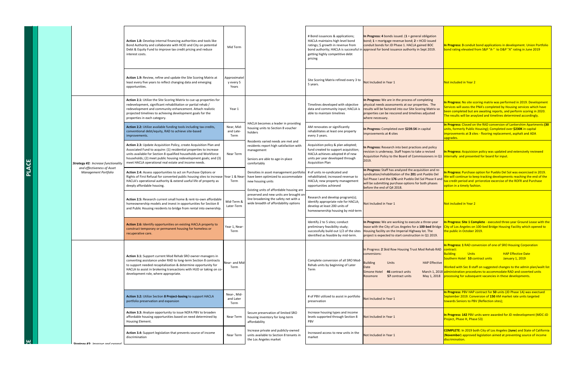|       |                                                           | <b>Action 1.8:</b> Develop internal financing authorities and tools like<br>Bond Authority and collaborate with HCID and City on potential<br>Debt & Equity Fund to improve tax credit pricing and reduce<br>interest costs.<br><b>Action 1.9: Review, refine and update the Site Scoring Matrix at</b><br>least every five years to reflect changing data and emerging<br>opportunities. |
|-------|-----------------------------------------------------------|-------------------------------------------------------------------------------------------------------------------------------------------------------------------------------------------------------------------------------------------------------------------------------------------------------------------------------------------------------------------------------------------|
|       |                                                           | <b>Action 2.1:</b> Utilize the Site Scoring Matrix to cue up properties for<br>redevelopment, significant rehabilitation or partial rehab /<br>redevelopment and community enhancement. Attach realistic<br>projected timelines to achieving development goals for the<br>properties in each category.                                                                                    |
|       |                                                           | <b>Action 2.2:</b> Utilize available funding tools including tax credits,<br>conventional debt/equity, RAD to achieve site-based<br>improvements.                                                                                                                                                                                                                                         |
|       | <b>Strategy #2: Increase functionality</b>                | <b>Action 2.3:</b> Update Acquisition Policy, create Acquisition Plan and<br>Associated Fund to acquire: (1) residential properties to increase<br>units available for Section 8-qualified households and Workforce<br>households; (2) meet public housing redevelopment goals; and (3)<br>meet HACLA operational real estate and income needs.                                           |
| PLACE | and effectiveness of Asset<br><b>Management Portfolio</b> | <b>Action 2.4: Assess opportunities to act on Purchase Options or</b><br>Rights of First Refusal for converted public housing sites to increase<br>HACLA's operational authority & extend useful life of property as<br>deeply affordable housing.                                                                                                                                        |
|       |                                                           | Action 2.5: Research current small home & rent-to-own affordable<br>homeownership models and invest in opportunities for Section 8<br>and Public Housing residents to bridge from rental into ownership.                                                                                                                                                                                  |
|       |                                                           | <b>Action 2.6:</b> Identify opportunities on existing HACLA property to<br>construct temporary or permanent housing for homeless or<br>recuperative care.                                                                                                                                                                                                                                 |
|       |                                                           | <b>Action 3.1:</b> Support current Mod Rehab SRO owner-managers in<br>converting assistance under RAD to long-term Section 8 contracts<br>to support needed recapitalization & determine opportunity for<br>HACLA to assist in brokering transactions with HUD or taking on co-<br>development role, where appropriate.                                                                   |
|       |                                                           | Action 3.2: Utilize Section 8 Project-basing to support HACLA<br>portfolio preservation and expansion                                                                                                                                                                                                                                                                                     |
|       |                                                           | <b>Action 3.3:</b> Analyze opportunity to issue NOFA PBV to broaden<br>affordable housing opportunities based on need determined by<br>Housing Element.                                                                                                                                                                                                                                   |
|       | Ctratony #2. Improve and evenned                          | <b>Action 3.4:</b> Support legislation that prevents source of income<br>discrimination                                                                                                                                                                                                                                                                                                   |

| Action 1.8: Develop internal financing authorities and tools like<br>Bond Authority and collaborate with HCID and City on potential<br>Debt & Equity Fund to improve tax credit pricing and reduce<br>interest costs.                                                                                                                    | Mid Term                                                                                                                                              |                                                                                                                                                | # Bond issuances & applications;<br>HACLA maintains high level bond<br>ratings; \$ growth in revenue from<br>getting highly competitive debt<br>pricing                      | In Progress: 4 bonds issued. $(1$ = general obligation<br>$\vert$ bond; 1 = mortgage revenue bond; 2 = HCID issued<br>conduit bonds for JD Phase 1. HACLA gained BOC<br>bond authority; HACLA is successful in approval for bond issuance authority in Sept 2019. | In Progress: 3 conduit bond applications in development. Union Portfolio<br>bond rating elevated from S&P "A-" to D&P "A" rating in June 2019                                                                                                                                                                                                                                                                                               |
|------------------------------------------------------------------------------------------------------------------------------------------------------------------------------------------------------------------------------------------------------------------------------------------------------------------------------------------|-------------------------------------------------------------------------------------------------------------------------------------------------------|------------------------------------------------------------------------------------------------------------------------------------------------|------------------------------------------------------------------------------------------------------------------------------------------------------------------------------|-------------------------------------------------------------------------------------------------------------------------------------------------------------------------------------------------------------------------------------------------------------------|---------------------------------------------------------------------------------------------------------------------------------------------------------------------------------------------------------------------------------------------------------------------------------------------------------------------------------------------------------------------------------------------------------------------------------------------|
| Action 1.9: Review, refine and update the Site Scoring Matrix at<br>least every five years to reflect changing data and emerging<br>opportunities.                                                                                                                                                                                       | Approximatel<br>y every 5<br>Years                                                                                                                    |                                                                                                                                                | Site Scoring Matrix refined every 3 to<br>5 years.                                                                                                                           | Not Included in Year 1                                                                                                                                                                                                                                            | Not included in Year 2                                                                                                                                                                                                                                                                                                                                                                                                                      |
| <b>Action 2.1:</b> Utilize the Site Scoring Matrix to cue up properties for<br>redevelopment, significant rehabilitation or partial rehab /<br>redevelopment and community enhancement. Attach realistic<br>projected timelines to achieving development goals for the<br>properties in each category.                                   | Year 1                                                                                                                                                |                                                                                                                                                | Timelines developed with objective<br>data and community input; HACLA is<br>able to maintain timelines                                                                       | In Progress: We are in the process of completing<br>physical needs assessments at our properties. The<br>results will be factored into our Site Scoring Matrix so<br>properties can be rescored and timelines adjusted<br>where necessary.                        | In Progress: No site scoring matrix was performed in 2019. Development<br>Services will asess the PNA's completed by Housing services which have<br>been completed but are awaiting reports, and perform scoring in 2020.<br>The results will be anaylzed and timelines determined accordingly.                                                                                                                                             |
| <b>Action 2.2:</b> Utilize available funding tools including tax credits,<br>conventional debt/equity, RAD to achieve site-based<br>improvements.                                                                                                                                                                                        | Near, Mid-<br>and Late-<br>Term                                                                                                                       | HACLA becomes a leader in providing<br>housing units to Section 8 voucher<br>holders                                                           | AM renovates or significantly<br>rehabilitates at least one property<br>every 3 years.                                                                                       | In Progress: Completed over \$239.5K in capital<br>improvements at 4 sites                                                                                                                                                                                        | In Progress: Closed on the RAD conversion of Lankershim Apartments (30<br>units, formerly Public Housing); Completed over \$230K in capital<br>improvements at 3 sites - flooring replacement, asphalt and ADA<br>upgrades.                                                                                                                                                                                                                 |
| Action 2.3: Update Acquisition Policy, create Acquisition Plan and<br>Associated Fund to acquire: (1) residential properties to increase<br>units available for Section 8-qualified households and Workforce<br>households; (2) meet public housing redevelopment goals; and (3)<br>meet HACLA operational real estate and income needs. | Near Term                                                                                                                                             | Residents varied needs are met and<br>residents report high satisfaction with<br>management<br>Seniors are able to age-in-place<br>comfortably | Acquisition policy & plan adopted;<br>fund created to support acquisition;<br>HACLA achieves adopted # of new<br>units per year developed through<br><b>Acquisition Plan</b> | In Progress: Research into best practices and policy<br>revision is underway. Staff hopes to take a revised<br>Acquisition Policy to the Board of Commissioners in Q1<br>2019.                                                                                    | In Progress: Acquisision policy was updated and extensively reviewed<br>internally and presented for board for input.                                                                                                                                                                                                                                                                                                                       |
| Action 2.4: Assess opportunities to act on Purchase Options or<br>Rights of First Refusal for converted public housing sites to increase   Year 1 & Near-<br>HACLA's operational authority & extend useful life of property as<br>deeply affordable housing.                                                                             | Term                                                                                                                                                  | Densities in asset management portfolio<br>have been optimized to accommodate<br>new housing units<br>Existing units of affordable housing are | # of units re-syndicated and<br>rehabilitated; increased revenue to<br>HACLA; new property management<br>opportunities achieved                                              | In Progress: Staff has analyzed the acquisition and re-<br>syndication/rehabilitation of the 201 unit Pueblo Del<br>Sol Phase I and the 176 unit Pueblo Del Sol Phase II and<br>will be submitting purchase options for both phases<br>before the end of Q4 2018. | In Progress: Purchase option for Pueblo Del Sol was excercised in 2019.<br>We will continue to keep tracking developments reaching the end of the<br>tax credit period and prriorotize excercise of the ROFR and Purchase<br>option in a timely fashion.                                                                                                                                                                                    |
| Action 2.5: Research current small home & rent-to-own affordable<br>homeownership models and invest in opportunities for Section 8<br>and Public Housing residents to bridge from rental into ownership.                                                                                                                                 | preserved and new units are brought on-<br>line broadening the safety net with a<br>Mid-Term &<br>wide breadth of affordability options<br>Later-Term |                                                                                                                                                | Research and develop program(s);<br>identify appropriate role for HACLA;<br>develop at least 200 units of<br>homeownership housing by mid-term                               | Not Included in Year 1                                                                                                                                                                                                                                            | Not included in Year 2                                                                                                                                                                                                                                                                                                                                                                                                                      |
| <b>Action 2.6:</b> Identify opportunities on existing HACLA property to<br>construct temporary or permanent housing for homeless or<br>recuperative care.                                                                                                                                                                                | Year 1, Near-<br>Term                                                                                                                                 |                                                                                                                                                | Identify 2 to 5 sites; conduct<br>preliminary feasibility study;<br>successfully build out 1/2 of the sites<br>identified as feasible by mid-term.                           | Housing facility on the Imperial Highway lot. The<br>project is expected to start construction in Q1 2019.                                                                                                                                                        | In Progress: We are working to execute a three-year   In Progress: Site 1 Complete - executed three-year Ground Lease with the  <br>lease with the City of Los Angeles for a 100-bed Bridge City of Los Angeles on 100-bed Bridge Housing Facility which opened to<br>the public in October 2019.                                                                                                                                           |
| Action 3.1: Support current Mod Rehab SRO owner-managers in<br>converting assistance under RAD to long-term Section 8 contracts<br>to support needed recapitalization & determine opportunity for<br>HACLA to assist in brokering transactions with HUD or taking on co-<br>development role, where appropriate.                         | Near- and Mid-<br>Term                                                                                                                                |                                                                                                                                                | Complete conversion of all SRO Mod-<br>Rehab units by beginning of Later<br>Term                                                                                             | In Progress: 2 Skid Row Housing Trust Mod Rehab RAD<br>conversions:<br><b>Building</b><br><b>HAP Effective</b><br><b>Units</b><br>Date<br>46 contract units<br><b>Simone Hotel</b><br><b>57 contract units</b><br><b>Rossmore</b>                                 | In Progress: 1 RAD conversion of one of SRO Housing Corporation<br>contract:<br><b>HAP Effective Date</b><br><b>Building</b><br><b>Units</b><br>Southern Hotel 53 contract units<br>January 1, 2019<br>Worked with Sec 8 staff on suggested changes to the admin plan/wailt list<br>March 1, 2018 administration procedures to accommodate RAD and coverted units<br>May 1, 2018 processing for subsequent vacancies in these developments. |
| Action 3.2: Utilize Section 8 Project-basing to support HACLA<br>portfolio preservation and expansion                                                                                                                                                                                                                                    | Near-, Mid-<br>and Later<br>Term                                                                                                                      |                                                                                                                                                | # of PBV utilized to assist in portfolio<br>preservation                                                                                                                     | Not Included in Year 1                                                                                                                                                                                                                                            | In Progress: PBV HAP contract for 50 units (JD Phase 1A) was exectued<br>September 2019. Conversion of 150 AM market rate units targeted<br>towards Seniors to PBV (Reflection sites);                                                                                                                                                                                                                                                      |
| <b>Action 3.3:</b> Analyze opportunity to issue NOFA PBV to broaden<br>affordable housing opportunities based on need determined by<br><b>Housing Element.</b>                                                                                                                                                                           | <b>Near Term</b>                                                                                                                                      | Secure preservation of limited SRO<br>housing inventory for long-term<br>affordability                                                         | Increase housing types and income<br>levels supported through Section 8<br><b>PBV</b>                                                                                        | Not Included in Year 1                                                                                                                                                                                                                                            | In Progress: 142 PBV units were awarded for JD redevelopment (MDC-JD<br><b>Project, Phase H, Phase S3)</b>                                                                                                                                                                                                                                                                                                                                  |
| Action 3.4: Support legislation that prevents source of income<br>discrimination                                                                                                                                                                                                                                                         | <b>Near Term</b>                                                                                                                                      | Increase private and publicly-owned<br>units available to Section 8 tenants in<br>the Los Angeles market                                       | Increased access to new units in the<br>market                                                                                                                               | Not Included in Year 1                                                                                                                                                                                                                                            | <b>COMPLETE:</b> In 2019 both City of Los Angeles (June) and State of California<br>(November) approved legislation aimed at preventing source of income<br>discrimination.                                                                                                                                                                                                                                                                 |
|                                                                                                                                                                                                                                                                                                                                          |                                                                                                                                                       |                                                                                                                                                |                                                                                                                                                                              |                                                                                                                                                                                                                                                                   |                                                                                                                                                                                                                                                                                                                                                                                                                                             |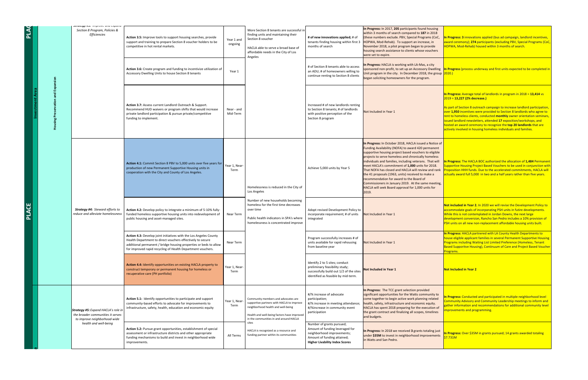| $\overline{\mathbf{A}}$ |                                                                  |  | JUULCYY HJ. IIIIPIUVE UIIU CAPUIIU<br>Section 8 Program, Policies &<br><b>Efficiencies</b>                      | Action 3.5: Improve tools to support housing searches, provide<br>support and training to prepare Section 8 voucher holders to be<br>competitive in hot rental markets.                                                                                             | Year 1 a<br>ongoin |  |
|-------------------------|------------------------------------------------------------------|--|-----------------------------------------------------------------------------------------------------------------|---------------------------------------------------------------------------------------------------------------------------------------------------------------------------------------------------------------------------------------------------------------------|--------------------|--|
|                         |                                                                  |  |                                                                                                                 | Action 3.6: Create program and funding to incentivize utilization of<br>Accessory Dwelling Units to house Section 8 tenants                                                                                                                                         | Year 1             |  |
|                         | ng Preservation and Expansion<br><b>Investment Area</b><br>Housi |  |                                                                                                                 | Action 3.7: Assess current Landlord Outreach & Support.<br>Recommend HUD waivers or program shifts that would increase<br>private landlord participation & pursue private/competitive<br>funding to implement.                                                      |                    |  |
|                         |                                                                  |  |                                                                                                                 | <b>Action 4.1:</b> Commit Section 8 PBV to 5,000 units over five years for<br>production of new Permanent Supportive Housing units in<br>cooperation with the City and County of Los Angeles.                                                                       | Year 1, Ne<br>Term |  |
| PLACE                   |                                                                  |  | <b>Strategy #4: Steward efforts to</b><br>reduce and alleviate homelessness                                     | Action 4.2: Develop policy to integrate a minimum of 5-10% fully-<br>funded homeless supportive housing units into redevelopment of<br>public housing and asset-managed sites.                                                                                      | <b>Near Ter</b>    |  |
|                         |                                                                  |  |                                                                                                                 | Action 4.3: Develop joint initiatives with the Los Angeles County<br>Health Department to direct vouchers effectively to secure<br>additional permanent / bridge housing properties or beds to allow<br>for improved rapid recycling of Health Department vouchers. | <b>Near Ter</b>    |  |
|                         |                                                                  |  |                                                                                                                 | Action 4.4: Identify opportunities on existing HACLA property to<br>construct temporary or permanent housing for homeless or<br>recuperative care (PH portfolio)                                                                                                    | Year 1, Ne<br>Term |  |
|                         |                                                                  |  | <b>Strategy #5: Expand HACLA's role in</b><br>the broader communities it serves<br>to improve neighborhood-wide | Action 5.1: Identify opportunities to participate and support<br>community-based efforts to advocate for improvements to<br>infrastructure, safety, health, education and economic equity                                                                           | Year 1, Ne<br>Term |  |
|                         |                                                                  |  | health and well-being                                                                                           | Action 5.2: Pursue grant opportunities, establishment of special<br>assessment or infrastructure districts and other appropriate<br>funding mechanisms to build and invest in neighborhood wide<br>improvements.                                                    | All Term           |  |

| hes, provide<br>nolders to be                            | Year 1 and<br>ongoing  | More Section 8 tenants are successful in<br>finding units and maintaining their<br>Section 8 voucher<br>HACLA able to serve a broad base of<br>affordable needs in the City of Los<br>Angeles                   | # of new innovations applied; # of<br>tenants finding housing within first 3<br>months of search                                                                   | In Progress: In 2017, 205 participants found housing<br>within 3 months of search compared to 187 in 2018<br>(these numbers exclude. PBV, Special Programs (CoC,<br>HOPWA, Mod-Rehab). To support an increase, in<br>November 2018, a pilot program began to provide<br>housing search assistance to clients whose vouchers<br>were set to expire.                                                                                                                                                                                                                                                                        | In Progress: 3 innovations applied (bus ad campaign, landlord incentives,<br>award ceremony); 274 participants (excluding PBV, Special Programs (CoC,<br>HOPWA, Mod-Rehab) housed within 3 months of search.                                                                                                                                                                                                                                                                                                                      |
|----------------------------------------------------------|------------------------|-----------------------------------------------------------------------------------------------------------------------------------------------------------------------------------------------------------------|--------------------------------------------------------------------------------------------------------------------------------------------------------------------|---------------------------------------------------------------------------------------------------------------------------------------------------------------------------------------------------------------------------------------------------------------------------------------------------------------------------------------------------------------------------------------------------------------------------------------------------------------------------------------------------------------------------------------------------------------------------------------------------------------------------|-----------------------------------------------------------------------------------------------------------------------------------------------------------------------------------------------------------------------------------------------------------------------------------------------------------------------------------------------------------------------------------------------------------------------------------------------------------------------------------------------------------------------------------|
| ize utilization of                                       | Year 1                 |                                                                                                                                                                                                                 | # of Section 8 tenants able to access<br>an ADU; # of homeowners willing to<br>continue renting to Section 8 clients                                               | In Progress: HACLA is working with LA-Mas, a city<br>sponsored non-profit, to set up an Accessory Dwelling<br>Unit program in the city. In December 2018, the group $\sqrt{2020}$ .<br>began soliciting homeowners for the program.                                                                                                                                                                                                                                                                                                                                                                                       | In Progress (process underway and first units expected to be completed in                                                                                                                                                                                                                                                                                                                                                                                                                                                         |
| pport.<br>ould increase<br>าpetitive                     | Near - and<br>Mid-Term |                                                                                                                                                                                                                 | Increased # of new landlords renting<br>to Section 8 tenants; # of landlords<br>with positive perception of the<br>Section 8 program                               | Not Included in Year 1                                                                                                                                                                                                                                                                                                                                                                                                                                                                                                                                                                                                    | In Progress: Average total of landlords in program in 2018 = 13,414 vs<br>As part of Section 8 outreach campaign to increase landlord participation,<br>over 1,950 incentives were provided to Section 8 landlords who agree to<br>rent to homeless clients, conducted <b>monthly</b> owner orientation seminars,<br>issued landlord newsletters, attended 17 exposition/workshops, and<br>hosted an award ceremony to recognize the top 20 landlords that are<br>actively involved in housing homeless individuals and families. |
| er five years for<br>units in                            | Year 1, Near-<br>Term  | Homelessness is reduced in the City of<br>Los Angeles                                                                                                                                                           | Achieve 5,000 units by Year 5                                                                                                                                      | In Progress: In October 2018, HACLA issued a Notice of<br>Funding Availability (NOFA) to award 420 permanent<br>supportive housing project based vouchers to eligible<br>projects to serve homeless and chronically homeless<br>individuals and families, including veterans. That will<br>meet HACLA's commitment of 1,000 units for 2018.<br>That NOFA has closed and HACLA will review and rank<br>the 41 proposals (1963, units) received to make a<br>recommendation for award to the Board of<br>Commissioners in January 2019. At the same meeting,<br>HACLA will seek Board approval for 1,000 units for<br>2019. | In Progress: The HACLA BOC authorized the allocation of 1,484 Permanent<br>Supportive Housing Project Based Vouchers to be used in conjunction with<br><b>Proposition HHH funds. Due to the accelerated commitments, HACLA will</b><br>actually award full 5,000 in two and a half years rather than five years.                                                                                                                                                                                                                  |
| of 5-10% fully-<br>evelopment of                         | Near Term              | Number of new households becoming<br>homeless for the first time decreases<br>over time<br>Public health indicators in SPA's where<br>homelessness is concentrated improve                                      | Adopt revised Development Policy to<br>incorporate requirement; # of units<br>integrated                                                                           | Not Included in Year 1                                                                                                                                                                                                                                                                                                                                                                                                                                                                                                                                                                                                    | Not included in Year 2. In 2020 we will revise the Development Policy to<br>accommodate goals of incorporating PSH units in futire developments.<br>While this is not contemplated in Jordan Downs, the next large<br>development conversion, Rancho San Pedro includes a 10% provision of<br>PSH units on all new non-replacement affordable housing units built.                                                                                                                                                                |
| geles County<br>p secure<br>r beds to allow<br>vouchers. | Near Term              |                                                                                                                                                                                                                 | Program successfully increases # of<br>units available for rapid rehousing<br>from baseline year                                                                   | Not Included in Year 1                                                                                                                                                                                                                                                                                                                                                                                                                                                                                                                                                                                                    | In Progress: HACLA partnered with LA County Health Departments to<br>house eligible applicant families in several Permanent Supportive Housing<br>Programs including Waiting List Limited Preference (Homeless, Tenant<br>Based Supporitve Housing), Continuum of Care and Project Based Voucher<br>Programs.                                                                                                                                                                                                                     |
| A property to<br>neless or                               | Year 1, Near-<br>Term  |                                                                                                                                                                                                                 | Identify 2 to 5 sites; conduct<br>preliminary feasibility study;<br>successfully build out 1/2 of the sites<br>identified as feasible by mid-term.                 | <b>Not Included in Year 1</b>                                                                                                                                                                                                                                                                                                                                                                                                                                                                                                                                                                                             | Not Included in Year 2                                                                                                                                                                                                                                                                                                                                                                                                                                                                                                            |
| d support<br>nents to<br>mic equity                      | Year 1, Near-<br>Term  | Community members and advocates are<br>supportive partners with HACLA to improve<br>neighborhood health and well-being<br>Health and well-being factors have improved<br>in the communities in and around HACLA | #/% increase of advocate<br>participation;<br>#/% increase in meeting attendance;<br>#/%increase in community event<br>participation                               | In Progress: The TCC grant selection provided<br>significant opportunities for the Watts community to<br>come together to begin active work planning related<br>health, safety, infrastructure and economic equity.<br>HACLA has spent 2018 preparing for the execution of<br>the grant contract and finalizing all scopes, timelines<br>and budgets.                                                                                                                                                                                                                                                                     | In Progress: Conducted and participated in multiple neighborhood level<br>Community Advisory and Community Leadership meetings to inform and<br>gather information and recommendations for additional community level<br>improvements and programming.                                                                                                                                                                                                                                                                            |
| ent of special<br>propriate<br>rhood wide                | All Terms              | sites<br>HACLA is recognized as a resource and<br>funding partner within its communities                                                                                                                        | Number of grants pursued;<br>Amount of funding leveraged for<br>neighborhood improvements;<br>Amount of funding attained;<br><b>Higher Livability Index Scores</b> | In Progress: In 2018 we received 3 grants totaling just<br>under \$35M to invest in neighborhood improvements<br>in Watts and San Pedro.                                                                                                                                                                                                                                                                                                                                                                                                                                                                                  | In Progress: Over \$35M in grants pursued; 14 grants awarded totaling<br><u> \$7.731M_</u>                                                                                                                                                                                                                                                                                                                                                                                                                                        |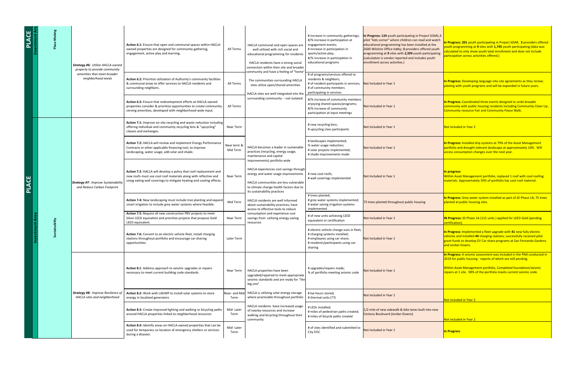| PLACE<br>estment Are |  | <b>Strategy #6: Utilize HACLA-owned</b><br>property to provide community<br>amenities that meet broader<br>neighborhood needs | Action 6.1: Ensure that open and communal spaces within HACLA-<br>All Terms<br>owned properties are designed for community gathering,<br>engagement, active play and learning.<br><b>Action 6.2: Prioritize utilization of Authority's community facilities</b><br>& communal areas to offer services to HACLA residents and<br>All Terms<br>surrounding neighbors. | HACLA communal and open spaces are<br>well utilized with rich social and<br>educational programming for residents<br>HACLA residents have a strong social<br>connection within their site and broader<br>community and have a feeling of "home"<br>The communities surrounding HACLA<br>sites utilize open/shared amenities | # increase in community gatherings;<br>#/% increase in participation at<br>engagement events;<br># increase in participation in<br>sports/active play;<br>#/% increase in participation in<br>educational programs<br># of programs/services offered to<br>residents & neighbors;<br># of resident participants in services; Not Included in Year 1<br># of community members | In Progress: 124 youth participating in Project SOAR; A<br>pilot "kids corner" where children can read and watch<br>educational programming has been installed at the<br>2600 Wilshire Office lobby; 3 providers offered youth<br>programming at 9 sites with 2,399 youth participating<br>(calculation is vendor reported and includes youth<br>enrollment across activities.) | In Progress: 201 youth participating in Project SOAR; 3 providers offered<br>outh programming at 9 sites with 1,745 youth participating (data was<br>alculated to only show youth total enrollment and does not include<br>articipation across activiities offered.)<br>In Progress: Developing language into site agreements as they renew;<br>piloting with youth programs and will be expanded in future years. |
|----------------------|--|-------------------------------------------------------------------------------------------------------------------------------|---------------------------------------------------------------------------------------------------------------------------------------------------------------------------------------------------------------------------------------------------------------------------------------------------------------------------------------------------------------------|-----------------------------------------------------------------------------------------------------------------------------------------------------------------------------------------------------------------------------------------------------------------------------------------------------------------------------|-------------------------------------------------------------------------------------------------------------------------------------------------------------------------------------------------------------------------------------------------------------------------------------------------------------------------------------------------------------------------------|---------------------------------------------------------------------------------------------------------------------------------------------------------------------------------------------------------------------------------------------------------------------------------------------------------------------------------------------------------------------------------|--------------------------------------------------------------------------------------------------------------------------------------------------------------------------------------------------------------------------------------------------------------------------------------------------------------------------------------------------------------------------------------------------------------------|
|                      |  |                                                                                                                               | Action 6.3: Ensure that redevelopment efforts at HACLA-owned<br>All Terms<br>properties consider & prioritize opportunities to create community-<br>serving amenities, developed with neighborhood-wide input.                                                                                                                                                      | HACLA sites are well integrated into the $ $<br>surrounding community -- not isolated.                                                                                                                                                                                                                                      | participating in services<br>#/% increase of community members<br>enjoying shared spaces/programs;<br>#/% increase of community<br>participation at input meetings                                                                                                                                                                                                            | Not Included in Year 1                                                                                                                                                                                                                                                                                                                                                          | In Progress: Coordinated three events designed to unite broader<br>community with public housing residents including Community Clean Up,<br>Community resource Fair and Community Peace Walk.                                                                                                                                                                                                                      |
|                      |  |                                                                                                                               | <b>Action 7.1:</b> Improve on-site recycling and waste reduction including<br>offering individual and community recycling bins & "upcycling"<br>Near Term<br>classes and exchanges.                                                                                                                                                                                 |                                                                                                                                                                                                                                                                                                                             | # new recycling bins;<br># upcycling class participants                                                                                                                                                                                                                                                                                                                       | Not Included in Year 1                                                                                                                                                                                                                                                                                                                                                          | Not included in Year 2                                                                                                                                                                                                                                                                                                                                                                                             |
|                      |  | <b>Strategy #7: Improve Sustainability</b><br>and Reduce Carbon Footprint                                                     | Action 7.2: HACLA will review and implement Energy Performance<br>Near term &<br>Contracts or other applicable financing tool, to improve<br>Mid Term<br>landscaping, water usage, add solar and shade.                                                                                                                                                             | HACLA becomes a leader in sustainable<br>practices (recycling, energy usage,<br>maintenance and capital                                                                                                                                                                                                                     | # landscapes implemented;<br>% water usage reduction;<br># solar projects implemented;<br># shade improvements made                                                                                                                                                                                                                                                           | Not Included in Year 1                                                                                                                                                                                                                                                                                                                                                          | In Progress: Installed drip systems at 79% of the Asset Management<br>portfolio and drought tolerant landscape at approximately 10%. Will<br>access consumption changes over the next year.                                                                                                                                                                                                                        |
| <b>PLACE</b>         |  |                                                                                                                               | Action 7.3: HACLA will develop a policy that roof replacement and<br>new roofs must use cool roof materials along with reflective and<br><b>Near Term</b><br>smog eating wall coverings to mitigate heating and cooling effects.                                                                                                                                    | improvements) portfolio wide<br>HACLA experiences cost savings through<br>energy and water usage improvements<br>HACLA communities are less vulnerable<br>to climate change health factors due to<br>its sustainability practices                                                                                           | # new cool roofs;<br># wall coverings implemented                                                                                                                                                                                                                                                                                                                             | Not Included in Year 1                                                                                                                                                                                                                                                                                                                                                          | In progress:<br>Within Asset Management portfolio, replaced 1 roof with cool roofing<br>materials. Approximately 50% of portfolio has cool roof material.                                                                                                                                                                                                                                                          |
|                      |  |                                                                                                                               | <b>Action 7.4:</b> New landscaping must include tree planting and expand<br>Mid Term<br>smart irrigation to include grey water systems where feasible.                                                                                                                                                                                                              | HACLA residents are well informed<br>about sustainability practices, have<br>access to effective tools to reduce                                                                                                                                                                                                            | # trees planted;<br># grey water systems implemented;<br># water saving irrigation systems<br>implemented                                                                                                                                                                                                                                                                     | 75 trees planted throughout public housing                                                                                                                                                                                                                                                                                                                                      | In Progress: Grey water system installed as part of JD Phase 1A; 75 trees<br>planted at public housing sites                                                                                                                                                                                                                                                                                                       |
|                      |  |                                                                                                                               | <b>Action 7.5: Require all new construction PBV projects to meet</b><br>Silver LEED equivalent and prioritize projects that propose Gold<br>Near Term<br>LEED equivalent.                                                                                                                                                                                           | consumption and experience cost<br>savings from utilizing energy saving<br>resources                                                                                                                                                                                                                                        | # of new units achieving LEED<br>equivalent or certification                                                                                                                                                                                                                                                                                                                  | Not Included in Year 1                                                                                                                                                                                                                                                                                                                                                          | <b>IN Progress: JD Phase 1A (115 units) applied for LEED Gold (pending</b><br>certification)                                                                                                                                                                                                                                                                                                                       |
|                      |  |                                                                                                                               | <b>Action 7.6:</b> Convert to an electric vehicle fleet, install charging<br>stations throughout portfolio and encourage car-sharing<br>Later Term<br>opportunities.                                                                                                                                                                                                |                                                                                                                                                                                                                                                                                                                             | # electric vehicle change outs in fleet;<br># charging systems installed;<br># employees using car-share;<br># residents/participants using car-<br>sharing                                                                                                                                                                                                                   | Not Included in Year 1                                                                                                                                                                                                                                                                                                                                                          | In Progress: Implemented a fleet upgrade with 41 new fully electric<br>vehicles and installed 44 charging stations; successfully received pilot<br>grant funds to develop EV Car share programs at San Fernando Gardens<br>and Jordan Downs                                                                                                                                                                        |
|                      |  |                                                                                                                               |                                                                                                                                                                                                                                                                                                                                                                     |                                                                                                                                                                                                                                                                                                                             |                                                                                                                                                                                                                                                                                                                                                                               |                                                                                                                                                                                                                                                                                                                                                                                 | In Progress: A seismic assessment was included in the PNA conducted in<br>2019 for public housing - reports of which are still pending.                                                                                                                                                                                                                                                                            |
|                      |  |                                                                                                                               | <b>Action 8.1:</b> Address approach to seismic upgrades or repairs<br>Near Term<br>necessary to meet current building code standards                                                                                                                                                                                                                                | HACLA properties have been<br>upgraded/repaired to meet appropriate<br>seismic standards and are ready for "the<br>big one"                                                                                                                                                                                                 | # upgrades/repairs made;<br>% of portfolio meeting seismic code                                                                                                                                                                                                                                                                                                               | Not Included in Year 1                                                                                                                                                                                                                                                                                                                                                          | <b>Within Asset Management portfolio, Completed foundation/seismic</b><br>repairs at 1 site. 98% of the portfolio meets current seismic code.                                                                                                                                                                                                                                                                      |
|                      |  | <b>Strategy #8: Improve Resilience of</b><br>HACLA sites and neighborhood                                                     | Action 8.2: Work with LADWP to install solar systems to store<br>energy in localized generators<br>Term                                                                                                                                                                                                                                                             | Near- and Mid-HACLA is utilizing solar energy storage<br>where practicable throughout portfolio                                                                                                                                                                                                                             | # kw hours stored;<br># thermal units (??)                                                                                                                                                                                                                                                                                                                                    | Not Included in Year 1                                                                                                                                                                                                                                                                                                                                                          | Not included in Year 2                                                                                                                                                                                                                                                                                                                                                                                             |
|                      |  |                                                                                                                               | Mid-Later<br><b>Action 8.3:</b> Create improved lighting and walking or bicycling paths<br>around HACLA properties linked to neighborhood resources<br>Term                                                                                                                                                                                                         | HACLA residents have increased usage<br>of nearby resources and increase<br>walking and bicycling throughout their<br>community                                                                                                                                                                                             | # LEDs installed;<br># miles of pedestrian paths created;<br># miles of bicycle paths created                                                                                                                                                                                                                                                                                 | 1/2 mile of new sidewalk & bike lanes built into new<br>Century Boulevard (Jordan Downs)                                                                                                                                                                                                                                                                                        | Not included in Year 2                                                                                                                                                                                                                                                                                                                                                                                             |
|                      |  |                                                                                                                               | Action 8.4: Identify areas on HACLA-owned properties that can be<br>Mid-Later<br>used for temporary co-location of emergency shelters or services<br>Term<br>during a disaster.                                                                                                                                                                                     |                                                                                                                                                                                                                                                                                                                             | # of sites identified and submitted to<br><b>City EOC</b>                                                                                                                                                                                                                                                                                                                     | Not Included in Year 1                                                                                                                                                                                                                                                                                                                                                          | <b>In Progress</b>                                                                                                                                                                                                                                                                                                                                                                                                 |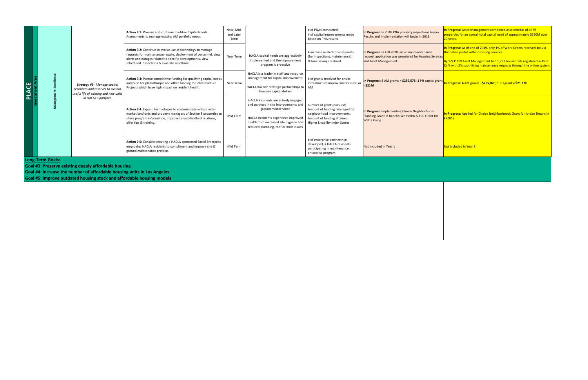| In Progress: In 2018 PNA property inspections began.<br>Results and implementation will begin in 2019.                              | In Progress: Asset Management completed assessments of all 95<br>properties for an overall total capital need of approximately \$360M over<br>20 years.                                                                                                                  |
|-------------------------------------------------------------------------------------------------------------------------------------|--------------------------------------------------------------------------------------------------------------------------------------------------------------------------------------------------------------------------------------------------------------------------|
| In Progress: In Fall 2018, an online maintenance<br>request application was premiered for Housing Services<br>and Asset Management. | In Progress: As of end of 2019, only 1% of Work Orders received are via<br>the online portal within Housing Services.<br>By 12/31/19 Asset Management had 1,297 households registered in Rent<br>Café with 2% submitting maintenance requests through the online system. |
| In Progress: 4 AM grants = $$239,578$ ; 1 PH capital grant<br>- \$21M                                                               | In Progress: 4 AM grants - $$255,820; 1$ PH grant = $$21.1M$                                                                                                                                                                                                             |
| In Progress: Implementing Choice Neighborhoods<br>Planning Grant in Rancho San Pedro & TCC Grant for<br><b>Watts Rising</b>         | <b>In Progress:</b> Applied for Choice Neighborhoods Grant for Jordan Downs in<br><b>FY2019</b>                                                                                                                                                                          |
| Not Included in Year 1                                                                                                              | Not included in Year 2                                                                                                                                                                                                                                                   |

|                                                                         |                       |                                                                                                                  | Action 9.1: Procure and continue to utilize Capital Needs                                                                                                                                                                                       |  |  |  |  |
|-------------------------------------------------------------------------|-----------------------|------------------------------------------------------------------------------------------------------------------|-------------------------------------------------------------------------------------------------------------------------------------------------------------------------------------------------------------------------------------------------|--|--|--|--|
|                                                                         |                       |                                                                                                                  | Assessments to manage existing AM portfolio needs                                                                                                                                                                                               |  |  |  |  |
|                                                                         |                       |                                                                                                                  | <b>Action 9.2:</b> Continue to evolve use of technology to manage<br>requests for maintenance/repairs, deployment of personnel, view<br>alerts and outages related to specific developments, view<br>scheduled inspections & evaluate cost/time |  |  |  |  |
| <u>ღ</u>                                                                | Management Excellence | <b>Strategy #9: Manage capital</b><br>resources and reserves to sustain<br>useful life of existing and new units | <b>Action 9.3:</b> Pursue competitive funding for qualifying capital needs<br>and push for philanthropic and other funding for Infrastructure<br>Projects which have high impact on resident health.                                            |  |  |  |  |
| Investm                                                                 |                       | in HACLA's portfolio                                                                                             | Action 9.4: Expand technologies to communicate with private-<br>market landlords and property managers of Section 8 properties to<br>share program information; improve tenant-landlord relations;<br>offer tips & training.                    |  |  |  |  |
|                                                                         |                       |                                                                                                                  | <b>Action 9.5:</b> Consider creating a HACLA-sponsored Social Enterprise<br>employing HACLA residents to compliment and improve site &<br>ground maintenance projects.                                                                          |  |  |  |  |
| <b>Long-Term Goals:</b>                                                 |                       |                                                                                                                  |                                                                                                                                                                                                                                                 |  |  |  |  |
| <b>Goal #3: Preserve existing deeply affordable housing</b>             |                       |                                                                                                                  |                                                                                                                                                                                                                                                 |  |  |  |  |
| Goal #4: Increase the number of affordable housing units in Los Angeles |                       |                                                                                                                  |                                                                                                                                                                                                                                                 |  |  |  |  |
| Goal #5: Improve outdated housing stock and affordable housing models   |                       |                                                                                                                  |                                                                                                                                                                                                                                                 |  |  |  |  |

| <b>Needs</b><br>ls.                                 | Near, Mid-<br>and Late-<br><b>Term</b> |                                                                                                                                                                                                                               | # of PNAs completed;<br># of capital improvements made<br>based on PNA results                                                                                     | In Progress: In 2018 PNA property inspections<br>Results and implementation will begin in 2019.                           |
|-----------------------------------------------------|----------------------------------------|-------------------------------------------------------------------------------------------------------------------------------------------------------------------------------------------------------------------------------|--------------------------------------------------------------------------------------------------------------------------------------------------------------------|---------------------------------------------------------------------------------------------------------------------------|
| o manage<br>ersonnel, view<br>s, view               | <b>Near Term</b>                       | HACLA capital needs are aggressively<br>implemented and the improvement<br>program is proactive                                                                                                                               | # increase in electronic requests<br>(for inspections, maintenance);<br>% time savings realized                                                                    | In Progress: In Fall 2018, an online maintenand<br>request application was premiered for Housing<br>and Asset Management. |
| ng capital needs<br>frastructure                    | Near Term                              | HACLA is a leader in staff and resource<br>management for capital improvement<br>HACLA has rich strategic partnerships to<br>leverage capital dollars                                                                         | # of grants received for onsite<br>infrastructure improvements in PH or<br><b>AM</b>                                                                               | In Progress: 4 AM grants = $$239,578; 1$ PH capi<br>$\sim$ \$21M                                                          |
| vith private-<br>a 8 properties to<br>rd relations; | Mid Term                               | HACLA Residents are actively engaged<br>and partners in site improvements and<br>ground maintenance<br>HACLA Residents experience improved<br>health from increased site hygiene and<br>reduced plumbing, roof or mold issues | number of grants pursued;<br>Amount of funding leveraged for<br>neighborhood improvements;<br>Amount of funding attained;<br><b>Higher Livability Index Scores</b> | In Progress: Implementing Choice Neighborhod<br>Planning Grant in Rancho San Pedro & TCC Gra<br><b>Watts Rising</b>       |
| ocial Enterprise<br>orove site &                    | Mid Term                               |                                                                                                                                                                                                                               | # of enterprise partnerships<br>developed; # HACLA residents<br>participating in maintenance<br>enterprise program                                                 | Not Included in Year 1                                                                                                    |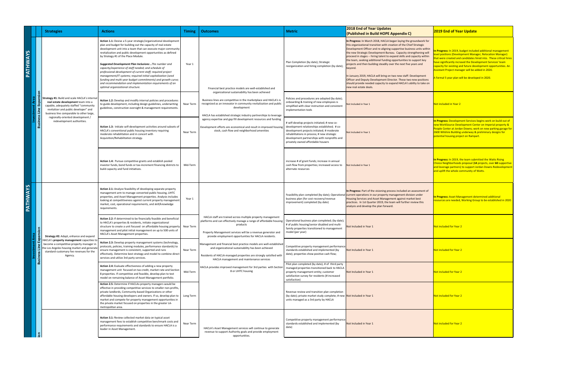|                     |                | <b>Strategies</b>                                                                                                                                                                                                                   | <b>Actions</b>                                                                                                                                                                                                                                                                                                                                                                                                                                                                                                                                                                                                                                                                                                                       | <b>Timing</b> | Outcomes                                                                                                                                                                                                                                                                     | <b>Metric</b>                                                                                                                                                                                                                                                                   | <b>2018 End of Year Updates</b><br>(Published in Build HOPE Appendix C)                                                                                                                                                                                                                                                                                                                                                                                                                                                                                                                                                                                                                                                                                                   | <b>2019 End of Year Update</b>                                                                                                                                                                                                                                                                                                                                                                                                      |
|---------------------|----------------|-------------------------------------------------------------------------------------------------------------------------------------------------------------------------------------------------------------------------------------|--------------------------------------------------------------------------------------------------------------------------------------------------------------------------------------------------------------------------------------------------------------------------------------------------------------------------------------------------------------------------------------------------------------------------------------------------------------------------------------------------------------------------------------------------------------------------------------------------------------------------------------------------------------------------------------------------------------------------------------|---------------|------------------------------------------------------------------------------------------------------------------------------------------------------------------------------------------------------------------------------------------------------------------------------|---------------------------------------------------------------------------------------------------------------------------------------------------------------------------------------------------------------------------------------------------------------------------------|---------------------------------------------------------------------------------------------------------------------------------------------------------------------------------------------------------------------------------------------------------------------------------------------------------------------------------------------------------------------------------------------------------------------------------------------------------------------------------------------------------------------------------------------------------------------------------------------------------------------------------------------------------------------------------------------------------------------------------------------------------------------------|-------------------------------------------------------------------------------------------------------------------------------------------------------------------------------------------------------------------------------------------------------------------------------------------------------------------------------------------------------------------------------------------------------------------------------------|
| PATHWAYS            |                |                                                                                                                                                                                                                                     | Action 1.1: Devise a 5-year strategic/organizational development<br>plan and budget for building out the capacity of real estate<br>development unit into a team that can execute major community<br>revitalization and public development opportunities as defined<br>by Strategy #1 of the Place Module.<br><b>Suggested Development Plan Inclusions: - The number and</b><br>capacity/experience of staff needed; and schedule of<br>professional development of current staff; required project<br>management/IT systems; required initial capitalization (seed<br>funding and multi-year budget commitments) and growth curve;<br>and recommendation and implementation requirements of an<br>optimal organizational structure. | Year 1        | Financial best practice models are well-established and                                                                                                                                                                                                                      | Plan Completion (by date); Strategic<br>reorganization and hiring completion (by date);                                                                                                                                                                                         | In Progress: In March 2018, HACLA began laying the groundwork for<br>this organizational transition with creation of the Chief Strategic<br>Development Officer and re-aligning supportive business units within<br>the new Strategic Development Bureau. Capacity strengthening will<br>proceed in stages -- hiring talent to expand skills and capacity within<br>the team, seeking additional funding opportunities to support key<br>projects and then building steadily over the next five years and<br><b>beyond</b><br>In January 2019, HACLA will bring on two new staff: Development<br><b>Officer and Deputy Development Director. These two new positions</b><br>should provide needed capacity to expand HACLA's ability to take on<br>new real estate deals. | In Progress: In 2019, budget included additional management<br>evel positions (Development Manager, Relocation Manager)<br>that were created and candidates hired into. These critical hires<br>have significantly incrased the Development Services' team<br>capacity for existing and future development opportunities. An<br>Assistant Project manager will be added in 2020.<br>A formal 5 year plan will be developed in 2020. |
|                     | Busin<br>Busin | $\Xi$ Strategy #1: Build and scale HACLA's internal<br>real estate development team into a<br>capable, adequately staffed "community<br>revitalizer and public developer" and<br>business line comparable to other large,           | Action 1.2: Develop and modify internal policies and procedures  <br>to guide development, including design guidelines, underwriting<br>guidelines, construction oversight & management requirements.                                                                                                                                                                                                                                                                                                                                                                                                                                                                                                                                | Near Term     | organizational sustainability has been achieved<br>Business lines are competitive in the marketplace and HACLA's is<br>recognized as an innovator in community revitalization and public<br>development<br>HACLA has established strategic industry partnerships to leverage | Policies and procedures are adopted (by date);<br>onboarding & training of new employees is<br>simplified with clear instruction and consistent<br>implementation tools                                                                                                         | Not Included in Year 1                                                                                                                                                                                                                                                                                                                                                                                                                                                                                                                                                                                                                                                                                                                                                    | Not included in Year 2                                                                                                                                                                                                                                                                                                                                                                                                              |
|                     |                | regionally-oriented development /<br>redevelopment authorities.                                                                                                                                                                     | Action 1.3: Initiate self-development activities around subsets of<br>HACLA's conventional public housing inventory requiring<br>moderate rehabilitation and in concert with<br>Acquisition/Rehabilitation strategy.                                                                                                                                                                                                                                                                                                                                                                                                                                                                                                                 | Near Term     | agency expertise and gap fill development resources and funding<br>Development efforts are economical and result in improved housing<br>stock, cash flow and neighborhood amenities                                                                                          | # self-develop projects initiated; # new co-<br>development relationships established; # co-<br>development projects initiated; # moderate<br>rehabilitations in process; # new strategic<br>development partnerships with nonprofits and<br>privately owned affordable housers | Not Included in Year 1                                                                                                                                                                                                                                                                                                                                                                                                                                                                                                                                                                                                                                                                                                                                                    | In Progress: Development Services begins work on build out of<br>new WorkSource Development Center on Imperial property &<br>People Center at Jordan Downs; work on new parking garage for<br>2600 Wilshire Building underway & preliminary designs for<br>potential housing project on Rampart.                                                                                                                                    |
|                     |                |                                                                                                                                                                                                                                     | Action 1.4: Pursue competitive grants and establish pooled<br>investor funds, bond funds or tax-increment financing districts to  <br>build capacity and fund initiatives.                                                                                                                                                                                                                                                                                                                                                                                                                                                                                                                                                           | Mid-Term      |                                                                                                                                                                                                                                                                              | increase # of grant funds; increase in annual<br>cash flow from properties; increased access to<br>alternate resources                                                                                                                                                          | Not Included in Year 1                                                                                                                                                                                                                                                                                                                                                                                                                                                                                                                                                                                                                                                                                                                                                    | In Progress: In 2019, the team submitted the Watts Rising<br>Choice Neighborhoods proposal (14 projects, over 60 supportive<br>and leverage partners) to support Jordan Downs Redevelopment<br>and uplift the whole community of Watts.                                                                                                                                                                                             |
| S <br><b>PATHWA</b> |                |                                                                                                                                                                                                                                     | Action 2.1: Analyze feasibility of developing separate property<br>management arm to manage converted public housing, LIHTC<br>properties, and Asset Management properties. Analysis includes<br>looking at competitiveness against current property management<br>market, cost, operational requirements, and skill/knowledge<br>requirements.                                                                                                                                                                                                                                                                                                                                                                                      | Year 1        |                                                                                                                                                                                                                                                                              | business plan (for cost recovery/revenue<br>improvement) completed (by date)                                                                                                                                                                                                    | In Progress: Part of the visioning process included an assessment of<br>Feasibility plan completed (by date); Operational current operations in our property management division under<br>Housing Services and Asset Management against market best<br>practices. In 1st Quarter 2019, the team will further review this<br>analysis and develop the plan forward.                                                                                                                                                                                                                                                                                                                                                                                                        | In Progress: Asset Management determined additional<br>resources are needed, Working Group to be established in 2020                                                                                                                                                                                                                                                                                                                |
|                     |                | <b>Strategy #2: Adapt, enhance and expand</b>                                                                                                                                                                                       | <b>Action 2.2:</b> If determined to be financially feasible and beneficial<br>to HACLA's properties & residents, initiate organizational<br>structure to create a unit focused on affordable housing property<br>management and pilot initial management on up to 500 units of<br>HACLA's Asset Management properties.                                                                                                                                                                                                                                                                                                                                                                                                               | Near Term     | HACLA staff are trained across multiple property management<br>platforms and can effectively manage a range of affordable housing<br>products<br>Property Management services will be a revenue generator and<br>provide employment opportunities for HACLA residents.       | Operational business plan completed; (by date);<br># of public housing/senior disabled and multi-<br>family properties transitioned to management<br>model (per year)                                                                                                           | Not Included in Year 1                                                                                                                                                                                                                                                                                                                                                                                                                                                                                                                                                                                                                                                                                                                                                    | Not included for Year 2                                                                                                                                                                                                                                                                                                                                                                                                             |
|                     |                | $\overline{X}$ HACLA's property management capacities to<br>become a competitive property manager in<br>$\mathsf{E}$ $\mathsf{E}$ the Los Angeles housing market and generate<br>standard-customary fee revenues for the<br>Agency. | Action 2.3: Develop property management systems (technology,<br>protocols, policies, training modules, performance standards) to<br>ensure management is consistent, supported and runs<br>effectively. Determine best strategy and model to combine direct<br>services and utilize 3rd party services.                                                                                                                                                                                                                                                                                                                                                                                                                              | Near Term     | Management and financial best practice models are well-established<br>and organizational sustainability has been achieved<br>Residents of HACLA-managed properties are strongly satisfied with<br>HACLA management and maintenance services                                  | Competitive property management performance<br>standards established and implemented (by<br>date); properties show positive cash flow;                                                                                                                                          | Not Included in Year 1                                                                                                                                                                                                                                                                                                                                                                                                                                                                                                                                                                                                                                                                                                                                                    | Not included for Year 2                                                                                                                                                                                                                                                                                                                                                                                                             |
|                     |                |                                                                                                                                                                                                                                     | <b>Action 2.4:</b> Evaluate effectiveness of adding a new property<br>management unit focused on tax credit, market rate and Section<br>8 properties. If competitive and feasible, develop plan to test<br>model on remaining balance of Asset Management portfolio.                                                                                                                                                                                                                                                                                                                                                                                                                                                                 | Mid-Term      | HACLA provides improved management for 3rd parties with Section  <br>8 or LIHTC housing                                                                                                                                                                                      | Pilot plan completed (by date); # of third party<br>managed properties transitioned back to HACLA<br>property management entity; customer<br>satisfaction survey for residents (# increased<br>satisfaction)                                                                    | Not Included in Year 1                                                                                                                                                                                                                                                                                                                                                                                                                                                                                                                                                                                                                                                                                                                                                    | <b>Not included for Year 2</b>                                                                                                                                                                                                                                                                                                                                                                                                      |
|                     |                |                                                                                                                                                                                                                                     | Action 2.5: Determine if HACLAs property managers would be<br>effective in providing competitive services to smaller non-profits,<br>private landlords, Community-based Organizations or other<br>affordable housing developers and owners. If so, develop plan to  <br>market and compete for property management opportunities in<br>the private market focused on properties in the greater LA-<br>metropolitan area.                                                                                                                                                                                                                                                                                                             | Long Term     |                                                                                                                                                                                                                                                                              | Revenue review and transition plan completion<br>(by date); private market study complete; # new $\vert$ Not Included in Year 1<br>units managed as a 3rd party by HACLA                                                                                                        |                                                                                                                                                                                                                                                                                                                                                                                                                                                                                                                                                                                                                                                                                                                                                                           | Not included for Year 2                                                                                                                                                                                                                                                                                                                                                                                                             |
|                     |                |                                                                                                                                                                                                                                     | <b>Action 3.1: Review collected market data on typical asset</b><br>management fees to establish competitive benchmark costs and<br>performance requirements and standards to ensure HACLA is a<br>leader in Asset Management.                                                                                                                                                                                                                                                                                                                                                                                                                                                                                                       | Near Term     | HACLA's Asset Management services will continue to generate<br>revenue to support Authority goals and provide employment<br>opportunities.                                                                                                                                   | Competitive property management performance<br>standards established and implemented (by<br>date)                                                                                                                                                                               | Not Included in Year 1                                                                                                                                                                                                                                                                                                                                                                                                                                                                                                                                                                                                                                                                                                                                                    | Not included for Year 2                                                                                                                                                                                                                                                                                                                                                                                                             |
|                     |                |                                                                                                                                                                                                                                     |                                                                                                                                                                                                                                                                                                                                                                                                                                                                                                                                                                                                                                                                                                                                      |               |                                                                                                                                                                                                                                                                              |                                                                                                                                                                                                                                                                                 |                                                                                                                                                                                                                                                                                                                                                                                                                                                                                                                                                                                                                                                                                                                                                                           |                                                                                                                                                                                                                                                                                                                                                                                                                                     |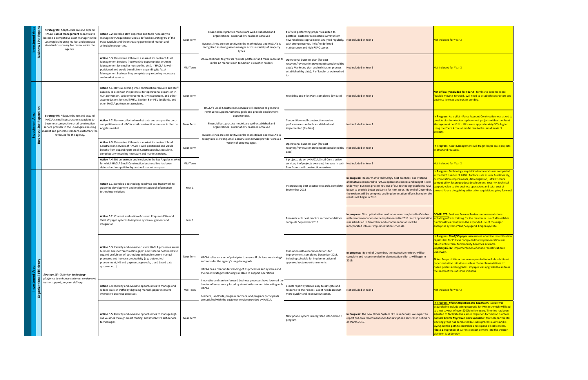| Area<br>Investment | $\mathbf{C}$<br><b>Expal</b><br>Line<br><b>S</b><br>$\boldsymbol{\omega}$<br>$\ddot{\mathbf{u}}$<br>usin<br>$\mathbf{\Omega}$ | <b>Strategy #3: Adapt, enhance and expand</b><br>HACLA's asset management capacities to<br>become a competitive asset manager in the<br>Los Angeles housing market and generate<br>standard-customary fee revenues for the<br>agency.                         | <b>Action 3.2:</b> Develop staff expertise and tools necessary to<br>manage new Acquisition Fund as defined in Strategy #2 of the<br>Place Module and the increasing portfolio of market and<br>affordable properties.<br><b>Action 3.3:</b> Determine if there is a market for contract Asset<br>Management Services (receivership opportunities or Asset<br>Management for smaller non-profits, etc.). If HACLA is well-<br>positioned and would benefit from expanding its Asset<br>Management business line, complete any retooling necessary<br>and market services. |
|--------------------|-------------------------------------------------------------------------------------------------------------------------------|---------------------------------------------------------------------------------------------------------------------------------------------------------------------------------------------------------------------------------------------------------------|---------------------------------------------------------------------------------------------------------------------------------------------------------------------------------------------------------------------------------------------------------------------------------------------------------------------------------------------------------------------------------------------------------------------------------------------------------------------------------------------------------------------------------------------------------------------------|
| Area<br>Investment | sion<br>$\mathbf{C}$<br>Expa<br>$\mathbf{\Omega}$<br>$\tilde{\Xi}$<br>ess                                                     | <b>Strategy #4: Adapt, enhance and expand</b><br>HACLA's small construction capacities to<br>become a competitive small construction<br>service provider in the Los Angeles housing<br>market and generate standard-customary fee<br>revenues for the agency. | <b>Action 4.1:</b> Review existing small construction resource and staff<br>capacity to ascertain the potential for operational expansion in<br>ADA conversion, code enforcement, city inspections, and other<br>accomodations for small PHAs, Section 8 or PBV landlords, and<br>other HACLA partners or associates.<br>Action 4.2: Review collected market data and analyze the cost-<br>competitiveness of HACLA small construction services in the Los<br>Angeles market.                                                                                             |
|                    | <b>Busine</b>                                                                                                                 |                                                                                                                                                                                                                                                               | <b>Action 4.3:</b> Determine if there is a market for contract Small<br>Construction services. If HACLA is well-positioned and would<br>benefit from expanding its Small Construction business line,<br>complete any retooling necessary and market services.                                                                                                                                                                                                                                                                                                             |
|                    |                                                                                                                               |                                                                                                                                                                                                                                                               | Action 4.4: Bid on projects and services in the Los Angeles market<br>for which HACLA Small Construction business line has been<br>determined competitive by cost and market analyses.                                                                                                                                                                                                                                                                                                                                                                                    |
|                    |                                                                                                                               |                                                                                                                                                                                                                                                               | <b>Action 5.1:</b> Develop a technology roadmap and framework to<br>guide the development and implementation of information<br>technology solutions                                                                                                                                                                                                                                                                                                                                                                                                                       |
|                    |                                                                                                                               |                                                                                                                                                                                                                                                               | <b>Action 5.2:</b> Conduct evaluation of current Emphasis Elite and<br>Yardi Voyager systems to improve system alignment and<br>integration.                                                                                                                                                                                                                                                                                                                                                                                                                              |
| <b>Area</b>        | Efficiency                                                                                                                    |                                                                                                                                                                                                                                                               | <b>Action 5.3: Identify and evaluate current HACLA processes across</b><br>business lines for "automation gaps" and systems bottlenecks to<br>expand usefulness of technology to handle current manual<br>processes and increase productivity (e.g. automated<br>procurement, HR and payment approvals, cloud based data<br>systems, etc.)                                                                                                                                                                                                                                |
| Investment         | $\mathbf \sigma$<br>tiona<br>Organiz                                                                                          | <b>Strategy #5: Optimize technology</b><br>platforms to enhance customer service and<br>better support program delivery                                                                                                                                       | Action 5.4: Identify and evaluate opportunities to manage and<br>reduce walk-in traffic by digitizing manual, paper-intensive<br>interactive business processes                                                                                                                                                                                                                                                                                                                                                                                                           |
|                    |                                                                                                                               |                                                                                                                                                                                                                                                               | Action 5.5: Identify and evaluate opportunities to manage high<br>call volumes through smart routing and interactive self-service<br>technologies                                                                                                                                                                                                                                                                                                                                                                                                                         |

| f the                                                               | Near Term | Financial best practice models are well-established and<br>organizational sustainability has been achieved<br>Business lines are competitive in the marketplace and HACLA's is<br>recognized as strong asset manager across a variety of property<br>types    | # of well performing properties added to<br>portfolio; customer satisfaction surveys from<br>new residents; capital needs analyzed regularly,<br>with strong reserves, little/no deferred<br>maintenance and high REAC scores | Not Included in Year 1                                                                                                                                                                                                                                                                                                                                                                                  | Not included for Year 2                                                                                                                                                                                                                                                                                                                                                                                                                                                                                                                                                          |
|---------------------------------------------------------------------|-----------|---------------------------------------------------------------------------------------------------------------------------------------------------------------------------------------------------------------------------------------------------------------|-------------------------------------------------------------------------------------------------------------------------------------------------------------------------------------------------------------------------------|---------------------------------------------------------------------------------------------------------------------------------------------------------------------------------------------------------------------------------------------------------------------------------------------------------------------------------------------------------------------------------------------------------|----------------------------------------------------------------------------------------------------------------------------------------------------------------------------------------------------------------------------------------------------------------------------------------------------------------------------------------------------------------------------------------------------------------------------------------------------------------------------------------------------------------------------------------------------------------------------------|
| set<br>-ااڍ<br>ssary                                                | Mid-Term  | HACLA continues to grow its "private portfolio" and make more units<br>in the LA market open to Section 8 voucher holders                                                                                                                                     | Operational business plan (for cost<br>recovery/revenue improvement) completed (by<br>date); Marketing plan and solicitation process<br>established (by date); # of landlords outreached<br>to                                | Not Included in Year 1                                                                                                                                                                                                                                                                                                                                                                                  | Not included for Year 2                                                                                                                                                                                                                                                                                                                                                                                                                                                                                                                                                          |
| nd staff<br>$\mathop{\mathsf{sign}}\nolimits$ in<br>other<br>s, and | Near Term | HACLA's Small Construction services will continue to generate                                                                                                                                                                                                 | Feasibility and Pilot Plans completed (by date)                                                                                                                                                                               | Not Included in Year 1                                                                                                                                                                                                                                                                                                                                                                                  | Not officially included for Year 2 - for this to become more<br>feasible moving forward, will need to establish contractors and<br>business licenses and obtain bonding.                                                                                                                                                                                                                                                                                                                                                                                                         |
| e cost-<br>the Los                                                  | Near Term | revenue to support Authority goals and provide employment<br>opportunities.<br>Financial best practice models are well-established and<br>organizational sustainability has been achieved<br>Business lines are competitive in the marketplace and HACLA's is | Competitive small construction service<br>performance standards established and<br>implemented (by date)                                                                                                                      | Not Included in Year 1                                                                                                                                                                                                                                                                                                                                                                                  | In Progress: As a pilot - Force Account Construction was asked to<br>provide bids for window replacement projects within the Asset<br>Management portfolio. Bids were approximately 30% higher<br>using the Force Account model due to the small scale of<br>projects.                                                                                                                                                                                                                                                                                                           |
| nall<br>uld<br>ne,                                                  | Near Term | recognized as strong Small Construction service provider across a<br>variety of property types                                                                                                                                                                | Operational business plan (for cost<br>recovery/revenue improvement) completed (by<br>date)                                                                                                                                   | Not Included in Year 1                                                                                                                                                                                                                                                                                                                                                                                  | In Progress: Asset Management will traget larger scale projects<br>in 2020 and reassess.                                                                                                                                                                                                                                                                                                                                                                                                                                                                                         |
| s market                                                            | Mid-Term  |                                                                                                                                                                                                                                                               | # projects bid on by HACLA Small Construction<br>services; # of projects awarded; increase in cash<br>flow from small construction services                                                                                   | Not Included in Year 1                                                                                                                                                                                                                                                                                                                                                                                  | Not included for Year 2                                                                                                                                                                                                                                                                                                                                                                                                                                                                                                                                                          |
| rk to<br>on                                                         | Year 1    |                                                                                                                                                                                                                                                               | Incorporating best practice research, complete<br>September 2018                                                                                                                                                              | In progress: Research into technology best practices, and systems<br>alternatives compared to HACLA operational needs and budget is well<br>underway. Business process reviews of our technology platforms have<br>begun to provide better guidance for next steps. By end of December, $\int_C$<br>the reviews will be complete and implementation efforts based on the<br>results will begin in 2019. | In Progress: Technology acquisition framework was completed<br>in the third quarter of 2018. Factors such as user functionality,<br>customization requirements, data migration, infrastructure<br>compatibility, future product development, security, technical<br>upport, value to the business operations and total cost of<br>ownership are the guiding criteria for acquisitions going forward.                                                                                                                                                                             |
| and                                                                 | Year 1    |                                                                                                                                                                                                                                                               | Research with best practice recommendations<br>complete September 2018                                                                                                                                                        | In progress: Elite optimization evaluation was completed in October<br>with recommendations to be implemented in 2019. Yardi optimization <i>lincluding refresh training for the maximum use of all available</i><br>was scheduled in December and recommendations will be<br>incorporated into our implementation schedule.                                                                            | <b>COMPLETE: Business Process Reviews recommendations</b><br>functionalities resulted in the expanded use of the major<br>enterprise systems Yardi/Voyager & Emphasys/Elite                                                                                                                                                                                                                                                                                                                                                                                                      |
| es across<br>ecks to<br>ıal<br>ata                                  | Near Term | HACLA relies on a set of principles to ensure IT choices are strategic<br>and consider the agency's long-term goals<br>HACLA has a clear understanding of its processes and systems and<br>the most strategic technology in place to support operations       | Evaluation with recommendations for<br>improvements completed December 2018,<br>including schedule for implementation of<br>approved systems enhancements                                                                     | In progress: By end of December, the evaluative reviews will be<br>complete and recommended implementation efforts will begin in<br>2019.                                                                                                                                                                                                                                                               | In Progress: Yardi/Voyager assessment of online recertification<br>capabilities for PH was completed but implementation was<br>tabled until critical functionality becomes available.<br><b>Emphasys/Elite</b> implementation of online recertification is<br>underway.<br><b>Note:</b> Scope of this action was expanded to include additional<br>paper reduction initiatives such as the implementations of<br>online portals and upgrades. Voyager was upgraded to address<br>the needs of the Jobs Plus initiative.                                                          |
| e and<br>/e                                                         | Mid-Term  | Innovative and service focused business processes have lowered the<br>burden of bureaucracy faced by stakeholders when interacting with<br><b>HACLA</b><br>Resident, landlords, program partners, and program participants                                    | Clients report system is easy to navigate and<br>response to their needs. Client needs are met<br>more quickly and improve outcomes.                                                                                          | Not Included in Year 1                                                                                                                                                                                                                                                                                                                                                                                  | Not included for Year 2                                                                                                                                                                                                                                                                                                                                                                                                                                                                                                                                                          |
| e high<br>ervice                                                    | Near Term | are satisfied with the customer service provided by HACLA                                                                                                                                                                                                     | New phone system is integrated into Section 8<br>program                                                                                                                                                                      | In Progress: The new Phone System RFP is underway; we expect to<br>report out on a recommendation for new phone services in February<br>or March 2019.                                                                                                                                                                                                                                                  | <b>In Progress: Phone Migration and Expansion: Scope was</b><br>expanded to include wiring upgrade for PH sites which will lead<br>to a net savings of over \$200k in five years. Timeline has been<br>adjusted to facilitate the earlier migration for Section 8 offices.<br><b>Contact Center Migration and Expansion: Multi-Departmental</b><br>working group has conducted business process audits and is<br>laying out the path to centralize and expand all call centers.<br><b>Phase 1</b> migration of current contact centers into the Verizon<br>platform is underway. |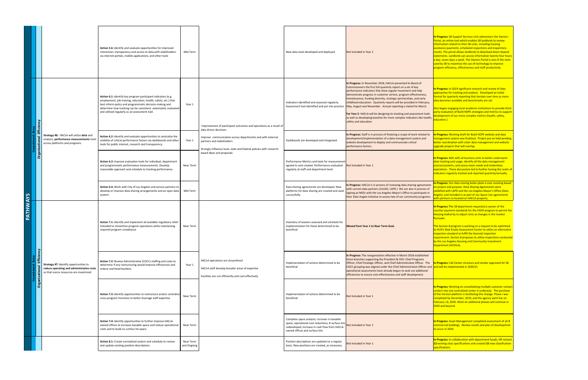|          |                   |                                                                                                                                             | Action 5.6: Identify and evaluate opportunities for improved<br>Mid-Term<br>interaction, transparency and access to data with stakeholders<br>via internet portals, mobile applications, and other tools                                                                                                                 |                       |                                                                                                                                                                                                                                                                  | New data tools developed and deployed                                                                                                                                                                          | Not Included in Year 1                                                                                                                                                                                                                                                                                                                                                                                                                                                                                                                                                                                                                                                                                                  | In Progress: S8 Support Services Unit administers the Owners<br>Portal, an online tool which enables S8 landlords to review<br>information related to their S8 units, including housing<br>assistance payments, scheduled inspections and inspections<br>results. The portal allows landlords to download direct deposit<br>statements. Landlords can access information twenty-four hours<br>a day, seven days a week. The Owners Portal is one of the tools<br>used by S8 to maximize the use of technology to improve<br>program efficiency, effectiveness and staff productivity. |
|----------|-------------------|---------------------------------------------------------------------------------------------------------------------------------------------|--------------------------------------------------------------------------------------------------------------------------------------------------------------------------------------------------------------------------------------------------------------------------------------------------------------------------|-----------------------|------------------------------------------------------------------------------------------------------------------------------------------------------------------------------------------------------------------------------------------------------------------|----------------------------------------------------------------------------------------------------------------------------------------------------------------------------------------------------------------|-------------------------------------------------------------------------------------------------------------------------------------------------------------------------------------------------------------------------------------------------------------------------------------------------------------------------------------------------------------------------------------------------------------------------------------------------------------------------------------------------------------------------------------------------------------------------------------------------------------------------------------------------------------------------------------------------------------------------|---------------------------------------------------------------------------------------------------------------------------------------------------------------------------------------------------------------------------------------------------------------------------------------------------------------------------------------------------------------------------------------------------------------------------------------------------------------------------------------------------------------------------------------------------------------------------------------|
|          |                   |                                                                                                                                             | Action 6.1: Identify key program participant indicators (e.g.<br>employment, job training, education, health, safety, etc.) that<br>Year 1<br>best inform policy and programmatic decision-making and<br>determine how tracking can be consistent, automated, evaluated<br>and utilized regularly as an assessment tool. |                       |                                                                                                                                                                                                                                                                  | Indicators identified and assessed regularly.                                                                                                                                                                  | In Progress: In November 2018, HACLA presented its Board of<br>Commissioners the first full quarterly report on a set of key<br>performance indicators that show regular movement and help<br>demonstrate progress in customer service, program effectiveness,<br>homelessness, funding diversity, strategic partnerships, and early<br>childhood education. Quarterly reports will be provided in February,<br>Assessment tool identified and put into practice. May, August and November. Annual reporting is slated for March.<br><b>For Year 2: HACLA will be designing its tracking and assessment tools</b><br>as well as developing baseline for more complex indicators like health,  <br>safety and education. | In Progress: In 2019 significant research and review of data<br>approaches for tracking and analysis. Developed an initial<br>ormat for quarterly reporting that iterates over time as more<br>data becomes available and benchmarks are set.<br>Also began engaging local academic institutions to provide third-<br>party evaluation of Build HOPE strategies and metrics to support<br>development of our more complex metrics (health, safety,<br>ducation.)                                                                                                                      |
|          |                   | <b>Strategy #6: HACLA will utilize data and</b><br>analysis, performance measurements tools<br>$\frac{1}{2}$ across platforms and programs. | Action 6.2: Identify and evaluate opportunities to centralize the<br>visibility of critical performance factors via dashboards and other  <br>Year 1<br>tools for public interest, research and transparency.                                                                                                            | data driven decisions | Improvement of participant outcomes and operations as a result of<br>Improve communication across departments and with external<br>partners and stakeholders<br>Strongly influence local, state and federal policies with research-<br>based ideas and proposals | Dashboards are developed and integrated.                                                                                                                                                                       | In Progress: Staff is in process of finalizing a scope of work related to<br>development/implementation of a data management system and<br>website development to display and communicate critical<br>performance factors.                                                                                                                                                                                                                                                                                                                                                                                                                                                                                              | In Progress: Working draft for Build HOPE website and data<br>management system was finalized. Project put on hold pending<br>better coordination with sister data management and website<br>upgrade projects that will overlap.                                                                                                                                                                                                                                                                                                                                                      |
|          | l ō               |                                                                                                                                             | <b>Action 6.3:</b> Improve evaluation tools for individual, department<br>and programmatic performance measurements. Develop<br>Near Term<br>reasonable approach and schedule to tracking performance.                                                                                                                   |                       |                                                                                                                                                                                                                                                                  | Performance Metrics and tools for measurement<br>agreed to and created. Performance evaluated<br>regularly at staff and department level.                                                                      | Not Included in Year 1                                                                                                                                                                                                                                                                                                                                                                                                                                                                                                                                                                                                                                                                                                  | In Progress: Met with all business units to better understand<br>data tracking and usage, identify all the data management<br>sources/systems, and assess team needs and evidentiary<br>aspirations. These discussions led to further honing the realm of<br>indicators regularly tracked and reported quarterly/annually.                                                                                                                                                                                                                                                            |
|          |                   |                                                                                                                                             | <b>Action 6.4:</b> Work with City of Los Angeles and service partners to  <br>develop or improve data sharing arrangements and an open data $\vert$ Mid-Term<br>system.                                                                                                                                                  |                       |                                                                                                                                                                                                                                                                  | Data sharing agreements are developed. New<br>platforms for data sharing are created and used<br>successfully.                                                                                                 | In Progress: HACLA is in process of renewing data sharing agreements<br>with current data partners (LAUSD, LAPD.) We are also in process of<br>signing an MOU with the Los Angeles Mayor's Office to participate in<br>their Data Angels initiative to assess two of our community programs.                                                                                                                                                                                                                                                                                                                                                                                                                            | In Progress: Our data sharing boiler-plate is ever evolving based<br>on project and purpose. Data Sharing Agreements were<br>olidified with LAPD and the Los Angeles Mayor's Office (Data<br>Angels), and included in as part of our Space Use agreements<br>with partners co-located on HACLA property.                                                                                                                                                                                                                                                                              |
| PATHWAYS |                   |                                                                                                                                             | Action 7.1: Identify and implement all available regulatory relief<br>intended to streamline program operations while maintaining<br>Near Term<br>required program compliance                                                                                                                                            |                       |                                                                                                                                                                                                                                                                  | Inventory of waivers assessed and schedule for<br>implementation for those determined to be<br>beneficial                                                                                                      | <b>Moved from Year 1 to Near Term Goal.</b>                                                                                                                                                                                                                                                                                                                                                                                                                                                                                                                                                                                                                                                                             | In Progress: The S8 department requested a waiver of the<br>voucher payment standards for the VASH program to permit the<br>Housing Authority to adjust rents as changes in the market<br>The Section 8 program is working on a request to be submitted<br>to HUD's Real Estate Assessment Center to utilize an alternative<br>inspection standard to fulfill the biennial inspection<br>equirement. Section 8 proposes to utilize inspections conducted<br>by the Los Angeles Housing and Community Investment<br>Department (HCIDLA).                                               |
|          |                   | <b>Strategy #7:</b> Identify opportunities to<br>reduce operating and administrative costs<br>so that scarce resources are maximized        | <b>Action 7.2: Review Administrative (COCC) staffing and costs to</b><br>Year 1<br>determine if any restructuring would improve efficiencies and<br>reduce overhead burdens.                                                                                                                                             |                       | HACLA operations are streamlined<br>HACLA staff develop broader areas of expertise<br>Facilities are run efficiently and cost-effectively                                                                                                                        | Implementation of actions determined to be<br>beneficial                                                                                                                                                       | In Progress: The reorganization effective in March 2018 established<br>three branches supporting the President & CEO: Chief Programs<br>Officer, Chief Strategic Officer, and Chief Administrative Officer. The <b>In Progress: Call Center structure and vendor approved for S8</b><br>COCC grouping was aligned under the Chief Administrative Officer and and will be implemented in 2020/21<br>operational assessments have already begun to seek out additional<br>efficiencies to ensure cost-effectiveness and staff development.                                                                                                                                                                                |                                                                                                                                                                                                                                                                                                                                                                                                                                                                                                                                                                                       |
|          | $ \ddot{\sigma} $ |                                                                                                                                             | Action 7.3: Identify opportunities to restructure and/or centralize<br>Near Term<br>cross-program functions to better leverage staff expertise                                                                                                                                                                           |                       |                                                                                                                                                                                                                                                                  | Implementation of actions determined to be<br>beneficial                                                                                                                                                       | Not Included in Year 1                                                                                                                                                                                                                                                                                                                                                                                                                                                                                                                                                                                                                                                                                                  | In Progress: Working on consolidating mutliple customer contact<br>centers into one centralized center is underway. The purchase<br>of the Verizon platform is facilitating this change. Phase I was<br>completed by December, 2019, and the agency went live on<br><b>February 13, 2020. Work on additional phases will continue in</b><br>2020 and beyond.                                                                                                                                                                                                                          |
|          |                   |                                                                                                                                             | Action 7.4: Identify opportunities to further improve HACLA-<br>owned offices to increase leasable space and reduce operational<br>Near Term<br>costs and to build on surface lot space.                                                                                                                                 |                       |                                                                                                                                                                                                                                                                  | Complete space analysis; increase in leasable<br>space; operational cost reductions; # surface lots Not Included in Year 1<br>redeveloped; increase in cash flow from HACLA-<br>owned offices and surface lots |                                                                                                                                                                                                                                                                                                                                                                                                                                                                                                                                                                                                                                                                                                                         | In Progress: Asset Management completed assessment of all 3<br>commercial buildings. Review results and plan of development<br>to occur in 2020.                                                                                                                                                                                                                                                                                                                                                                                                                                      |
|          |                   |                                                                                                                                             | Near Term<br>Action 8.1: Create normalized system and schedule to review<br>and update existing position descriptions<br>and Ongoing                                                                                                                                                                                     |                       |                                                                                                                                                                                                                                                                  | Position descriptions are updated on a regular<br>basis. New positions are created, as necessary.                                                                                                              | Not Included in Year 1                                                                                                                                                                                                                                                                                                                                                                                                                                                                                                                                                                                                                                                                                                  | In Progress: In collaboration with department heads, HR revised<br>12 existing class specifications and created 15 new classification<br>specifications.                                                                                                                                                                                                                                                                                                                                                                                                                              |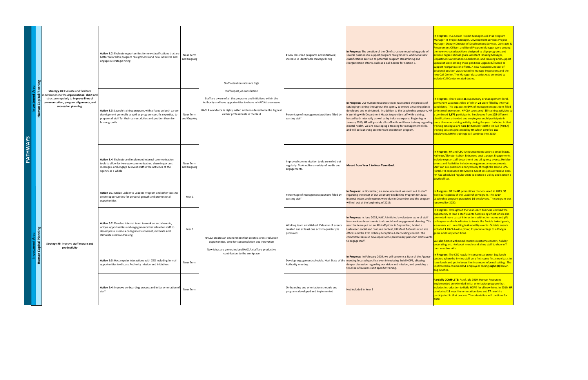|                 |                                                                                                                                                                                                                  | <b>Action 8.2:</b> Evaluate opportunities for new classifications that are<br>better tailored to program realignments and new initiatives and<br>engage in strategic hiring                                                   | Near Term<br>and Ongoing | Staff retention rates are high                                                                                                                                                                                                                                                | # new classified programs and initiatives;<br>increase in identifiable strategic hiring                        | In Progress: The creation of the Chief structure required upgrade of<br>several positions to support program realignments. Additional new<br>classifications are tied to potential program streamlining and<br>reorganization efforts, such as a Call Center for Section 8.                                                                                                                                                                                                                                                                                                                                                                                                                                                                                                  | In Progress: TCC Senior Project Manager, Job Plus Program<br>Manager, IT Project Manager, Development Services Project<br>Manager, Deputy Director of Development Services, Contracts &<br><b>Procurement Officer, and Bond Program Manager were among</b><br>the newly created positions designed to align programs and<br>achieve organizational goals. Assistant Housing Manager,<br>Department Automation Coordinator, and Training and Support<br>Specialist were among those positions upgraded/revised to<br>support reorganization efforts. A new Assistant Director of<br>Section 8 position was created to manage Inspections and the<br>new Call Center. The Manager class series was amended to<br>include Call Center related duties. |
|-----------------|------------------------------------------------------------------------------------------------------------------------------------------------------------------------------------------------------------------|-------------------------------------------------------------------------------------------------------------------------------------------------------------------------------------------------------------------------------|--------------------------|-------------------------------------------------------------------------------------------------------------------------------------------------------------------------------------------------------------------------------------------------------------------------------|----------------------------------------------------------------------------------------------------------------|------------------------------------------------------------------------------------------------------------------------------------------------------------------------------------------------------------------------------------------------------------------------------------------------------------------------------------------------------------------------------------------------------------------------------------------------------------------------------------------------------------------------------------------------------------------------------------------------------------------------------------------------------------------------------------------------------------------------------------------------------------------------------|----------------------------------------------------------------------------------------------------------------------------------------------------------------------------------------------------------------------------------------------------------------------------------------------------------------------------------------------------------------------------------------------------------------------------------------------------------------------------------------------------------------------------------------------------------------------------------------------------------------------------------------------------------------------------------------------------------------------------------------------------|
| <b>PATHWAYS</b> | <b>Strategy #8: Evaluate and facilitate</b><br>nodifications to the <b>organizational chart</b> and<br>structure regularly to improve lines of<br>communication, program alignments, and<br>succession planning. | Action 8.3: Launch training program, with a focus on both career<br>development generally as well as program-specific expertise, to<br>prepare all staff for their current duties and position them for<br>future growth      | Near Term<br>and Ongoing | Staff report job satisfaction<br>Staff are aware of all the programs and initiatives within the<br>Authority and have opportunities to share in HACLA's successes<br>HACLA workforce is highly skilled and considered to be the highest<br>caliber professionals in the field | Percentage of management positions filled by<br>existing staff                                                 | In Progress: Our Human Resources team has started the process of<br>cataloging training throughout the agency to ensure a training plan is candidates. This equates to 64% of management positions filled<br>developed and maintained. In addition to the Leadership program, HR by internal promotion. HACLA sponsored 55 training activities to<br>is working with Department Heads to provide staff with training,<br>hosted both internally as well as by industry experts. Beginning in<br>January 2019, HR will provide all staff with an 8 hour training regarding more than one training activity during the year. Included in that<br>mental health, we are developing a training for management skills,<br>and will be launching an extensive orientation program. | In Progress: There were 36 supervisory or management level,<br>permanent vacancies filled of which 23 were filled by internal<br>a combined 1,671 participants. Employees from 125 different<br>classifications attended and employees could participate in<br>training catalogue are nine (9) Mental Health First Aid (MHFA)<br><b>training sessions presented by HR which certified 157</b><br>employees. MHFA trainings will continue into 2020                                                                                                                                                                                                                                                                                                 |
|                 |                                                                                                                                                                                                                  | <b>Action 8.4:</b> Evaluate and implement internal communication<br>tools to allow for two-way communication, share important<br>messages, and engage & invest staff in the activities of the<br>Agency as a whole            | Near Term<br>and Ongoing |                                                                                                                                                                                                                                                                               | Improved communication tools are rolled out<br>regularly. Tools utilize a variety of media and<br>engagements. | <b>Moved from Year 1 to Near Term Goal.</b>                                                                                                                                                                                                                                                                                                                                                                                                                                                                                                                                                                                                                                                                                                                                  | In Progress: HR and CEO Announcements sent via email blasts.<br>Hallways/Elevator Lobby, Entrances post signage. Engagements<br>include regular staff department and all agency events. Holiday<br>events and festivities include management announcements.<br><b>Staff can ask questions anonymously through the Online Q/A</b><br>Portal. HR conducted HR Meet & Greet sessions at various sites.<br><b>HR has scheduled regular visits to Section 8 Valley and Section 8</b><br>South offices.                                                                                                                                                                                                                                                  |
|                 |                                                                                                                                                                                                                  | Action 9:1: Utilize Ladder to Leaders Program and other tools to<br>create opportunities for personal growth and promotional<br>opportunities                                                                                 | Year 1                   |                                                                                                                                                                                                                                                                               | Percentage of management positions filled by<br>existing staff                                                 | In Progress: In November, an announcement was sent out to staff    In Progress: Of the 85 promotions that occurred in 2019, 33<br>regarding the onset of our voluntary Leadership Program for 2019.<br>Interest letters and resumes were due in December and the program<br>will roll out at the beginning of 2019.                                                                                                                                                                                                                                                                                                                                                                                                                                                          | vere participants of the Leadership Program. The 2019<br>Leadership program graduated 16 employees. The program was<br>renewed for 2020.                                                                                                                                                                                                                                                                                                                                                                                                                                                                                                                                                                                                           |
|                 | Strategy #9: Improve staff morale and<br>productivity                                                                                                                                                            | <b>Action 9.2:</b> Develop internal team to work on social events,<br>unique opportunities and engagements that allow for staff to<br>decompress, create a collegial environment, motivate and<br>stimulate creative-thinking | Year 1                   | HACLA creates an environment that creates stress-reduction<br>opportunities, time for contemplation and innovation<br>New ideas are generated and HACLA staff are productive                                                                                                  | Working team established. Calendar of events<br>created and at least one activity quarterly is<br>produced.    | In Progress: In June 2018, HACLA initiated a volunteer team of staff<br> from various departments to do social and engagement planning. This  colleagues and subordinates to treats like Porto's baked goods,<br>year the team put on an All staff picnic in September, hosted a<br>Halloween social and costume contest, HR Meet & Greets at all site<br>offices and the CEO Holiday Reception & Decorating contest. The<br>committee has also developed some preliminary plans for 2019 events<br>to engage staff.                                                                                                                                                                                                                                                         | In Progress: Throughout the year, each business unit had the<br>opportunity to lead a staff events fundraising effort which also<br>promoted more casual interactions with other teams and gift<br>lice-cream, etc. resulting in 6 monthly events. Outside events<br>ncluded 1 HACLA-wide picnic, 2 special outings to a Dodger<br>game and Hollywood Bowl.<br>We also hosted 2 themed contests (costume contest, holiday<br>decorating, etc.) to boost morale and allow staff to show off<br>their creative skills.                                                                                                                                                                                                                               |
|                 |                                                                                                                                                                                                                  | Action 9.3: Host regular interactions with CEO including formal<br>opportunities to discuss Authority mission and initiatives.                                                                                                | Near Term                | contributors to the workplace                                                                                                                                                                                                                                                 | Authority meeting.                                                                                             | In Progress: In February 2019, we will convene a State of the Agency<br>Develop engagement schedule. Host State of the meeting focused specifically on introducing Build HOPE, allowing<br>deeper discussion regarding our vision and mission, and providing a<br>timeline of business unit specific training.                                                                                                                                                                                                                                                                                                                                                                                                                                                               | In Progress: The CEO regularly convenes a brown bag lunch<br>session, where he invites staff on a first-come first serve basis to<br>have lunch and get to know him in a more informal setting. The<br>CEO hosted a combined 51 employees during eight (8) brown<br>ag lunches.                                                                                                                                                                                                                                                                                                                                                                                                                                                                    |
|                 |                                                                                                                                                                                                                  | <b>Action 9.4:</b> Improve on-boarding process and initial orientation of<br>staff                                                                                                                                            | Near Term                |                                                                                                                                                                                                                                                                               | On-boarding and orientation schedule and<br>programs developed and implemented                                 | Not Included in Year 1                                                                                                                                                                                                                                                                                                                                                                                                                                                                                                                                                                                                                                                                                                                                                       | <b>Partially COMPLETE:</b> As of July 2019, Human Resources<br>implemented an extended initial orientation program that<br>ncludes introduction to Build HOPE for all new hires. In 2019, HR<br>conducted 13 new hire orientation days and 77 new hire<br>participated in that process. The orientation will continue for                                                                                                                                                                                                                                                                                                                                                                                                                          |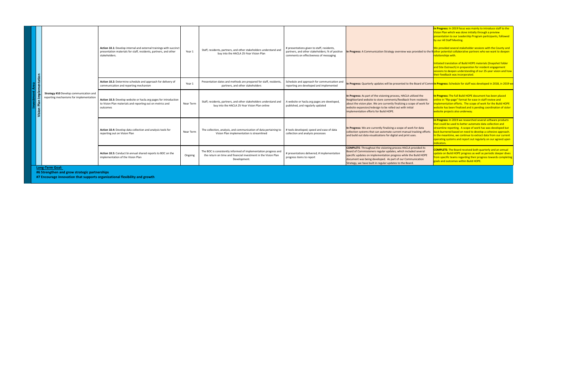| Action 10.1: Develop internal and external trainings with succinct<br>presentation materials for staff, residents, partners, and other<br>stakeholders. | Year 1    | Staff, residents, partners, and other stakeholders understand and<br>buy into the HACLA 25-Year Vision Plan                                       | # presentations given to staff, residents,<br>partners, and other stakeholders; % of positive<br>comments on effectiveness of messaging | In Progress: A Communication Strategy overview was provided to the B <mark>lother potential collaborative partners who we want to deepen</mark>                                                                                                                                                                                      | In Progress: In 2019 focus was mainly to introduce staff to the<br>Vision Plan which was done initially through a preview<br>presentation to our Leadership Program participants, followed<br>by our All Staff Meeting.<br>We provided several stakeholder sessions with the County and<br>relationships with.<br>Initiated translation of Build HOPE materials (Snapshot folder<br>and Site Outreach) in preparation for resident engagement<br>sessions to deepen understanding of our 25-year vision and how<br>their feedback was incorporated. |
|---------------------------------------------------------------------------------------------------------------------------------------------------------|-----------|---------------------------------------------------------------------------------------------------------------------------------------------------|-----------------------------------------------------------------------------------------------------------------------------------------|--------------------------------------------------------------------------------------------------------------------------------------------------------------------------------------------------------------------------------------------------------------------------------------------------------------------------------------|-----------------------------------------------------------------------------------------------------------------------------------------------------------------------------------------------------------------------------------------------------------------------------------------------------------------------------------------------------------------------------------------------------------------------------------------------------------------------------------------------------------------------------------------------------|
| Action 10.2: Determine schedule and approach for delivery of<br>communication and reporting mechanism                                                   | Year 1    | Presentation dates and methods are prepared for staff, residents,<br>partners, and other stakeholders                                             | Schedule and approach for communication and<br>reporting are developed and implemented                                                  | In Progress: Quarterly updates will be presented to the Board of Comm <b>ln Progress:</b> Schedule for staff was developed in 2018, in 2019 we                                                                                                                                                                                       |                                                                                                                                                                                                                                                                                                                                                                                                                                                                                                                                                     |
| <b>Action 10.3:</b> Develop website or hacla.org pages for introduction<br>to Vision Plan materials and reporting out on metrics and<br>outcomes        | Near Term | Staff, residents, partners, and other stakeholders understand and<br>buy into the HACLA 25-Year Vision Plan online                                | A website or hacla.org pages are developed,<br>published, and regularly updated                                                         | In Progress: As part of the visioning process, HACLA utilized the<br>Neighborland website to store comments/feedback from residents<br>about the vision plan. We are currently finalizing a scope of work for<br>website expansion/redesign to be rolled out with initial<br>implementation efforts for Build HOPE.                  | In Progress: The full Build HOPE document has been placed<br>online in "flip-page" format for ease in staff review and<br>nplementation efforts. The scope of work for the Build HOPE<br>website has been finalized and is pending coordination of sister<br>website projects also underway.                                                                                                                                                                                                                                                        |
| Action 10.4: Develop data collection and analysis tools for<br>reporting out on Vision Plan                                                             | Near Term | The collection, analysis, and communication of data pertaining to<br>Vision Plan implementation is streamlined                                    | # tools developed; speed and ease of data<br>collection and analysis processes                                                          | In Progress: We are currently finalizing a scope of work for data<br>collection systems that can automate current manual tracking efforts<br>and build out data visualizations for digital and print uses.                                                                                                                           | In Progress: In 2019 we researched several software products<br>that could be used to better automate data collection and<br>streamline reporting. A scope of work has was developed but<br>ack-burnered based on need to develop a cohesive approach.<br>In the meantime, we continue to extract data from our current<br>operating systems and report out regularly on our agreed upon<br>indicators.                                                                                                                                             |
| Action 10.5: Conduct bi-annual shared reports to BOC on the<br>implementation of the Vision Plan                                                        | Ongoing   | The BOC is consistently informed of implementation progress and<br>the return on time and financial investment in the Vision Plan<br>Development. | # presentations delivered; # implementation<br>progress items to report                                                                 | <b>COMPLETE:</b> Throughout the visioning process HACLA provided its<br>Board of Commissioners regular updates, which included several<br>specific updates on implementation progress while the Build HOPE<br>document was being developed. As part of our Communication<br>Strategy, we have built in regular updates to the Board. | <b>COMPLETE:</b> The Board received both quarterly and an annual<br>update on Build HOPE progress as well as periodic deeper dives<br>from specific teams regarding their progress towards completing<br>goals and outcomes within Build HOPE.                                                                                                                                                                                                                                                                                                      |
|                                                                                                                                                         |           |                                                                                                                                                   |                                                                                                                                         |                                                                                                                                                                                                                                                                                                                                      |                                                                                                                                                                                                                                                                                                                                                                                                                                                                                                                                                     |

|             |                  |                                                                                          | <b>Action 10.1:</b> Develop internal and external trainings with succinct<br>presentation materials for staff, residents, partners, and other<br>stakeholders. | Year 1           |
|-------------|------------------|------------------------------------------------------------------------------------------|----------------------------------------------------------------------------------------------------------------------------------------------------------------|------------------|
| <b>Area</b> | Implementation   |                                                                                          | Action 10.2: Determine schedule and approach for delivery of<br>communication and reporting mechanism                                                          | Year 1           |
| nvestment   | Plan  <br>Vision | <b>Strategy #10 Develop communication and</b><br>reporting mechanisms for implementation | Action 10.3: Develop website or hacla.org pages for introduction<br>to Vision Plan materials and reporting out on metrics and<br>outcomes                      | <b>Near Terr</b> |
|             |                  |                                                                                          | Action 10.4: Develop data collection and analysis tools for<br>reporting out on Vision Plan                                                                    | <b>Near Terr</b> |
|             |                  |                                                                                          | Action 10.5: Conduct bi-annual shared reports to BOC on the<br>implementation of the Vision Plan                                                               | Ongoing          |
|             |                  | <b>Long-Term Goal:</b><br>#6 Strengthen and grow strategic partnerships                  |                                                                                                                                                                |                  |
|             |                  |                                                                                          | #7 Encourage innovation that supports organizational flexibility and growth                                                                                    |                  |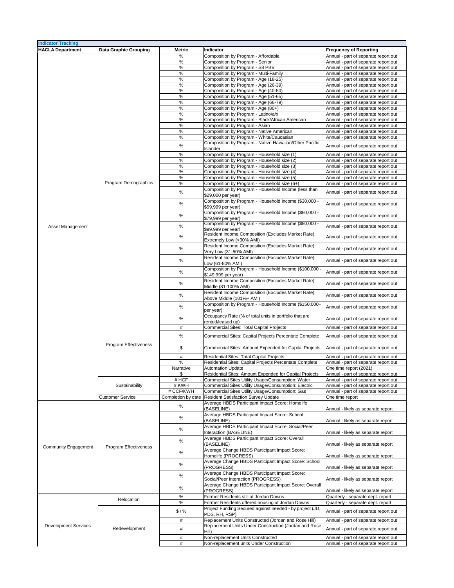| <b>Indicator Tracking</b>   |                              |               |                                                            |                                      |
|-----------------------------|------------------------------|---------------|------------------------------------------------------------|--------------------------------------|
| <b>HACLA Department</b>     | <b>Data Graphic Grouping</b> | <b>Metric</b> | Indicator                                                  | <b>Frequency of Reporting</b>        |
|                             |                              |               |                                                            |                                      |
|                             |                              | ℅             | Composition by Program - Affordable                        | Annual - part of separate report out |
|                             |                              | %             | Composition by Program - Senior                            | Annual - part of separate report out |
|                             |                              | $\%$          | Composition by Program - S8 PBV                            | Annual - part of separate report out |
|                             |                              | $\%$          | Composition by Program - Multi-Family                      | Annual - part of separate report out |
|                             |                              | %             | Composition by Program - Age (18-25)                       | Annual - part of separate report out |
|                             |                              |               |                                                            |                                      |
|                             |                              | $\%$          | Composition by Program - Age (26-39)                       | Annual - part of separate report out |
|                             |                              | $\%$          | Composition by Program - Age (40-50)                       | Annual - part of separate report out |
|                             |                              | $\%$          | Composition by Program - Age (51-65)                       | Annual - part of separate report out |
|                             |                              | %             | Composition by Program - Age (66-79)                       | Annual - part of separate report out |
|                             |                              | $\%$          | Composition by Program - Age (80+)                         | Annual - part of separate report out |
|                             |                              |               |                                                            |                                      |
|                             |                              | $\%$          | Composition by Program - Latino/a/x                        | Annual - part of separate report out |
|                             |                              | $\%$          | Composition by Program - Black/African American            | Annual - part of separate report out |
|                             |                              | %             | Composition by Program - Asian                             | Annual - part of separate report out |
|                             |                              | $\%$          | Composition by Program - Native American                   | Annual - part of separate report out |
|                             |                              | %             | Composition by Program - White/Caucasian                   | Annual - part of separate report out |
|                             |                              |               |                                                            |                                      |
|                             |                              | $\%$          | Composition by Program - Native Hawaiian/Other Pacific     | Annual - part of separate report out |
|                             |                              |               | <b>Islander</b>                                            |                                      |
|                             |                              | $\%$          | Composition by Program - Household size (1)                | Annual - part of separate report out |
|                             |                              | $\%$          | Composition by Program - Household size (2)                | Annual - part of separate report out |
|                             |                              | $\%$          | Composition by Program - Household size (3)                | Annual - part of separate report out |
|                             |                              | $\%$          | Composition by Program - Household size (4)                |                                      |
|                             |                              |               |                                                            | Annual - part of separate report out |
|                             |                              | $\%$          | Composition by Program - Household size (5)                | Annual - part of separate report out |
|                             | <b>Program Demographics</b>  | %             | Composition by Program - Household size (6+)               | Annual - part of separate report out |
|                             |                              |               | Composition by Program - Household Income (less than       |                                      |
|                             |                              | $\%$          | \$29,000 per year)                                         | Annual - part of separate report out |
|                             |                              |               | Composition by Program - Household Income (\$30,000 -      |                                      |
|                             |                              | $\%$          |                                                            | Annual - part of separate report out |
|                             |                              |               | \$59,999 per year)                                         |                                      |
|                             |                              | $\%$          | Composition by Program - Household Income (\$60,000 -      | Annual - part of separate report out |
|                             |                              |               | \$79,999 per year)                                         |                                      |
|                             |                              |               | Composition by Program - Household Income (\$80,000 -      |                                      |
| <b>Asset Management</b>     |                              | %             | \$99,999 per year)                                         | Annual - part of separate report out |
|                             |                              |               | Resident Income Composition (Excludes Market Rate):        |                                      |
|                             |                              | $\%$          | <b>Extremely Low (&lt;30% AMI)</b>                         | Annual - part of separate report out |
|                             |                              |               |                                                            |                                      |
|                             |                              | $\%$          | Resident Income Composition (Excludes Market Rate):        | Annual - part of separate report out |
|                             |                              |               | Very Low (31-50% AMI)                                      |                                      |
|                             |                              | $\%$          | <b>Resident Income Composition (Excludes Market Rate):</b> | Annual - part of separate report out |
|                             |                              |               | Low (61-80% AMI)                                           |                                      |
|                             |                              |               | Composition by Program - Household Income (\$100,000 -     |                                      |
|                             |                              | $\%$          | \$149,999 per year)                                        | Annual - part of separate report out |
|                             |                              |               |                                                            |                                      |
|                             |                              | $\%$          | Resident Income Composition (Excludes Market Rate):        | Annual - part of separate report out |
|                             |                              |               | Middle (81-100% AMI)                                       |                                      |
|                             |                              |               | Resident Income Composition (Excludes Market Rate):        |                                      |
|                             |                              | $\%$          | Above Middle (101%+ AMI)                                   | Annual - part of separate report out |
|                             |                              |               | Composition by Program - Household Income (\$150,000+      |                                      |
|                             |                              | $\%$          |                                                            | Annual - part of separate report out |
|                             |                              |               | per year)                                                  |                                      |
|                             |                              | $\%$          | Occupancy Rate (% of total units in portfolio that are     | Annual - part of separate report out |
|                             |                              |               | rented/leased up)                                          |                                      |
|                             |                              | #             | Commercial Sites: Total Capital Projects                   | Annual - part of separate report out |
|                             |                              |               |                                                            |                                      |
|                             |                              | $\%$          | Commercial Sites: Capital Projects Percentate Complete     | Annual - part of separate report out |
|                             |                              |               |                                                            |                                      |
|                             | <b>Program Effectiveness</b> | \$            | Commercial Sites: Amount Expended for Capital Projects     | Annual - part of separate report out |
|                             |                              |               |                                                            |                                      |
|                             |                              | #             | <b>Residential Sites: Total Capital Projects</b>           | Annual - part of separate report out |
|                             |                              | $\%$          | Residential Sites: Capital Projects Percentate Complete    | Annual - part of separate report out |
|                             |                              | Narrative     | <b>Automation Update</b>                                   | One time report (2021)               |
|                             |                              |               |                                                            |                                      |
|                             |                              |               | Residential Sites: Amount Expended for Capital Projects    | Annual - part of separate report out |
|                             |                              | # HCF         | Commercial Sites Utility Usage/Consumption: Water          | Annual - part of separate report out |
|                             | Sustainability               | # KWH         | Commercial Sites Utility Usage/Consumption: Electric       | Annual - part of separate report out |
|                             |                              | # CCF/KWH     | Commercial Sites Utility Usage/Consumption: Gas            | Annual - part of separate report out |
|                             | <b>Customer Service</b>      |               | Completion by date   Resident Satisfaction Survey Update   | One time report                      |
|                             |                              |               | Average HBDS Participant Impact Score: Homelife            |                                      |
|                             |                              | %             | (BASELINE)                                                 |                                      |
|                             |                              |               |                                                            | Annual - likely as separate report   |
|                             |                              | $\%$          | Average HBDS Participant Impact Score: School              |                                      |
|                             |                              |               | (BASELINE)                                                 | Annual - likely as separate report   |
|                             |                              | $\%$          | Average HBDS Participant Impact Score: Social/Peer         |                                      |
|                             |                              |               | Interaction (BASELINE)                                     | Annual - likely as separate report   |
|                             |                              |               | Average HBDS Participant Impact Score: Overall             |                                      |
|                             |                              | $\%$          | (BASELINE)                                                 | Annual - likely as separate report   |
| <b>Community Engagement</b> | <b>Program Effectiveness</b> |               | Average Change HBDS Participant Impact Score:              |                                      |
|                             |                              | $\%$          | Homelife (PROGRESS)                                        | Annual - likely as separate report   |
|                             |                              |               |                                                            |                                      |
|                             |                              | $\%$          | Average Change HBDS Participant Impact Score: School       |                                      |
|                             |                              |               | (PROGRESS)                                                 | Annual - likely as separate report   |
|                             |                              | $\%$          | Average Change HBDS Participant Impact Score:              |                                      |
|                             |                              |               | Social/Peer Interaction (PROGRESS)                         | Annual - likely as separate report   |
|                             |                              |               | Average Change HBDS Participant Impact Score: Overall      |                                      |
|                             |                              | $\%$          | (PROGRESS)                                                 | Annual - likely as separate report   |
|                             |                              |               | Former Residents still at Jordan Downs                     |                                      |
|                             | Relocation                   | %             |                                                            | Quarterly - separate dept. report    |
|                             |                              | $\frac{1}{2}$ | Former Residents offered housing at Jordan Downs           | Quarterly - separate dept. report    |
|                             |                              | \$1%          | Project Funding Secured against needed - by project (JD,   | Annual - part of separate report out |
|                             |                              |               | PDS, RH, RSP)                                              |                                      |
|                             |                              | #             | Replacement Units Constructed (Jordan and Rose Hill)       | Annual - part of separate report out |
| <b>Development Services</b> |                              |               | Replacement Units Under Construction (Jordan and Rose      |                                      |
|                             | Redevelopment                | #             | $\vert$ Hill)                                              | Annual - part of separate report out |
|                             |                              | #             | Non-replacement Units Constructed                          | Annual - part of separate report out |
|                             |                              |               |                                                            |                                      |
|                             |                              | #             | Non-replacement units Under Construction                   | Annual - part of separate report out |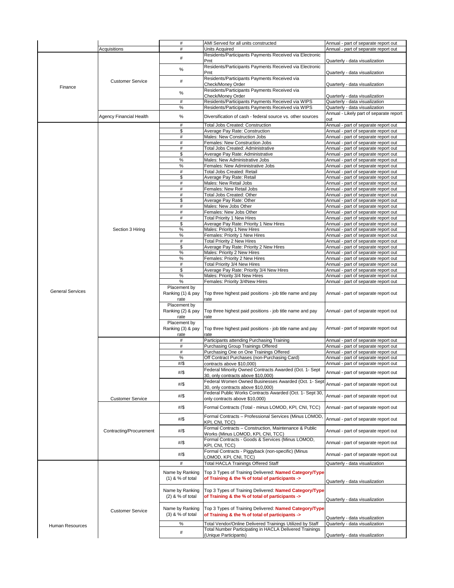|                         |                                | #                  | AMI Served for all units constructed                                                                                             | Annual - part of separate report out    |
|-------------------------|--------------------------------|--------------------|----------------------------------------------------------------------------------------------------------------------------------|-----------------------------------------|
|                         |                                |                    |                                                                                                                                  |                                         |
|                         | <b>Acquisitions</b>            | #                  | <b>Units Acquired</b>                                                                                                            | Annual - part of separate report out    |
|                         |                                |                    | Residents/Participants Payments Received via Electronic                                                                          |                                         |
|                         |                                | #                  | <b>Pmt</b>                                                                                                                       | Quarterly - data visualization          |
|                         |                                |                    |                                                                                                                                  |                                         |
|                         |                                | $\%$               | Residents/Participants Payments Received via Electronic                                                                          |                                         |
|                         |                                |                    | Pmt                                                                                                                              | Quarterly - data visualization          |
|                         |                                |                    | Residents/Participants Payments Received via                                                                                     |                                         |
|                         | <b>Customer Service</b>        | #                  |                                                                                                                                  |                                         |
|                         |                                |                    | <b>Check/Money Order</b>                                                                                                         | Quarterly - data visualization          |
| Finance                 |                                |                    | Residents/Participants Payments Received via                                                                                     |                                         |
|                         |                                | $\%$               |                                                                                                                                  |                                         |
|                         |                                |                    | <b>Check/Money Order</b>                                                                                                         | Quarterly - data visualization          |
|                         |                                | #                  | Residents/Participants Payments Received via WIPS                                                                                | Quarterly - data visualization          |
|                         |                                |                    |                                                                                                                                  |                                         |
|                         |                                | $\%$               | Residents/Participants Payments Received via WIPS                                                                                | Quarterly - data visualization          |
|                         |                                |                    |                                                                                                                                  | Annual - Likely part of separate report |
|                         | <b>Agency Financial Health</b> | %                  | Diversification of cash - federal source vs. other sources                                                                       | out                                     |
|                         |                                |                    |                                                                                                                                  |                                         |
|                         |                                | #                  | <b>Total Jobs Created: Construction</b>                                                                                          | Annual - part of separate report out    |
|                         |                                | \$                 | <b>Average Pay Rate: Construction</b>                                                                                            | Annual - part of separate report out    |
|                         |                                | #                  | <b>Males: New Construction Jobs</b>                                                                                              |                                         |
|                         |                                |                    |                                                                                                                                  | Annual - part of separate report out    |
|                         |                                | #                  | <b>Females: New Construction Jobs</b>                                                                                            | Annual - part of separate report out    |
|                         |                                | #                  | <b>Total Jobs Created: Administrative</b>                                                                                        | Annual - part of separate report out    |
|                         |                                | \$                 |                                                                                                                                  |                                         |
|                         |                                |                    | Average Pay Rate: Administrative                                                                                                 | Annual - part of separate report out    |
|                         |                                | $\%$               | <b>Males: New Administrative Jobs</b>                                                                                            | Annual - part of separate report out    |
|                         |                                | $\%$               | <b>Females: New Administrative Jobs</b>                                                                                          | Annual - part of separate report out    |
|                         |                                |                    |                                                                                                                                  |                                         |
|                         |                                | #                  | <b>Total Jobs Created: Retail</b>                                                                                                | Annual - part of separate report out    |
|                         |                                | \$                 | Average Pay Rate: Retail                                                                                                         | Annual - part of separate report out    |
|                         |                                | #                  | <b>Males: New Retail Jobs</b>                                                                                                    | Annual - part of separate report out    |
|                         |                                |                    |                                                                                                                                  |                                         |
|                         |                                | #                  | <b>Females: New Retail Jobs</b>                                                                                                  | Annual - part of separate report out    |
|                         |                                | #                  | <b>Total Jobs Created: Other</b>                                                                                                 | Annual - part of separate report out    |
|                         |                                | \$                 | Average Pay Rate: Other                                                                                                          | Annual - part of separate report out    |
|                         |                                |                    |                                                                                                                                  |                                         |
|                         |                                | #                  | Males: New Jobs Other                                                                                                            | Annual - part of separate report out    |
|                         |                                | #                  | <b>Females: New Jobs Other</b>                                                                                                   | Annual - part of separate report out    |
|                         |                                |                    |                                                                                                                                  |                                         |
|                         |                                | #                  | <b>Total Priority 1 New Hires</b>                                                                                                | Annual - part of separate report out    |
|                         |                                | \$                 | Average Pay Rate: Priority 1 New Hires                                                                                           | Annual - part of separate report out    |
|                         | Section 3 Hiring               | $\%$               | <b>Males: Priority 1 New Hires</b>                                                                                               | Annual - part of separate report out    |
|                         |                                |                    |                                                                                                                                  |                                         |
|                         |                                | $\%$               | <b>Females: Priority 1 New Hires</b>                                                                                             | Annual - part of separate report out    |
|                         |                                | #                  | <b>Total Priority 2 New Hires</b>                                                                                                | Annual - part of separate report out    |
|                         |                                | \$                 | Average Pay Rate: Priority 2 New Hires                                                                                           | Annual - part of separate report out    |
|                         |                                |                    |                                                                                                                                  |                                         |
|                         |                                | $\%$               | <b>Males: Priority 2 New Hires</b>                                                                                               | Annual - part of separate report out    |
|                         |                                | %                  | <b>Females: Priority 2 New Hires</b>                                                                                             | Annual - part of separate report out    |
|                         |                                | #                  | Total Priority 3/4 New Hires                                                                                                     | Annual - part of separate report out    |
|                         |                                |                    |                                                                                                                                  |                                         |
|                         |                                | \$                 | Average Pay Rate: Priority 3/4 New Hires                                                                                         | Annual - part of separate report out    |
|                         |                                | $\%$               | Males: Priority 3/4 New Hires                                                                                                    | Annual - part of separate report out    |
|                         |                                | $\frac{0}{0}$      | Females: Priority 3/4New Hires                                                                                                   |                                         |
|                         |                                |                    |                                                                                                                                  | Annual - part of separate report out    |
|                         |                                | Placement by       |                                                                                                                                  |                                         |
| <b>General Services</b> |                                | Ranking (1) & pay  | Top three highest paid positions - job title name and pay                                                                        | Annual - part of separate report out    |
|                         |                                |                    |                                                                                                                                  |                                         |
|                         |                                | rate               | rate                                                                                                                             |                                         |
|                         |                                | Placement by       |                                                                                                                                  |                                         |
|                         |                                | Ranking (2) & pay  | Top three highest paid positions - job title name and pay                                                                        | Annual - part of separate report out    |
|                         |                                |                    |                                                                                                                                  |                                         |
|                         |                                | rate               | rate                                                                                                                             |                                         |
|                         |                                | Placement by       |                                                                                                                                  |                                         |
|                         |                                |                    |                                                                                                                                  |                                         |
|                         |                                | Ranking (3) & pay  | Top three highest paid positions - job title name and pay                                                                        | Annual - part of separate report out    |
|                         |                                | rate               | rate                                                                                                                             |                                         |
|                         |                                |                    | Participants attending Purchasing Training                                                                                       | Annual - part of separate report out    |
|                         |                                |                    |                                                                                                                                  |                                         |
|                         |                                | #                  | Purchasing Group Trainings Offered                                                                                               | Annual - part of separate report out    |
|                         |                                | #                  | Purchasing One on One Trainings Offered                                                                                          | Annual - part of separate report out    |
|                         |                                | $\%$               | Off Contract Purchases (non-Purchasing Card)                                                                                     |                                         |
|                         |                                |                    |                                                                                                                                  | Annual - part of separate report out    |
|                         |                                | $\#/\$$            | contracts above \$10,000)                                                                                                        | Annual - part of separate report out    |
|                         |                                |                    | Federal Minority Owned Contracts Awarded (Oct. 1- Sept                                                                           |                                         |
|                         |                                | $\#/\$$            |                                                                                                                                  | Annual - part of separate report out    |
|                         |                                |                    | 30, only contracts above \$10,000)                                                                                               |                                         |
|                         |                                |                    |                                                                                                                                  |                                         |
|                         |                                | $\#/\$$            | Federal Women Owned Businesses Awarded (Oct. 1- Sept Annual - part of separate report out<br>[30, only contracts above \$10,000) |                                         |
|                         |                                |                    |                                                                                                                                  |                                         |
|                         |                                | $\#/\$$            | Federal Public Works Contracts Awarded (Oct. 1- Sept 30,                                                                         | Annual - part of separate report out    |
|                         | <b>Customer Service</b>        |                    | only contracts above \$10,000)                                                                                                   |                                         |
|                         |                                |                    |                                                                                                                                  |                                         |
|                         |                                | $\#/\$$            | Formal Contracts (Total - minus LOMOD, KPI, CNI, TCC)                                                                            | Annual - part of separate report out    |
|                         |                                |                    |                                                                                                                                  |                                         |
|                         |                                |                    | Formal Contracts - Professional Services (Minus LOMOD,                                                                           |                                         |
|                         |                                | $\#/\$$            | KPI, CNI, TCC)                                                                                                                   | Annual - part of separate report out    |
|                         |                                |                    |                                                                                                                                  |                                         |
|                         |                                |                    |                                                                                                                                  |                                         |
|                         |                                |                    | Formal Contracts - Construction, Maintenance & Public                                                                            |                                         |
|                         | <b>Contracting/Procurement</b> | $\#/\$$            |                                                                                                                                  | Annual - part of separate report out    |
|                         |                                |                    | Works (Minus LOMOD, KPI, CNI, TCC)                                                                                               |                                         |
|                         |                                |                    | Formal Contracts - Goods & Services (Minus LOMOD,                                                                                |                                         |
|                         |                                | #/\$               | KPI, CNI, TCC)                                                                                                                   | Annual - part of separate report out    |
|                         |                                |                    |                                                                                                                                  |                                         |
|                         |                                | $\#/\$$            | Formal Contracts - Piggyback (non-specific) (Minus                                                                               | Annual - part of separate report out    |
|                         |                                |                    | LOMOD, KPI, CNI, TCC)                                                                                                            |                                         |
|                         |                                | #                  |                                                                                                                                  | Quarterly - data visualization          |
|                         |                                |                    | <b>Total HACLA Trainings Offered Staff</b>                                                                                       |                                         |
|                         |                                |                    |                                                                                                                                  |                                         |
|                         |                                | Name by Ranking    | Top 3 Types of Training Delivered: Named Category/Type                                                                           |                                         |
|                         |                                | $(1)$ & % of total | of Training & the % of total of participants ->                                                                                  |                                         |
|                         |                                |                    |                                                                                                                                  | Quarterly - data visualization          |
|                         |                                |                    |                                                                                                                                  |                                         |
|                         |                                | Name by Ranking    | Top 3 Types of Training Delivered: Named Category/Type                                                                           |                                         |
|                         |                                | $(2)$ & % of total | of Training & the % of total of participants ->                                                                                  |                                         |
|                         |                                |                    |                                                                                                                                  | Quarterly - data visualization          |
|                         |                                |                    |                                                                                                                                  |                                         |
|                         |                                | Name by Ranking    | Top 3 Types of Training Delivered: Named Category/Type                                                                           |                                         |
|                         | <b>Customer Service</b>        |                    |                                                                                                                                  |                                         |
|                         |                                | $(3)$ & % of total | of Training & the % of total of participants ->                                                                                  | Quarterly - data visualization          |
|                         |                                |                    |                                                                                                                                  |                                         |
| <b>Human Resources</b>  |                                | $\%$               | Total Vendor/Online Delivered Trainings Utilized by Staff                                                                        | Quarterly - data visualization          |
|                         |                                | #                  | <b>Total Number Participating in HACLA Delivered Trainings</b><br>(Unique Participants)                                          | Quarterly - data visualization          |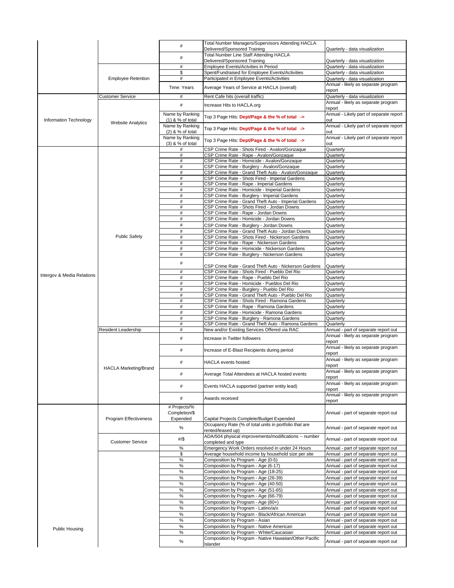|                               |                              | #                                     | <b>Total Number Managers/Supervisors Attending HACLA</b><br><b>Delivered/Sponsored Training</b> |                                                                              |
|-------------------------------|------------------------------|---------------------------------------|-------------------------------------------------------------------------------------------------|------------------------------------------------------------------------------|
|                               |                              |                                       | <b>Total Number Line Staff Attending HACLA</b>                                                  | Quarterly - data visualization                                               |
|                               |                              | #                                     | Delivered/Sponsored Training                                                                    | Quarterly - data visualization                                               |
|                               |                              | #<br>\$                               | <b>Employee Events/Actvities in Period</b>                                                      | Quarterly - data visualization                                               |
|                               | <b>Employee Retention</b>    | #                                     | Spent/Fundraised for Employee Events/Activities<br>Participated in Employee Events/Activities   | Quarterly - data visualization<br>Quarterly - data visualization             |
|                               |                              |                                       |                                                                                                 | Annual - likely as separate program                                          |
|                               |                              | Time: Years                           | Average Years of Service at HACLA (overall)                                                     | report                                                                       |
|                               | <b>Customer Service</b>      | #                                     | Rent Cafe hits (overall traffic)                                                                | Quarterly - data visualization                                               |
|                               |                              | #                                     | Increase Hits to HACLA.org                                                                      | Annual - likely as separate program                                          |
|                               |                              | Name by Ranking                       |                                                                                                 | report<br>Annual - Likely part of separate report                            |
| <b>Information Technology</b> | <b>Website Analytics</b>     | $(1)$ & % of total                    | Top 3 Page Hits: Dept/Page & the % of total ->                                                  | lout                                                                         |
|                               |                              | Name by Ranking                       | Top 3 Page Hits: Dept/Page & the % of total ->                                                  | Annual - Likely part of separate report                                      |
|                               |                              | $(2)$ & % of total<br>Name by Ranking |                                                                                                 | <b>lout</b><br>Annual - Likely part of separate report                       |
|                               |                              | $(3)$ & % of total                    | Top 3 Page Hits: Dept/Page & the % of total ->                                                  | lout                                                                         |
|                               |                              |                                       | CSP Crime Rate - Shots Fired - Avalon/Gonzaque                                                  | Quarterly                                                                    |
|                               |                              |                                       | CSP Crime Rate - Rape - Avalon/Gonzaque                                                         | Quarterly                                                                    |
|                               |                              | #<br>#                                | CSP Crime Rate - Homicide - Avalon/Gonzaque<br>CSP Crime Rate - Burglery - Avalon/Gonzaque      | Quarterly<br>Quarterly                                                       |
|                               |                              | #                                     | CSP Crime Rate - Grand Theft Auto - Avalon/Gonzaque                                             | Quarterly                                                                    |
|                               |                              | #                                     | CSP Crime Rate - Shots Fired - Imperial Gardens                                                 | Quarterly                                                                    |
|                               |                              | #                                     | CSP Crime Rate - Rape - Imperial Gardens                                                        | Quarterly                                                                    |
|                               |                              | #<br>#                                | CSP Crime Rate - Homicide - Imperial Gardens<br>CSP Crime Rate - Burglery - Imperial Gardens    | Quarterly<br>Quarterly                                                       |
|                               |                              | $\#$                                  | CSP Crime Rate - Grand Theft Auto - Imperial Gardens                                            | Quarterly                                                                    |
|                               |                              | #                                     | CSP Crime Rate - Shots Fired - Jordan Downs                                                     | Quarterly                                                                    |
|                               |                              |                                       | CSP Crime Rate - Rape - Jordan Downs                                                            | Quarterly                                                                    |
|                               |                              | #<br>#                                | CSP Crime Rate - Homicide - Jordan Downs                                                        | Quarterly                                                                    |
|                               |                              | #                                     | CSP Crime Rate - Burglery - Jordan Downs<br>CSP Crime Rate - Grand Theft Auto - Jordan Downs    | Quarterly<br>Quarterly                                                       |
|                               | <b>Public Safety</b>         | #                                     | CSP Crime Rate - Shots Fired - Nickerson Gardens                                                | Quarterly                                                                    |
|                               |                              | #                                     | CSP Crime Rate - Rape - Nickerson Gardens                                                       | Quarterly                                                                    |
|                               |                              | #<br>#                                | CSP Crime Rate - Homicide - Nickerson Gardens                                                   | Quarterly                                                                    |
|                               |                              |                                       | CSP Crime Rate - Burglery - Nickerson Gardens                                                   | Quarterly                                                                    |
|                               |                              | #                                     | CSP Crime Rate - Grand Theft Auto - Nickerson Gardens                                           | Quarterly                                                                    |
| Intergov & Media Relations    |                              | #                                     | CSP Crime Rate - Shots Fired - Pueblo Del Rio                                                   | Quarterly                                                                    |
|                               |                              | $\#$                                  | CSP Crime Rate - Rape - Pueblo Del Rio<br>CSP Crime Rate - Homicide - Pueblos Del Rio           | Quarterly<br>Quarterly                                                       |
|                               |                              | #<br>$\#$                             | CSP Crime Rate - Burglery - Pueblo Del Rio                                                      | Quarterly                                                                    |
|                               |                              | #                                     | CSP Crime Rate - Grand Theft Auto - Pueblo Del Rio                                              | Quarterly                                                                    |
|                               |                              | #                                     | CSP Crime Rate - Shots Fired - Ramona Gardens                                                   | Quarterly                                                                    |
|                               |                              | #<br>$\#$                             | CSP Crime Rate - Rape - Ramona Gardens<br>CSP Crime Rate - Homicide - Ramona Gardens            | Quarterly<br>Quarterly                                                       |
|                               |                              | #                                     | CSP Crime Rate - Burglery - Ramona Gardens                                                      | Quarterly                                                                    |
|                               |                              | $\#$                                  | CSP Crime Rate - Grand Theft Auto - Ramona Gardens                                              | Quarterly                                                                    |
|                               | <b>Resident Leadership</b>   | #                                     | New and/or Existing Services Offered via RAC                                                    | Annual - part of separate report out                                         |
|                               |                              | #                                     | Increase in Twitter followers                                                                   | Annual - likely as separate program                                          |
|                               |                              |                                       |                                                                                                 |                                                                              |
|                               |                              |                                       |                                                                                                 | report                                                                       |
|                               |                              | #                                     | Increase of E-Blast Recipients during period                                                    | Annual - likely as separate program<br>report                                |
|                               |                              | #                                     | <b>HACLA events hosted</b>                                                                      | Annual - likely as separate program                                          |
|                               | <b>HACLA Marketing/Brand</b> |                                       |                                                                                                 | report                                                                       |
|                               |                              | #                                     | Average Total Attendees at HACLA hosted events                                                  | Annual - likely as separate program                                          |
|                               |                              |                                       |                                                                                                 | report<br>Annual - likely as separate program                                |
|                               |                              |                                       | Events HACLA supported (partner entity lead)                                                    | report                                                                       |
|                               |                              | #                                     | Awards received                                                                                 | Annual - likely as separate program                                          |
|                               |                              |                                       |                                                                                                 | report                                                                       |
|                               |                              | # Projects/%<br>Completion/\$         |                                                                                                 | Annual - part of separate report out                                         |
|                               | Program Effectiveness        | Expended                              | Capital Projects Complete/Budget Expended                                                       |                                                                              |
|                               |                              | %                                     | Occupancy Rate (% of total units in portfolio that are                                          | Annual - part of separate report out                                         |
|                               |                              |                                       | rented/leased up)                                                                               |                                                                              |
|                               | <b>Customer Service</b>      | $\frac{\#}{\$}$                       | ADA/504 physical improvements/modifications -- number<br>completed and type                     | Annual - part of separate report out                                         |
|                               |                              | $\%$                                  | Emergency Work Orders resolved in under 24 Hours                                                | Annual - part of separate report out                                         |
|                               |                              | \$                                    | Average household income by household size per site                                             | Annual - part of separate report out                                         |
|                               |                              | %                                     | Composition by Program - Age (0-5)                                                              | Annual - part of separate report out                                         |
|                               |                              | $\%$<br>%                             | Composition by Program - Age (6-17)<br>Composition by Program - Age (18-25)                     | Annual - part of separate report out<br>Annual - part of separate report out |
|                               |                              | %                                     | Composition by Program - Age (26-39)                                                            | Annual - part of separate report out                                         |
|                               |                              | %                                     | Composition by Program - Age (40-50)                                                            | Annual - part of separate report out                                         |
|                               |                              | $\%$                                  | Composition by Program - Age (51-65)                                                            | Annual - part of separate report out                                         |
|                               |                              | %                                     | Composition by Program - Age (66-79)                                                            | Annual - part of separate report out                                         |
|                               |                              | $\%$<br>%                             | Composition by Program - Age (80+)<br>Composition by Program - Latino/a/x                       | Annual - part of separate report out<br>Annual - part of separate report out |
|                               |                              | %                                     | Composition by Program - Black/African American                                                 | Annual - part of separate report out                                         |
|                               |                              | %                                     | Composition by Program - Asian                                                                  | Annual - part of separate report out                                         |
| <b>Public Housing</b>         |                              | %                                     | Composition by Program - Native American                                                        | Annual - part of separate report out                                         |
|                               |                              | %                                     | Composition by Program - White/Caucasian                                                        | Annual - part of separate report out                                         |
|                               |                              | %                                     | Composition by Program - Native Hawaiian/Other Pacific<br><b>Islander</b>                       | Annual - part of separate report out                                         |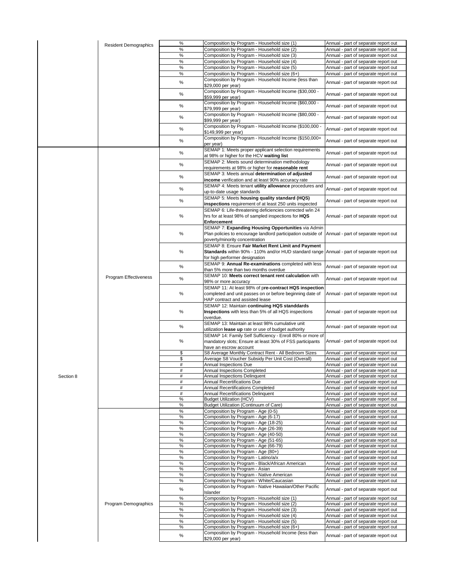|           | <b>Resident Demographics</b> | $\%$          | Composition by Program - Household size (1)                                                       | Annual - part of separate report out |
|-----------|------------------------------|---------------|---------------------------------------------------------------------------------------------------|--------------------------------------|
|           |                              | $\%$          | Composition by Program - Household size (2)                                                       | Annual - part of separate report out |
|           |                              | %             | Composition by Program - Household size (3)                                                       | Annual - part of separate report out |
|           |                              |               |                                                                                                   |                                      |
|           |                              | $\%$          | Composition by Program - Household size (4)                                                       | Annual - part of separate report out |
|           |                              | $\%$          | Composition by Program - Household size (5)                                                       | Annual - part of separate report out |
|           |                              | $\%$          | Composition by Program - Household size (6+)                                                      | Annual - part of separate report out |
|           |                              |               |                                                                                                   |                                      |
|           |                              | $\%$          | Composition by Program - Household Income (less than                                              | Annual - part of separate report out |
|           |                              |               | \$29,000 per year)                                                                                |                                      |
|           |                              |               | Composition by Program - Household Income (\$30,000 -                                             |                                      |
|           |                              | $\frac{0}{0}$ | \$59,999 per year)                                                                                | Annual - part of separate report out |
|           |                              |               |                                                                                                   |                                      |
|           |                              | $\%$          | Composition by Program - Household Income (\$60,000 -                                             | Annual - part of separate report out |
|           |                              |               | \$79,999 per year)                                                                                |                                      |
|           |                              |               | Composition by Program - Household Income (\$80,000 -                                             |                                      |
|           |                              | $\%$          |                                                                                                   | Annual - part of separate report out |
|           |                              |               | \$99,999 per year)                                                                                |                                      |
|           |                              | $\%$          | Composition by Program - Household Income (\$100,000 -                                            | Annual - part of separate report out |
|           |                              |               | \$149,999 per year)                                                                               |                                      |
|           |                              |               | Composition by Program - Household Income (\$150,000+                                             |                                      |
|           |                              | $\%$          |                                                                                                   | Annual - part of separate report out |
|           |                              |               | per year)                                                                                         |                                      |
|           |                              |               | SEMAP 1: Meets proper applicant selection requirements                                            |                                      |
|           |                              | %             | at 98% or higher for the HCV waiting list                                                         | Annual - part of separate report out |
|           |                              |               |                                                                                                   |                                      |
|           |                              | $\frac{0}{0}$ | SEMAP 2: Meets sound determination methodology                                                    | Annual - part of separate report out |
|           |                              |               | requirements at 98% or higher for reasonable rent                                                 |                                      |
|           |                              |               | SEMAP 3: Meets annual determination of adjusted                                                   |                                      |
|           |                              | $\%$          |                                                                                                   | Annual - part of separate report out |
|           |                              |               | income verification and at least 90% accuracy rate                                                |                                      |
|           |                              | $\%$          | SEMAP 4: Meets tenant utility allowance procedures and                                            |                                      |
|           |                              |               | up-to-date usage standards                                                                        | Annual - part of separate report out |
|           |                              |               |                                                                                                   |                                      |
|           |                              | $\%$          | SEMAP 5: Meets housing quality standard (HQS)                                                     | Annual - part of separate report out |
|           |                              |               | inspections requirement of at least 250 units inspected                                           |                                      |
|           |                              |               | SEMAP 6: Life-threatening deficiencies corrected w/in 24                                          |                                      |
|           |                              |               |                                                                                                   |                                      |
|           |                              | $\frac{0}{0}$ | hrs for at least 98% of sampled inspections for HQS                                               | Annual - part of separate report out |
|           |                              |               | <b>Enforcement</b>                                                                                |                                      |
|           |                              |               | SEMAP 7: Expanding Housing Opportunities via Admin                                                |                                      |
|           |                              |               |                                                                                                   |                                      |
|           |                              | $\frac{0}{0}$ | Plan policies to encourage landlord participation outside of                                      | Annual - part of separate report out |
|           |                              |               | poverty/minority concentration                                                                    |                                      |
|           |                              |               | SEMAP 8: Ensure Fair Market Rent Limit and Payment                                                |                                      |
|           |                              |               |                                                                                                   |                                      |
|           |                              | $\%$          | <b>Standards</b> within 90% - 110% and/or HUD standard range Annual - part of separate report out |                                      |
|           |                              |               | for high performer designation                                                                    |                                      |
|           |                              |               | SEMAP 9: Annual Re-examinations completed with less                                               |                                      |
|           |                              | $\%$          |                                                                                                   | Annual - part of separate report out |
|           |                              |               | than 5% more than two months overdue                                                              |                                      |
|           | Program Effectiveness        |               | SEMAP 10: Meets correct tenant rent calculation with                                              |                                      |
|           |                              | $\%$          | 98% or more accuracy                                                                              | Annual - part of separate report out |
|           |                              |               |                                                                                                   |                                      |
|           |                              |               | SEMAP 11: At least 98% of pre-contract HQS inspection                                             |                                      |
|           |                              | $\%$          | completed and unit passes on or before beginning date of                                          | Annual - part of separate report out |
|           |                              |               | <b>HAP</b> contract and assisted lease                                                            |                                      |
|           |                              |               |                                                                                                   |                                      |
|           |                              |               | SEMAP 12: Maintain continuing HQS standdards                                                      |                                      |
|           |                              |               |                                                                                                   |                                      |
|           |                              | $\frac{0}{0}$ |                                                                                                   | Annual - part of separate report out |
|           |                              |               | Inspections with less than 5% of all HQS inspections                                              |                                      |
|           |                              |               | overdue.                                                                                          |                                      |
|           |                              |               | SEMAP 13: Maintain at least 98% cumulative unit                                                   |                                      |
|           |                              | $\%$          | utilization lease up rate or use of budget authority                                              | Annual - part of separate report out |
|           |                              |               |                                                                                                   |                                      |
|           |                              |               | SEMAP 14: Family Self Sufficiency - Enroll 80% or more of                                         |                                      |
|           |                              | $\frac{0}{0}$ | mandatory slots; Ensure at least 30% of FSS participants                                          | Annual - part of separate report out |
|           |                              |               | have an escrow account                                                                            |                                      |
|           |                              |               |                                                                                                   |                                      |
|           |                              | \$            | S8 Average Monthly Contract Rent - All Bedroom Sizes                                              | Annual - part of separate report out |
|           |                              | \$            | Average S8 Voucher Subsidy Per Unit Cost (Overall)                                                | Annual - part of separate report out |
|           |                              | #             | <b>Annual Inspections Due</b>                                                                     | Annual - part of separate report out |
|           |                              | #             | <b>Annual Inspections Completed</b>                                                               | Annual - part of separate report out |
|           |                              |               |                                                                                                   |                                      |
| Section 8 |                              | #             | <b>Annual Inspections Delinquent</b>                                                              | Annual - part of separate report out |
|           |                              | #             | <b>Annual Recertifications Due</b>                                                                | Annual - part of separate report out |
|           |                              | #             | <b>Annual Recertifications Completed</b>                                                          | Annual - part of separate report out |
|           |                              | #             | <b>Annual Recertifications Delinquent</b>                                                         | Annual - part of separate report out |
|           |                              |               |                                                                                                   |                                      |
|           |                              | $\%$          | <b>Budget Utilization (HCV)</b>                                                                   | Annual - part of separate report out |
|           |                              | %             | Budget Utilization (Continuum of Care)                                                            | Annual - part of separate report out |
|           |                              | $\%$          | Composition by Program - Age (0-5)                                                                | Annual - part of separate report out |
|           |                              |               |                                                                                                   |                                      |
|           |                              | $\%$          | Composition by Program - Age (6-17)                                                               | Annual - part of separate report out |
|           |                              | $\%$          | Composition by Program - Age (18-25)                                                              | Annual - part of separate report out |
|           |                              | $\%$          | Composition by Program - Age (26-39)                                                              | Annual - part of separate report out |
|           |                              | $\%$          | Composition by Program - Age (40-50)                                                              | Annual - part of separate report out |
|           |                              |               |                                                                                                   |                                      |
|           |                              | $\%$          | Composition by Program - Age (51-65)                                                              | Annual - part of separate report out |
|           |                              | $\%$          | Composition by Program - Age (66-79)                                                              | Annual - part of separate report out |
|           |                              | $\%$          | Composition by Program - Age (80+)                                                                | Annual - part of separate report out |
|           |                              | $\%$          | Composition by Program - Latino/a/x                                                               | Annual - part of separate report out |
|           |                              |               |                                                                                                   |                                      |
|           |                              | $\%$          | Composition by Program - Black/African American                                                   | Annual - part of separate report out |
|           |                              | $\%$          | Composition by Program - Asian                                                                    | Annual - part of separate report out |
|           |                              | $\%$          | Composition by Program - Native American                                                          | Annual - part of separate report out |
|           |                              |               |                                                                                                   |                                      |
|           |                              | $\%$          | Composition by Program - White/Caucasian                                                          | Annual - part of separate report out |
|           |                              |               | Composition by Program - Native Hawaiian/Other Pacific                                            |                                      |
|           |                              | $\%$          | <b>Islander</b>                                                                                   | Annual - part of separate report out |
|           |                              |               |                                                                                                   |                                      |
|           |                              | $\%$          | Composition by Program - Household size (1)                                                       | Annual - part of separate report out |
|           | Program Demographics         | $\%$          | Composition by Program - Household size (2)                                                       | Annual - part of separate report out |
|           |                              | $\%$          | Composition by Program - Household size (3)                                                       | Annual - part of separate report out |
|           |                              | $\%$          | Composition by Program - Household size (4)                                                       | Annual - part of separate report out |
|           |                              |               |                                                                                                   |                                      |
|           |                              | $\%$          | Composition by Program - Household size (5)                                                       | Annual - part of separate report out |
|           |                              | $\%$          | Composition by Program - Household size (6+)                                                      | Annual - part of separate report out |
|           |                              | $\%$          | Composition by Program - Household Income (less than<br>\$29,000 per year)                        | Annual - part of separate report out |